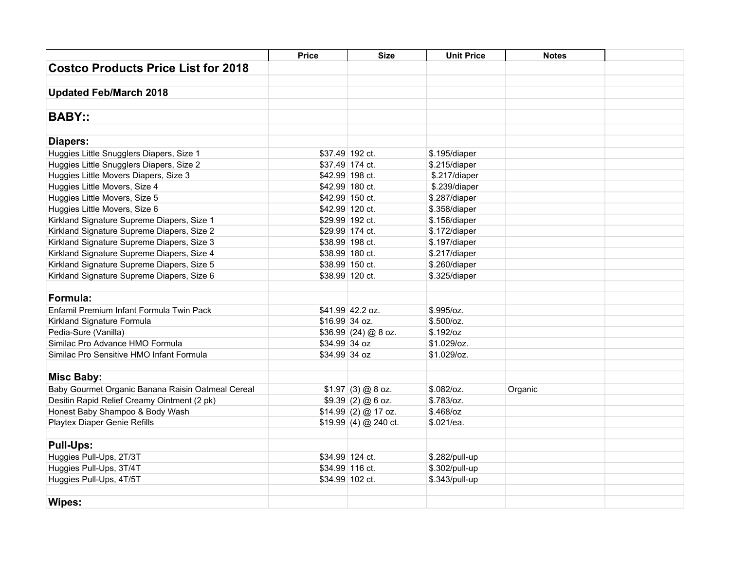|                                                   | <b>Price</b>   | <b>Size</b>           | <b>Unit Price</b> | <b>Notes</b> |  |
|---------------------------------------------------|----------------|-----------------------|-------------------|--------------|--|
| <b>Costco Products Price List for 2018</b>        |                |                       |                   |              |  |
|                                                   |                |                       |                   |              |  |
| <b>Updated Feb/March 2018</b>                     |                |                       |                   |              |  |
|                                                   |                |                       |                   |              |  |
| <b>BABY::</b>                                     |                |                       |                   |              |  |
|                                                   |                |                       |                   |              |  |
| Diapers:                                          |                |                       |                   |              |  |
| Huggies Little Snugglers Diapers, Size 1          |                | \$37.49 192 ct.       | \$.195/diaper     |              |  |
| Huggies Little Snugglers Diapers, Size 2          |                | \$37.49 174 ct.       | \$.215/diaper     |              |  |
| Huggies Little Movers Diapers, Size 3             |                | \$42.99 198 ct.       | \$.217/diaper     |              |  |
| Huggies Little Movers, Size 4                     |                | \$42.99 180 ct.       | \$.239/diaper     |              |  |
| Huggies Little Movers, Size 5                     |                | \$42.99 150 ct.       | \$.287/diaper     |              |  |
| Huggies Little Movers, Size 6                     |                | \$42.99 120 ct.       | \$.358/diaper     |              |  |
| Kirkland Signature Supreme Diapers, Size 1        |                | \$29.99 192 ct.       | \$.156/diaper     |              |  |
| Kirkland Signature Supreme Diapers, Size 2        |                | \$29.99 174 ct.       | \$.172/diaper     |              |  |
| Kirkland Signature Supreme Diapers, Size 3        |                | \$38.99 198 ct.       | \$.197/diaper     |              |  |
| Kirkland Signature Supreme Diapers, Size 4        |                | \$38.99 180 ct.       | \$.217/diaper     |              |  |
| Kirkland Signature Supreme Diapers, Size 5        |                | \$38.99 150 ct.       | \$.260/diaper     |              |  |
| Kirkland Signature Supreme Diapers, Size 6        |                | \$38.99 120 ct.       | \$.325/diaper     |              |  |
|                                                   |                |                       |                   |              |  |
| Formula:                                          |                |                       |                   |              |  |
| Enfamil Premium Infant Formula Twin Pack          |                | \$41.99 42.2 oz.      | \$.995/oz.        |              |  |
| Kirkland Signature Formula                        | \$16.99 34 oz. |                       | \$.500/cz.        |              |  |
| Pedia-Sure (Vanilla)                              |                | $$36.99$ (24) @ 8 oz. | \$.192/oz         |              |  |
| Similac Pro Advance HMO Formula                   | \$34.99 34 oz  |                       | \$1.029/oz.       |              |  |
| Similac Pro Sensitive HMO Infant Formula          | \$34.99 34 oz  |                       | \$1.029/oz.       |              |  |
|                                                   |                |                       |                   |              |  |
| <b>Misc Baby:</b>                                 |                |                       |                   |              |  |
| Baby Gourmet Organic Banana Raisin Oatmeal Cereal |                | $$1.97$ (3) @ 8 oz.   | $$.082$ /oz.      | Organic      |  |
| Desitin Rapid Relief Creamy Ointment (2 pk)       |                | $$9.39(2)@6$ oz.      | \$.783/oz.        |              |  |
| Honest Baby Shampoo & Body Wash                   |                | \$14.99(2) @ 17 oz.   | $$.468$ /oz       |              |  |
| Playtex Diaper Genie Refills                      |                | $$19.99(4)$ @ 240 ct. | \$.021/ea.        |              |  |
|                                                   |                |                       |                   |              |  |
| <b>Pull-Ups:</b>                                  |                |                       |                   |              |  |
| Huggies Pull-Ups, 2T/3T                           |                | \$34.99 124 ct.       | \$.282/pull-up    |              |  |
| Huggies Pull-Ups, 3T/4T                           |                | \$34.99 116 ct.       | \$.302/pull-up    |              |  |
| Huggies Pull-Ups, 4T/5T                           |                | \$34.99 102 ct.       | \$.343/pull-up    |              |  |
|                                                   |                |                       |                   |              |  |
| Wipes:                                            |                |                       |                   |              |  |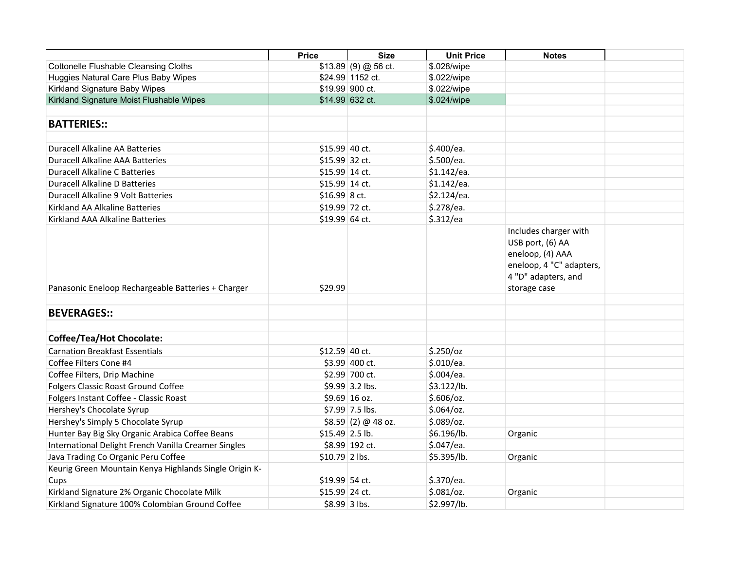|                                                        | <b>Price</b>    | <b>Size</b>         | <b>Unit Price</b> | <b>Notes</b>                                                                                                                     |  |
|--------------------------------------------------------|-----------------|---------------------|-------------------|----------------------------------------------------------------------------------------------------------------------------------|--|
| <b>Cottonelle Flushable Cleansing Cloths</b>           |                 | $$13.89(9) @56$ ct. | \$.028/wipe       |                                                                                                                                  |  |
| Huggies Natural Care Plus Baby Wipes                   |                 | \$24.99 1152 ct.    | \$.022/wipe       |                                                                                                                                  |  |
| Kirkland Signature Baby Wipes                          |                 | \$19.99 900 ct.     | \$.022/wipe       |                                                                                                                                  |  |
| Kirkland Signature Moist Flushable Wipes               |                 | \$14.99 632 ct.     | \$.024/wipe       |                                                                                                                                  |  |
|                                                        |                 |                     |                   |                                                                                                                                  |  |
| <b>BATTERIES::</b>                                     |                 |                     |                   |                                                                                                                                  |  |
|                                                        |                 |                     |                   |                                                                                                                                  |  |
| <b>Duracell Alkaline AA Batteries</b>                  | \$15.99 40 ct.  |                     | \$.400/ea.        |                                                                                                                                  |  |
| <b>Duracell Alkaline AAA Batteries</b>                 | \$15.99 32 ct.  |                     | \$.500/ea.        |                                                                                                                                  |  |
| <b>Duracell Alkaline C Batteries</b>                   | \$15.99 14 ct.  |                     | \$1.142/ea.       |                                                                                                                                  |  |
| <b>Duracell Alkaline D Batteries</b>                   | \$15.99 14 ct.  |                     | \$1.142/ea.       |                                                                                                                                  |  |
| Duracell Alkaline 9 Volt Batteries                     | $$16.99$ 8 ct.  |                     | \$2.124/ea.       |                                                                                                                                  |  |
| Kirkland AA Alkaline Batteries                         | \$19.99 72 ct.  |                     | \$.278/ea.        |                                                                                                                                  |  |
| Kirkland AAA Alkaline Batteries                        | \$19.99 64 ct.  |                     | \$.312/ea         |                                                                                                                                  |  |
| Panasonic Eneloop Rechargeable Batteries + Charger     | \$29.99         |                     |                   | Includes charger with<br>USB port, (6) AA<br>eneloop, (4) AAA<br>eneloop, 4 "C" adapters,<br>4 "D" adapters, and<br>storage case |  |
| <b>BEVERAGES::</b>                                     |                 |                     |                   |                                                                                                                                  |  |
|                                                        |                 |                     |                   |                                                                                                                                  |  |
| <b>Coffee/Tea/Hot Chocolate:</b>                       |                 |                     |                   |                                                                                                                                  |  |
| <b>Carnation Breakfast Essentials</b>                  | \$12.59 40 ct.  |                     | $$.250$ /oz       |                                                                                                                                  |  |
| Coffee Filters Cone #4                                 |                 | $$3.99$ 400 ct.     | \$.010/ea.        |                                                                                                                                  |  |
| Coffee Filters, Drip Machine                           |                 | \$2.99 700 ct.      | \$.004/ea.        |                                                                                                                                  |  |
| Folgers Classic Roast Ground Coffee                    |                 | \$9.99 3.2 lbs.     | \$3.122/lb.       |                                                                                                                                  |  |
| Folgers Instant Coffee - Classic Roast                 |                 | \$9.69 16 oz.       | \$.606/oz.        |                                                                                                                                  |  |
| Hershey's Chocolate Syrup                              |                 | \$7.99 7.5 lbs.     | $$.064$ /oz.      |                                                                                                                                  |  |
| Hershey's Simply 5 Chocolate Syrup                     |                 | \$8.59(2) @ 48 oz.  | $$.089$ /oz.      |                                                                                                                                  |  |
| Hunter Bay Big Sky Organic Arabica Coffee Beans        |                 | $$15.49$ 2.5 lb.    | \$6.196/lb.       | Organic                                                                                                                          |  |
| International Delight French Vanilla Creamer Singles   |                 | \$8.99 192 ct.      | \$.047/ea.        |                                                                                                                                  |  |
| Java Trading Co Organic Peru Coffee                    | $$10.79$ 2 lbs. |                     | \$5.395/lb.       | Organic                                                                                                                          |  |
| Keurig Green Mountain Kenya Highlands Single Origin K- |                 |                     |                   |                                                                                                                                  |  |
| Cups                                                   | \$19.99 54 ct.  |                     | \$.370/ea.        |                                                                                                                                  |  |
| Kirkland Signature 2% Organic Chocolate Milk           | \$15.99 24 ct.  |                     | $$.081$ /oz.      | Organic                                                                                                                          |  |
| Kirkland Signature 100% Colombian Ground Coffee        |                 | \$8.99 3 lbs.       | \$2.997/lb.       |                                                                                                                                  |  |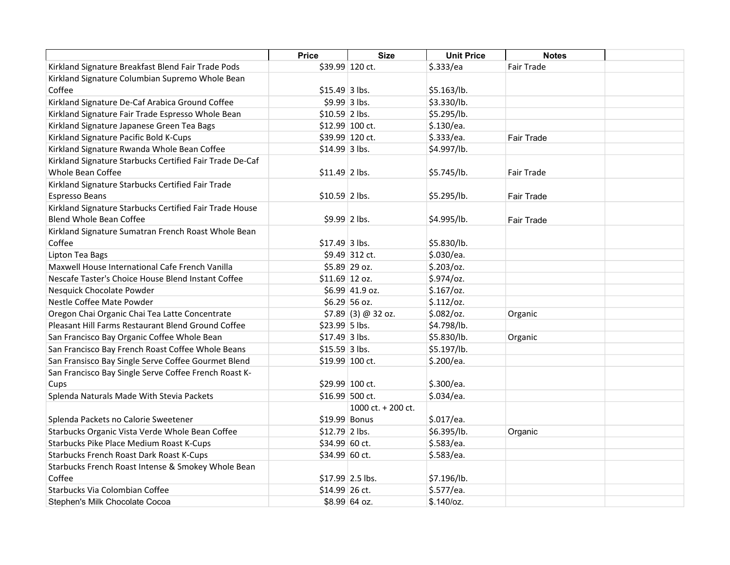|                                                                                           | <b>Price</b>    | <b>Size</b>          | <b>Unit Price</b> | <b>Notes</b>      |  |
|-------------------------------------------------------------------------------------------|-----------------|----------------------|-------------------|-------------------|--|
| Kirkland Signature Breakfast Blend Fair Trade Pods                                        |                 | \$39.99 120 ct.      | \$.333/ea         | Fair Trade        |  |
| Kirkland Signature Columbian Supremo Whole Bean                                           |                 |                      |                   |                   |  |
| Coffee                                                                                    | \$15.49 3 lbs.  |                      | \$5.163/lb.       |                   |  |
| Kirkland Signature De-Caf Arabica Ground Coffee                                           | \$9.99 3 lbs.   |                      | \$3.330/lb.       |                   |  |
| Kirkland Signature Fair Trade Espresso Whole Bean                                         | $$10.59$ 2 lbs. |                      | \$5.295/lb.       |                   |  |
| Kirkland Signature Japanese Green Tea Bags                                                |                 | \$12.99 100 ct.      | \$.130/ea.        |                   |  |
| Kirkland Signature Pacific Bold K-Cups                                                    |                 | \$39.99 120 ct.      | \$.333/ea.        | <b>Fair Trade</b> |  |
| Kirkland Signature Rwanda Whole Bean Coffee                                               | \$14.99 3 lbs.  |                      | \$4.997/lb.       |                   |  |
| Kirkland Signature Starbucks Certified Fair Trade De-Caf<br>Whole Bean Coffee             | $$11.49$ 2 lbs. |                      | \$5.745/lb.       | <b>Fair Trade</b> |  |
| Kirkland Signature Starbucks Certified Fair Trade<br>Espresso Beans                       | \$10.59 2 lbs.  |                      | \$5.295/lb.       | <b>Fair Trade</b> |  |
| Kirkland Signature Starbucks Certified Fair Trade House<br><b>Blend Whole Bean Coffee</b> | $$9.99$ 2 lbs.  |                      | \$4.995/lb.       | Fair Trade        |  |
| Kirkland Signature Sumatran French Roast Whole Bean<br>Coffee                             | \$17.49 3 lbs.  |                      | \$5.830/lb.       |                   |  |
| Lipton Tea Bags                                                                           |                 | \$9.49 312 ct.       | \$.030/ea.        |                   |  |
| Maxwell House International Cafe French Vanilla                                           |                 | \$5.89 29 oz.        | $$.203$ /oz.      |                   |  |
| Nescafe Taster's Choice House Blend Instant Coffee                                        | $$11.69$ 12 oz. |                      | \$.974/oz.        |                   |  |
| Nesquick Chocolate Powder                                                                 |                 | \$6.99 41.9 oz.      | $$.167$ /oz.      |                   |  |
| Nestle Coffee Mate Powder                                                                 |                 | \$6.29 56 oz.        | \$.112/oz.        |                   |  |
| Oregon Chai Organic Chai Tea Latte Concentrate                                            |                 | $$7.89$ (3) @ 32 oz. | $$.082$ /oz.      | Organic           |  |
| Pleasant Hill Farms Restaurant Blend Ground Coffee                                        | \$23.99 5 lbs.  |                      | \$4.798/lb.       |                   |  |
| San Francisco Bay Organic Coffee Whole Bean                                               | $$17.49$ 3 lbs. |                      | \$5.830/lb.       | Organic           |  |
| San Francisco Bay French Roast Coffee Whole Beans                                         | $$15.59$ 3 lbs. |                      | \$5.197/lb.       |                   |  |
| San Fransisco Bay Single Serve Coffee Gourmet Blend                                       |                 | \$19.99 100 ct.      | \$.200/ea.        |                   |  |
| San Francisco Bay Single Serve Coffee French Roast K-                                     |                 |                      |                   |                   |  |
| Cups                                                                                      | \$29.99 100 ct. |                      | \$.300/ea.        |                   |  |
| Splenda Naturals Made With Stevia Packets                                                 | \$16.99 500 ct. |                      | \$.034/ea.        |                   |  |
|                                                                                           |                 | 1000 ct. + 200 ct.   |                   |                   |  |
| Splenda Packets no Calorie Sweetener                                                      | \$19.99 Bonus   |                      | \$.017/ea.        |                   |  |
| Starbucks Organic Vista Verde Whole Bean Coffee                                           | $$12.79$ 2 lbs. |                      | \$6.395/lb.       | Organic           |  |
| Starbucks Pike Place Medium Roast K-Cups                                                  | \$34.99 60 ct.  |                      | \$.583/ea.        |                   |  |
| Starbucks French Roast Dark Roast K-Cups                                                  | \$34.99 60 ct.  |                      | \$.583/ea.        |                   |  |
| Starbucks French Roast Intense & Smokey Whole Bean                                        |                 |                      |                   |                   |  |
| Coffee                                                                                    |                 | $$17.99$ 2.5 lbs.    | \$7.196/lb.       |                   |  |
| Starbucks Via Colombian Coffee                                                            | \$14.99 26 ct.  |                      | \$.577/ea.        |                   |  |
| Stephen's Milk Chocolate Cocoa                                                            |                 | \$8.99 64 oz.        | \$.140/cz.        |                   |  |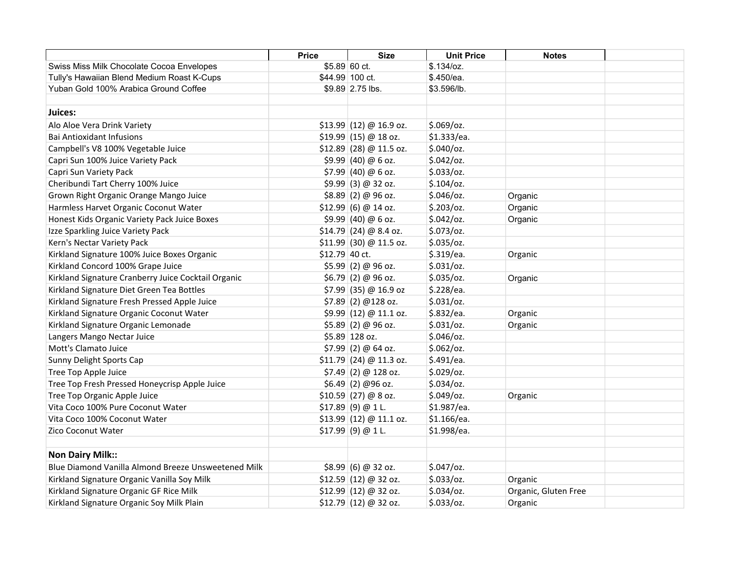|                                                     | <b>Price</b>   | <b>Size</b>              | <b>Unit Price</b> | <b>Notes</b>         |  |
|-----------------------------------------------------|----------------|--------------------------|-------------------|----------------------|--|
| Swiss Miss Milk Chocolate Cocoa Envelopes           | \$5.89 60 ct.  |                          | $$.134$ /oz.      |                      |  |
| Tully's Hawaiian Blend Medium Roast K-Cups          |                | \$44.99 100 ct.          | \$.450/ea.        |                      |  |
| Yuban Gold 100% Arabica Ground Coffee               |                | \$9.89 2.75 lbs.         | \$3.596/lb.       |                      |  |
| Juices:                                             |                |                          |                   |                      |  |
|                                                     |                |                          |                   |                      |  |
| Alo Aloe Vera Drink Variety                         |                | $$13.99$ (12) @ 16.9 oz. | $$.069$ /oz.      |                      |  |
| <b>Bai Antioxidant Infusions</b>                    |                | $$19.99$ (15) @ 18 oz.   | \$1.333/ea.       |                      |  |
| Campbell's V8 100% Vegetable Juice                  |                | $$12.89$ (28) @ 11.5 oz. | $$.040$ /oz.      |                      |  |
| Capri Sun 100% Juice Variety Pack                   |                | $$9.99$ (40) @ 6 oz.     | $$.042$ /oz.      |                      |  |
| Capri Sun Variety Pack                              |                | $$7.99$ (40) @ 6 oz.     | \$.033/oz.        |                      |  |
| Cheribundi Tart Cherry 100% Juice                   |                | $$9.99$ (3) @ 32 oz.     | $$.104$ /oz.      |                      |  |
| Grown Right Organic Orange Mango Juice              |                | $$8.89$ (2) @ 96 oz.     | $$.046$ /oz.      | Organic              |  |
| Harmless Harvet Organic Coconut Water               |                | \$12.99  (6) @ 14 oz.    | $$.203$ /oz.      | Organic              |  |
| Honest Kids Organic Variety Pack Juice Boxes        |                | $$9.99$ (40) @ 6 oz.     | $$.042$ /oz.      | Organic              |  |
| Izze Sparkling Juice Variety Pack                   |                | $$14.79$ (24) @ 8.4 oz.  | $$.073$ /oz.      |                      |  |
| Kern's Nectar Variety Pack                          |                | $$11.99$ (30) @ 11.5 oz. | $$.035$ /oz.      |                      |  |
| Kirkland Signature 100% Juice Boxes Organic         | \$12.79 40 ct. |                          | \$.319/ea.        | Organic              |  |
| Kirkland Concord 100% Grape Juice                   |                | $$5.99$ (2) @ 96 oz.     | $$.031$ /oz.      |                      |  |
| Kirkland Signature Cranberry Juice Cocktail Organic |                | $$6.79$ (2) @ 96 oz.     | $$.035$ /oz.      | Organic              |  |
| Kirkland Signature Diet Green Tea Bottles           |                | $$7.99$ (35) @ 16.9 oz   | \$.228/ea.        |                      |  |
| Kirkland Signature Fresh Pressed Apple Juice        |                | $$7.89$ (2) @128 oz.     | $$.031$ /oz.      |                      |  |
| Kirkland Signature Organic Coconut Water            |                | \$9.99(12) @ 11.1 oz.    | \$.832/ea.        | Organic              |  |
| Kirkland Signature Organic Lemonade                 |                | $$5.89$ (2) @ 96 oz.     | $$.031$ /oz.      | Organic              |  |
| Langers Mango Nectar Juice                          |                | \$5.89 128 oz.           | $$.046$ /oz.      |                      |  |
| Mott's Clamato Juice                                |                | $$7.99$ (2) @ 64 oz.     | $$.062$ /oz.      |                      |  |
| Sunny Delight Sports Cap                            |                | $$11.79$ (24) @ 11.3 oz. | \$.491/ea.        |                      |  |
| Tree Top Apple Juice                                |                | $$7.49$ (2) @ 128 oz.    | $$.029$ /oz.      |                      |  |
| Tree Top Fresh Pressed Honeycrisp Apple Juice       |                | $$6.49$ (2) @96 oz.      | $$.034$ /oz.      |                      |  |
| Tree Top Organic Apple Juice                        |                | $$10.59$ (27) @ 8 oz.    | $$.049$ /oz.      | Organic              |  |
| Vita Coco 100% Pure Coconut Water                   |                | $$17.89$ (9) @ 1 L.      | \$1.987/ea.       |                      |  |
| Vita Coco 100% Coconut Water                        |                | $$13.99$ (12) @ 11.1 oz. | \$1.166/ea.       |                      |  |
| <b>Zico Coconut Water</b>                           |                | $$17.99$ (9) @ 1 L.      | \$1.998/ea.       |                      |  |
|                                                     |                |                          |                   |                      |  |
| <b>Non Dairy Milk::</b>                             |                |                          |                   |                      |  |
| Blue Diamond Vanilla Almond Breeze Unsweetened Milk |                | \$8.99  (6) @ 32 oz.     | $$.047$ /oz.      |                      |  |
| Kirkland Signature Organic Vanilla Soy Milk         |                | $$12.59$ (12) @ 32 oz.   | \$.033/oz.        | Organic              |  |
| Kirkland Signature Organic GF Rice Milk             |                | $$12.99$ (12) @ 32 oz.   | $$.034$ /oz.      | Organic, Gluten Free |  |
| Kirkland Signature Organic Soy Milk Plain           |                | $$12.79$ (12) @ 32 oz.   | \$.033/oz.        | Organic              |  |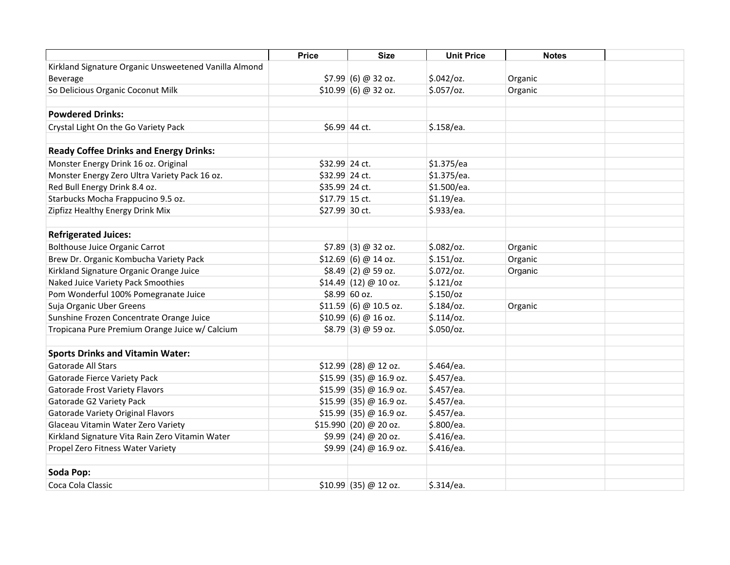|                                                       | <b>Price</b>   | <b>Size</b>              | <b>Unit Price</b> | <b>Notes</b> |  |
|-------------------------------------------------------|----------------|--------------------------|-------------------|--------------|--|
| Kirkland Signature Organic Unsweetened Vanilla Almond |                |                          |                   |              |  |
| Beverage                                              |                | $$7.99$ (6) @ 32 oz.     | $$.042$ /oz.      | Organic      |  |
| So Delicious Organic Coconut Milk                     |                | $$10.99$ (6) @ 32 oz.    | \$.057/oz.        | Organic      |  |
|                                                       |                |                          |                   |              |  |
| <b>Powdered Drinks:</b>                               |                |                          |                   |              |  |
| Crystal Light On the Go Variety Pack                  |                | \$6.99 44 ct.            | \$.158/ea.        |              |  |
| <b>Ready Coffee Drinks and Energy Drinks:</b>         |                |                          |                   |              |  |
| Monster Energy Drink 16 oz. Original                  | \$32.99 24 ct. |                          | \$1.375/ea        |              |  |
| Monster Energy Zero Ultra Variety Pack 16 oz.         | \$32.99 24 ct. |                          | \$1.375/ea.       |              |  |
| Red Bull Energy Drink 8.4 oz.                         | \$35.99 24 ct. |                          | \$1.500/ea.       |              |  |
| Starbucks Mocha Frappucino 9.5 oz.                    | \$17.79 15 ct. |                          | $$1.19$ /ea.      |              |  |
| Zipfizz Healthy Energy Drink Mix                      | \$27.99 30 ct. |                          | \$.933/ea.        |              |  |
|                                                       |                |                          |                   |              |  |
| <b>Refrigerated Juices:</b>                           |                |                          |                   |              |  |
| <b>Bolthouse Juice Organic Carrot</b>                 |                | $$7.89$ (3) @ 32 oz.     | $$.082$ /oz.      | Organic      |  |
| Brew Dr. Organic Kombucha Variety Pack                |                | $$12.69$ (6) @ 14 oz.    | \$.151/oz.        | Organic      |  |
| Kirkland Signature Organic Orange Juice               |                | $$8.49$ (2) @ 59 oz.     | $$.072$ /oz.      | Organic      |  |
| Naked Juice Variety Pack Smoothies                    |                | $$14.49$ (12) @ 10 oz.   | \$.121/oz         |              |  |
| Pom Wonderful 100% Pomegranate Juice                  |                | \$8.99 60 oz.            | \$.150/cz         |              |  |
| Suja Organic Uber Greens                              |                | $$11.59(6) @ 10.5$ oz.   | $$.184$ /oz.      | Organic      |  |
| Sunshine Frozen Concentrate Orange Juice              |                | \$10.99  (6) @ 16 oz.    | $$.114$ /0z.      |              |  |
| Tropicana Pure Premium Orange Juice w/ Calcium        |                | $$8.79$ (3) @ 59 oz.     | $$.050$ /oz.      |              |  |
|                                                       |                |                          |                   |              |  |
| <b>Sports Drinks and Vitamin Water:</b>               |                |                          |                   |              |  |
| <b>Gatorade All Stars</b>                             |                | $$12.99$ (28) @ 12 oz.   | \$.464/ea.        |              |  |
| Gatorade Fierce Variety Pack                          |                | $$15.99$ (35) @ 16.9 oz. | \$.457/ea.        |              |  |
| <b>Gatorade Frost Variety Flavors</b>                 |                | \$15.99 (35) @ 16.9 oz.  | \$.457/ea.        |              |  |
| Gatorade G2 Variety Pack                              |                | $$15.99$ (35) @ 16.9 oz. | \$.457/ea.        |              |  |
| <b>Gatorade Variety Original Flavors</b>              |                | $$15.99$ (35) @ 16.9 oz. | \$.457/ea.        |              |  |
| Glaceau Vitamin Water Zero Variety                    |                | \$15.990   (20) @ 20 oz. | \$.800/ea.        |              |  |
| Kirkland Signature Vita Rain Zero Vitamin Water       |                | $$9.99$ (24) @ 20 oz.    | \$.416/ea.        |              |  |
| Propel Zero Fitness Water Variety                     |                | $$9.99$ (24) @ 16.9 oz.  | \$.416/ea.        |              |  |
|                                                       |                |                          |                   |              |  |
| Soda Pop:                                             |                |                          |                   |              |  |
| Coca Cola Classic                                     |                | $$10.99$ (35) @ 12 oz.   | \$.314/ea.        |              |  |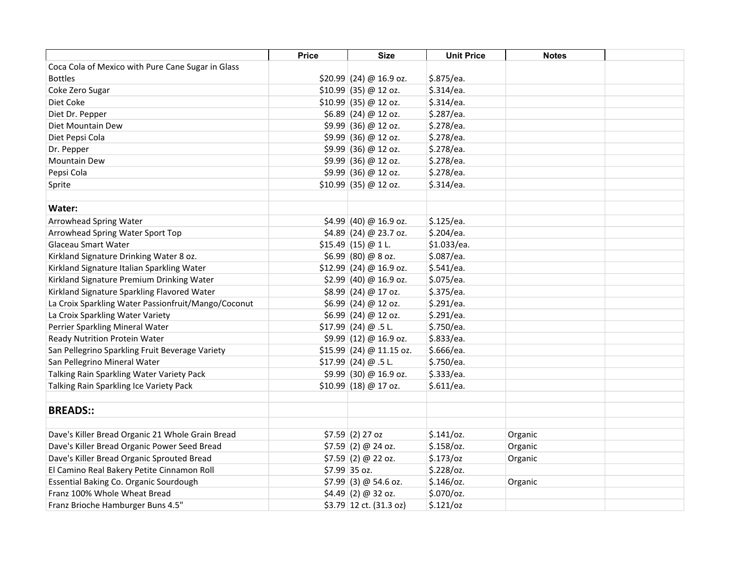|                                                                                          | <b>Price</b> | <b>Size</b>                           | <b>Unit Price</b> | <b>Notes</b> |  |
|------------------------------------------------------------------------------------------|--------------|---------------------------------------|-------------------|--------------|--|
| Coca Cola of Mexico with Pure Cane Sugar in Glass                                        |              |                                       |                   |              |  |
| <b>Bottles</b>                                                                           |              | $$20.99$ (24) @ 16.9 oz.              | \$.875/ea.        |              |  |
| Coke Zero Sugar                                                                          |              | $$10.99$ (35) @ 12 oz.                | \$.314/ea.        |              |  |
| Diet Coke                                                                                |              | $$10.99$ (35) @ 12 oz.                | \$.314/ea.        |              |  |
| Diet Dr. Pepper                                                                          |              | $$6.89$ (24) @ 12 oz.                 | \$.287/ea.        |              |  |
| Diet Mountain Dew                                                                        |              | $$9.99$ (36) @ 12 oz.                 | \$.278/ea.        |              |  |
| Diet Pepsi Cola                                                                          |              | $$9.99$ (36) @ 12 oz.                 | \$.278/ea.        |              |  |
| Dr. Pepper                                                                               |              | \$9.99 (36) @ 12 oz.                  | \$.278/ea.        |              |  |
| Mountain Dew                                                                             |              | \$9.99 (36) @ 12 oz.                  | \$.278/ea.        |              |  |
| Pepsi Cola                                                                               |              | \$9.99 (36) @ 12 oz.                  | \$.278/ea.        |              |  |
| Sprite                                                                                   |              | $$10.99$ (35) @ 12 oz.                | \$.314/ea.        |              |  |
|                                                                                          |              |                                       |                   |              |  |
| Water:                                                                                   |              |                                       |                   |              |  |
| Arrowhead Spring Water                                                                   |              | $$4.99$ (40) @ 16.9 oz.               | \$.125/ea.        |              |  |
| Arrowhead Spring Water Sport Top                                                         |              | $$4.89$ (24) @ 23.7 oz.               | \$.204/ea.        |              |  |
| Glaceau Smart Water                                                                      |              | $$15.49$ (15) @ 1 L.                  | \$1.033/ea.       |              |  |
| Kirkland Signature Drinking Water 8 oz.                                                  |              | $$6.99$ (80) @ 8 oz.                  | \$.087/ea.        |              |  |
| Kirkland Signature Italian Sparkling Water                                               |              | $$12.99$ (24) @ 16.9 oz.              | \$.541/ea.        |              |  |
| Kirkland Signature Premium Drinking Water                                                |              | $$2.99$ (40) @ 16.9 oz.               | \$.075/ea.        |              |  |
| Kirkland Signature Sparkling Flavored Water                                              |              | \$8.99 (24) @ 17 oz.                  | \$.375/ea.        |              |  |
| La Croix Sparkling Water Passionfruit/Mango/Coconut                                      |              | $$6.99$ (24) @ 12 oz.                 | \$.291/ea.        |              |  |
| La Croix Sparkling Water Variety                                                         |              | $$6.99$ (24) @ 12 oz.                 | \$.291/ea.        |              |  |
| Perrier Sparkling Mineral Water                                                          |              | $$17.99$ (24) @ .5 L.                 | \$.750/ea.        |              |  |
| Ready Nutrition Protein Water                                                            |              | $$9.99$ (12) @ 16.9 oz.               | \$.833/ea.        |              |  |
| San Pellegrino Sparkling Fruit Beverage Variety                                          |              | $$15.99$ (24) @ 11.15 oz.             | \$.666/ea.        |              |  |
| San Pellegrino Mineral Water                                                             |              | $$17.99$ (24) @ .5 L.                 | \$.750/ea.        |              |  |
| Talking Rain Sparkling Water Variety Pack                                                |              | $$9.99$ (30) @ 16.9 oz.               | \$.333/ea.        |              |  |
| Talking Rain Sparkling Ice Variety Pack                                                  |              | $$10.99$ (18) @ 17 oz.                | \$.611/ea.        |              |  |
|                                                                                          |              |                                       |                   |              |  |
| <b>BREADS::</b>                                                                          |              |                                       |                   |              |  |
| Dave's Killer Bread Organic 21 Whole Grain Bread                                         |              | $$7.59$ (2) 27 oz                     | \$.141/oz.        | Organic      |  |
| Dave's Killer Bread Organic Power Seed Bread                                             |              | $$7.59$ (2) @ 24 oz.                  | $$.158$ /oz.      | Organic      |  |
|                                                                                          |              |                                       | $$.173$ /oz       |              |  |
| Dave's Killer Bread Organic Sprouted Bread<br>El Camino Real Bakery Petite Cinnamon Roll |              | $$7.59$ (2) @ 22 oz.<br>\$7.99 35 oz. | \$.228/oz.        | Organic      |  |
| Essential Baking Co. Organic Sourdough                                                   |              | $$7.99$ (3) @ 54.6 oz.                | $$.146$ /oz.      |              |  |
| Franz 100% Whole Wheat Bread                                                             |              |                                       | $$.070$ /oz.      | Organic      |  |
|                                                                                          |              | $$4.49$ (2) @ 32 oz.                  |                   |              |  |
| Franz Brioche Hamburger Buns 4.5"                                                        |              | $$3.79$ 12 ct. (31.3 oz)              | \$.121/oz         |              |  |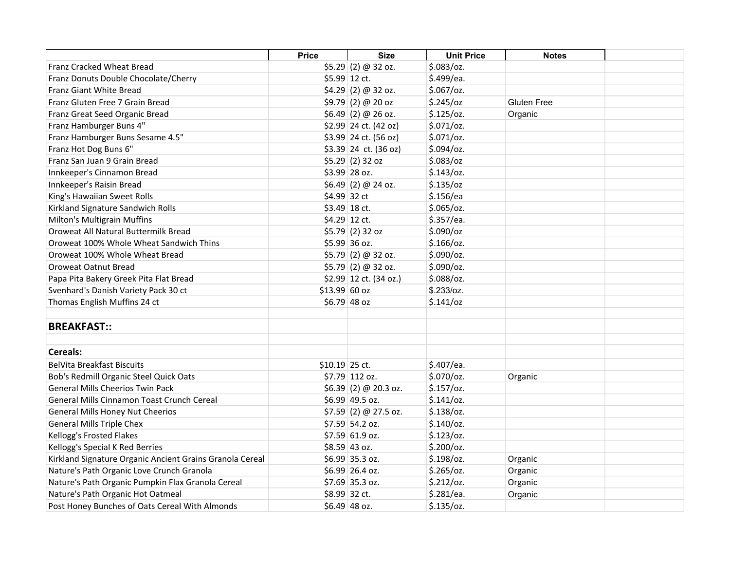|                                                          | <b>Price</b>   | <b>Size</b>             | <b>Unit Price</b> | <b>Notes</b>       |  |
|----------------------------------------------------------|----------------|-------------------------|-------------------|--------------------|--|
| <b>Franz Cracked Wheat Bread</b>                         |                | $$5.29$ (2) @ 32 oz.    | $$.083$ /oz.      |                    |  |
| Franz Donuts Double Chocolate/Cherry                     |                | \$5.99 12 ct.           | \$.499/ea.        |                    |  |
| <b>Franz Giant White Bread</b>                           |                | $$4.29$ (2) @ 32 oz.    | $$.067$ /oz.      |                    |  |
| Franz Gluten Free 7 Grain Bread                          |                | \$9.79(2) @ 20 oz       | $$.245$ /oz       | <b>Gluten Free</b> |  |
| Franz Great Seed Organic Bread                           |                | $$6.49$ (2) @ 26 oz.    | $$.125$ /oz.      | Organic            |  |
| Franz Hamburger Buns 4"                                  |                | \$2.99 24 ct. (42 oz)   | $$.071$ /oz.      |                    |  |
| Franz Hamburger Buns Sesame 4.5"                         |                | \$3.99 24 ct. (56 oz)   | \$.071/oz.        |                    |  |
| Franz Hot Dog Buns 6"                                    |                | $$3.39$ 24 ct. (36 oz)  | \$.094/oz.        |                    |  |
| Franz San Juan 9 Grain Bread                             |                | $$5.29$ (2) 32 oz       | $$.083$ /oz       |                    |  |
| Innkeeper's Cinnamon Bread                               |                | \$3.99 28 oz.           | $$.143$ /oz.      |                    |  |
| Innkeeper's Raisin Bread                                 |                | $$6.49$ (2) @ 24 oz.    | $$.135$ /oz       |                    |  |
| King's Hawaiian Sweet Rolls                              |                | \$4.99 32 ct            | \$.156/ea         |                    |  |
| Kirkland Signature Sandwich Rolls                        |                | \$3.49 18 ct.           | $$.065$ /oz.      |                    |  |
| Milton's Multigrain Muffins                              |                | \$4.29 12 ct.           | \$.357/ea.        |                    |  |
| Oroweat All Natural Buttermilk Bread                     |                | $$5.79$ (2) 32 oz       | \$.090/cz         |                    |  |
| Oroweat 100% Whole Wheat Sandwich Thins                  |                | \$5.99 36 oz.           | $$.166$ /oz.      |                    |  |
| Oroweat 100% Whole Wheat Bread                           |                | $$5.79$ (2) @ 32 oz.    | \$.090/oz.        |                    |  |
| Oroweat Oatnut Bread                                     |                | $$5.79$ (2) @ 32 oz.    | \$.090/oz.        |                    |  |
| Papa Pita Bakery Greek Pita Flat Bread                   |                | $$2.99$ 12 ct. (34 oz.) | $$.088$ /oz.      |                    |  |
| Svenhard's Danish Variety Pack 30 ct                     | \$13.99 60 oz  |                         | \$.233/oz.        |                    |  |
| Thomas English Muffins 24 ct                             |                | \$6.79 48 oz            | \$.141/oz         |                    |  |
|                                                          |                |                         |                   |                    |  |
| <b>BREAKFAST::</b>                                       |                |                         |                   |                    |  |
|                                                          |                |                         |                   |                    |  |
| Cereals:                                                 |                |                         |                   |                    |  |
| <b>BelVita Breakfast Biscuits</b>                        | \$10.19 25 ct. |                         | \$.407/ea.        |                    |  |
| Bob's Redmill Organic Steel Quick Oats                   |                | \$7.79 112 oz.          | \$.070/oz.        | Organic            |  |
| <b>General Mills Cheerios Twin Pack</b>                  |                | \$6.39(2) @ 20.3 oz.    | \$.157/oz.        |                    |  |
| General Mills Cinnamon Toast Crunch Cereal               |                | \$6.99 49.5 oz.         | \$.141/oz.        |                    |  |
| General Mills Honey Nut Cheerios                         |                | $$7.59$ (2) @ 27.5 oz.  | $$.138$ /oz.      |                    |  |
| <b>General Mills Triple Chex</b>                         |                | \$7.59 54.2 oz.         | $$.140$ /oz.      |                    |  |
| Kellogg's Frosted Flakes                                 |                | \$7.59 61.9 oz.         | $$.123$ /oz.      |                    |  |
| Kellogg's Special K Red Berries                          |                | \$8.59 43 oz.           | $$.200$ /oz.      |                    |  |
| Kirkland Signature Organic Ancient Grains Granola Cereal |                | \$6.99 35.3 oz.         | $$.198$ /oz.      | Organic            |  |
| Nature's Path Organic Love Crunch Granola                |                | \$6.99 26.4 oz.         | \$.265/oz.        | Organic            |  |
| Nature's Path Organic Pumpkin Flax Granola Cereal        |                | \$7.69 35.3 oz.         | \$.212/oz.        | Organic            |  |
| Nature's Path Organic Hot Oatmeal                        |                | \$8.99 32 ct.           | \$.281/ea.        | Organic            |  |
| Post Honey Bunches of Oats Cereal With Almonds           |                | $$6.49$ 48 oz.          | $$.135$ /oz.      |                    |  |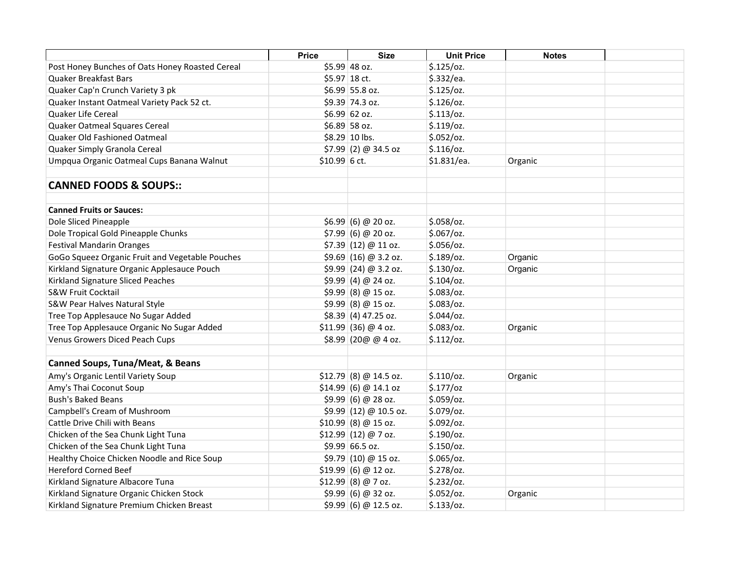|                                                 | <b>Price</b>   | <b>Size</b>             | <b>Unit Price</b> | <b>Notes</b> |  |
|-------------------------------------------------|----------------|-------------------------|-------------------|--------------|--|
| Post Honey Bunches of Oats Honey Roasted Cereal |                | \$5.99 48 oz.           | $$.125$ /oz.      |              |  |
| Quaker Breakfast Bars                           |                | \$5.97 18 ct.           | \$.332/ea.        |              |  |
| Quaker Cap'n Crunch Variety 3 pk                |                | \$6.99 55.8 oz.         | $$.125$ /oz.      |              |  |
| Quaker Instant Oatmeal Variety Pack 52 ct.      |                | \$9.39 74.3 oz.         | $$.126$ /oz.      |              |  |
| <b>Quaker Life Cereal</b>                       |                | $$6.99 62$ oz.          | \$.113/oz.        |              |  |
| Quaker Oatmeal Squares Cereal                   |                | \$6.89 58 oz.           | $$.119$ /oz.      |              |  |
| Quaker Old Fashioned Oatmeal                    |                | \$8.29 10 lbs.          | $$.052$ /oz.      |              |  |
| Quaker Simply Granola Cereal                    |                | $$7.99$ (2) @ 34.5 oz   | \$.116/oz.        |              |  |
| Umpqua Organic Oatmeal Cups Banana Walnut       | $$10.99$ 6 ct. |                         | \$1.831/ea.       | Organic      |  |
| <b>CANNED FOODS &amp; SOUPS::</b>               |                |                         |                   |              |  |
| <b>Canned Fruits or Sauces:</b>                 |                |                         |                   |              |  |
| Dole Sliced Pineapple                           |                | \$6.99  (6) @ 20 oz.    | $$.058$ /oz.      |              |  |
| Dole Tropical Gold Pineapple Chunks             |                | $$7.99$ (6) @ 20 oz.    | $$.067$ /oz.      |              |  |
| <b>Festival Mandarin Oranges</b>                |                | $$7.39$ (12) @ 11 oz.   | $$.056$ /oz.      |              |  |
| GoGo Squeez Organic Fruit and Vegetable Pouches |                | $$9.69$ (16) @ 3.2 oz.  | $$.189$ /oz.      | Organic      |  |
| Kirkland Signature Organic Applesauce Pouch     |                | $$9.99$ (24) @ 3.2 oz.  | $$.130$ /oz.      | Organic      |  |
| Kirkland Signature Sliced Peaches               |                | \$9.99(4) @ 24 oz.      | $$.104$ /oz.      |              |  |
| <b>S&amp;W Fruit Cocktail</b>                   |                | $$9.99$ (8) @ 15 oz.    | $$.083$ /oz.      |              |  |
| S&W Pear Halves Natural Style                   |                | $$9.99$ (8) @ 15 oz.    | $$.083$ /oz.      |              |  |
| Tree Top Applesauce No Sugar Added              |                | $$8.39$ (4) 47.25 oz.   | $$.044$ /oz.      |              |  |
| Tree Top Applesauce Organic No Sugar Added      |                | $$11.99$ (36) @ 4 oz.   | $$.083$ /oz.      | Organic      |  |
| Venus Growers Diced Peach Cups                  |                | \$8.99 (20@ @ 4 oz.     | \$.112/oz.        |              |  |
| <b>Canned Soups, Tuna/Meat, &amp; Beans</b>     |                |                         |                   |              |  |
| Amy's Organic Lentil Variety Soup               |                | $$12.79$ (8) @ 14.5 oz. | \$.110/oz.        | Organic      |  |
| Amy's Thai Coconut Soup                         |                | $$14.99$ (6) @ 14.1 oz  | \$.177/oz         |              |  |
| <b>Bush's Baked Beans</b>                       |                | \$9.99(6) @ 28 oz.      | $$.059$ /oz.      |              |  |
| Campbell's Cream of Mushroom                    |                | \$9.99(12) @ 10.5 oz.   | \$.079/oz.        |              |  |
| Cattle Drive Chili with Beans                   |                | $$10.99$ (8) @ 15 oz.   | \$.092/oz.        |              |  |
| Chicken of the Sea Chunk Light Tuna             |                | $$12.99$ (12) @ 7 oz.   | \$.190/cz.        |              |  |
| Chicken of the Sea Chunk Light Tuna             |                | $$9.99 66.5$ oz.        | $$.150$ /oz.      |              |  |
| Healthy Choice Chicken Noodle and Rice Soup     |                | $$9.79$ (10) @ 15 oz.   | $$.065$ /oz.      |              |  |
| <b>Hereford Corned Beef</b>                     |                | \$19.99  (6) @ 12 oz.   | \$.278/oz.        |              |  |
| Kirkland Signature Albacore Tuna                |                | $$12.99$ (8) @ 7 oz.    | \$.232/oz.        |              |  |
| Kirkland Signature Organic Chicken Stock        |                | \$9.99(6) @ 32 oz.      | \$.052/oz.        | Organic      |  |
| Kirkland Signature Premium Chicken Breast       |                | \$9.99 (6) @ 12.5 oz.   | \$.133/oz.        |              |  |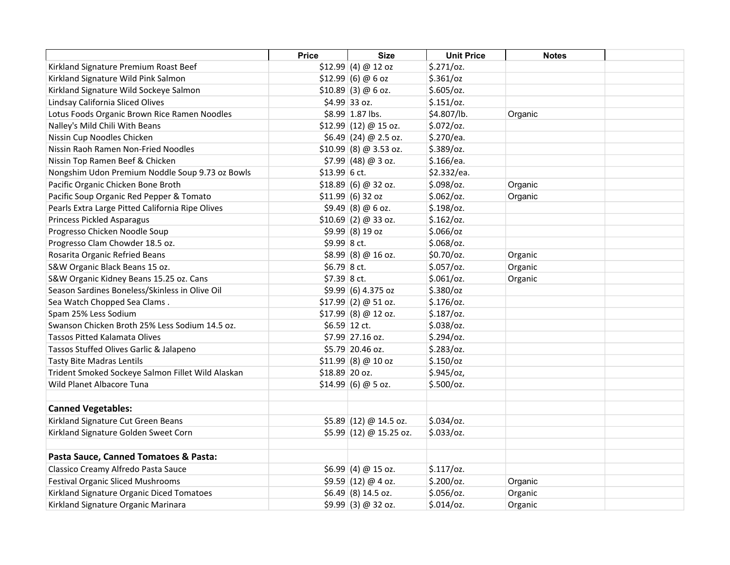|                                                   | <b>Price</b>   | <b>Size</b>                                                        | <b>Unit Price</b> | <b>Notes</b> |  |
|---------------------------------------------------|----------------|--------------------------------------------------------------------|-------------------|--------------|--|
| Kirkland Signature Premium Roast Beef             |                | $$12.99$ (4) @ 12 oz                                               | \$.271/oz.        |              |  |
| Kirkland Signature Wild Pink Salmon               |                | \$12.99  (6) @ 6 oz                                                | $$.361$ /oz       |              |  |
| Kirkland Signature Wild Sockeye Salmon            |                | $$10.89$ (3) @ 6 oz.                                               | \$.605/oz.        |              |  |
| Lindsay California Sliced Olives                  |                | \$4.99 33 oz.                                                      | \$.151/oz.        |              |  |
| Lotus Foods Organic Brown Rice Ramen Noodles      |                | \$8.99 1.87 lbs.                                                   | \$4.807/lb.       | Organic      |  |
| Nalley's Mild Chili With Beans                    |                | $$12.99$ (12) @ 15 oz.                                             | $$.072$ /oz.      |              |  |
| Nissin Cup Noodles Chicken                        |                | $$6.49$ (24) @ 2.5 oz.                                             | \$.270/ea.        |              |  |
| Nissin Raoh Ramen Non-Fried Noodles               |                | $$10.99 \, \vert \, (8) \; \textcircled{a} \, 3.53 \, \text{o}$ z. | \$.389/oz.        |              |  |
| Nissin Top Ramen Beef & Chicken                   |                | $$7.99$ (48) @ 3 oz.                                               | \$.166/ea.        |              |  |
| Nongshim Udon Premium Noddle Soup 9.73 oz Bowls   | $$13.99$ 6 ct. |                                                                    | \$2.332/ea.       |              |  |
| Pacific Organic Chicken Bone Broth                |                | \$18.89(6) @ 32 oz.                                                | \$.098/oz.        | Organic      |  |
| Pacific Soup Organic Red Pepper & Tomato          |                | \$11.99  (6) 32 oz                                                 | $$.062$ /oz.      | Organic      |  |
| Pearls Extra Large Pitted California Ripe Olives  |                | $$9.49$ (8) @ 6 oz.                                                | $$.198$ /oz.      |              |  |
| <b>Princess Pickled Asparagus</b>                 |                | $$10.69$ (2) @ 33 oz.                                              | \$.162/oz.        |              |  |
| Progresso Chicken Noodle Soup                     |                | $$9.99(8)19$ oz                                                    | \$.066/oz         |              |  |
| Progresso Clam Chowder 18.5 oz.                   | \$9.99 8 ct.   |                                                                    | $$.068$ /oz.      |              |  |
| Rosarita Organic Refried Beans                    |                | $$8.99$ (8) @ 16 oz.                                               | \$0.70/oz.        | Organic      |  |
| S&W Organic Black Beans 15 oz.                    | \$6.79 8 ct.   |                                                                    | \$.057/oz.        | Organic      |  |
| S&W Organic Kidney Beans 15.25 oz. Cans           | \$7.39 8 ct.   |                                                                    | $$.061$ /oz.      | Organic      |  |
| Season Sardines Boneless/Skinless in Olive Oil    |                | \$9.99 (6) 4.375 oz                                                | $$.380$ /oz       |              |  |
| Sea Watch Chopped Sea Clams.                      |                | $$17.99$ (2) @ 51 oz.                                              | $$.176$ /oz.      |              |  |
| Spam 25% Less Sodium                              |                | \$17.99 (8) @ 12 oz.                                               | $$.187$ /oz.      |              |  |
| Swanson Chicken Broth 25% Less Sodium 14.5 oz.    |                | \$6.59 12 ct.                                                      | \$.038/oz.        |              |  |
| Tassos Pitted Kalamata Olives                     |                | \$7.99 27.16 oz.                                                   | \$.294/oz.        |              |  |
| Tassos Stuffed Olives Garlic & Jalapeno           |                | \$5.79 20.46 oz.                                                   | $$.283$ /oz.      |              |  |
| <b>Tasty Bite Madras Lentils</b>                  |                | $$11.99$ (8) @ 10 oz                                               | \$.150/cz         |              |  |
| Trident Smoked Sockeye Salmon Fillet Wild Alaskan | \$18.89 20 oz. |                                                                    | $$.945$ /oz,      |              |  |
| Wild Planet Albacore Tuna                         |                | $$14.99$ (6) @ 5 oz.                                               | $$.500$ /oz.      |              |  |
|                                                   |                |                                                                    |                   |              |  |
| <b>Canned Vegetables:</b>                         |                |                                                                    |                   |              |  |
| Kirkland Signature Cut Green Beans                |                | $$5.89$ (12) @ 14.5 oz.                                            | $$.034$ /oz.      |              |  |
| Kirkland Signature Golden Sweet Corn              |                | $$5.99$ (12) @ 15.25 oz.                                           | \$.033/oz.        |              |  |
|                                                   |                |                                                                    |                   |              |  |
| Pasta Sauce, Canned Tomatoes & Pasta:             |                |                                                                    |                   |              |  |
| Classico Creamy Alfredo Pasta Sauce               |                | $$6.99$ (4) @ 15 oz.                                               | \$.117/oz.        |              |  |
| <b>Festival Organic Sliced Mushrooms</b>          |                | \$9.59(12) @ 4 oz.                                                 | \$.200/oz.        | Organic      |  |
| Kirkland Signature Organic Diced Tomatoes         |                | $$6.49$ (8) 14.5 oz.                                               | $$.056$ /oz.      | Organic      |  |
| Kirkland Signature Organic Marinara               |                | $$9.99$ (3) @ 32 oz.                                               | $$.014$ /oz.      | Organic      |  |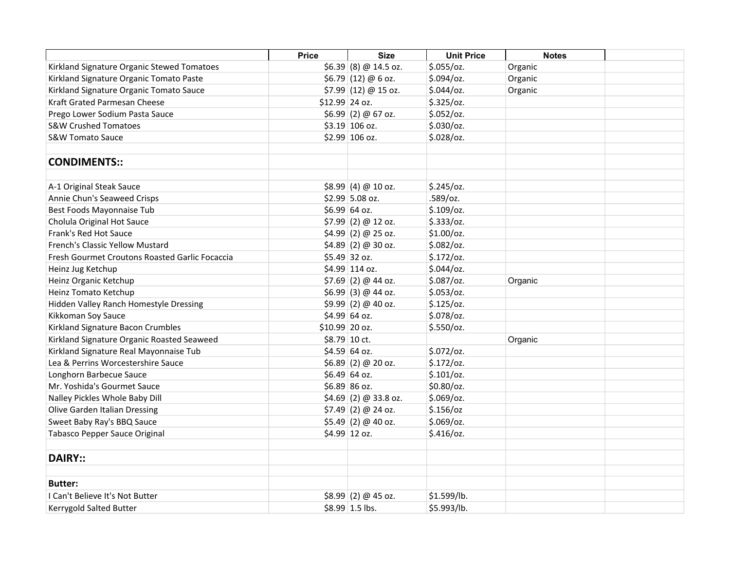|                                                | <b>Price</b>   | <b>Size</b>            | <b>Unit Price</b> | <b>Notes</b> |  |
|------------------------------------------------|----------------|------------------------|-------------------|--------------|--|
| Kirkland Signature Organic Stewed Tomatoes     |                | $$6.39$ (8) @ 14.5 oz. | \$.055/oz.        | Organic      |  |
| Kirkland Signature Organic Tomato Paste        |                | $$6.79$ (12) @ 6 oz.   | $$.094$ /oz.      | Organic      |  |
| Kirkland Signature Organic Tomato Sauce        |                | $$7.99$ (12) @ 15 oz.  | $$.044$ /oz.      | Organic      |  |
| Kraft Grated Parmesan Cheese                   | \$12.99 24 oz. |                        | $$.325$ /oz.      |              |  |
| Prego Lower Sodium Pasta Sauce                 |                | $$6.99$ (2) @ 67 oz.   | $$.052$ /oz.      |              |  |
| <b>S&amp;W Crushed Tomatoes</b>                |                | \$3.19 106 oz.         | $$.030$ /oz.      |              |  |
| <b>S&amp;W Tomato Sauce</b>                    |                | \$2.99 106 oz.         | $$.028$ /oz.      |              |  |
|                                                |                |                        |                   |              |  |
| <b>CONDIMENTS::</b>                            |                |                        |                   |              |  |
| A-1 Original Steak Sauce                       |                | \$8.99(4) @ 10 oz.     | $$.245$ /oz.      |              |  |
| Annie Chun's Seaweed Crisps                    |                | \$2.99 5.08 oz.        | .589/oz.          |              |  |
| Best Foods Mayonnaise Tub                      |                | \$6.99 64 oz.          | $$.109$ /oz.      |              |  |
| Cholula Original Hot Sauce                     |                | $$7.99$ (2) @ 12 oz.   | \$.333/oz.        |              |  |
| Frank's Red Hot Sauce                          |                | $$4.99$ (2) @ 25 oz.   | \$1.00/oz.        |              |  |
| French's Classic Yellow Mustard                |                | $$4.89$ (2) @ 30 oz.   | $$.082$ /oz.      |              |  |
| Fresh Gourmet Croutons Roasted Garlic Focaccia |                | \$5.49 32 oz.          | \$.172/oz.        |              |  |
| Heinz Jug Ketchup                              |                | \$4.99 114 oz.         | $$.044$ /oz.      |              |  |
| Heinz Organic Ketchup                          |                | $$7.69$ (2) @ 44 oz.   | $$.087$ /oz.      | Organic      |  |
| Heinz Tomato Ketchup                           |                | $$6.99$ (3) @ 44 oz.   | $$.053$ /oz.      |              |  |
| Hidden Valley Ranch Homestyle Dressing         |                | $$9.99$ (2) @ 40 oz.   | $$.125$ /oz.      |              |  |
| Kikkoman Soy Sauce                             |                | \$4.99 64 oz.          | \$.078/oz.        |              |  |
| Kirkland Signature Bacon Crumbles              | \$10.99 20 oz. |                        | \$.550/oz.        |              |  |
| Kirkland Signature Organic Roasted Seaweed     |                | \$8.79 10 ct.          |                   | Organic      |  |
| Kirkland Signature Real Mayonnaise Tub         |                | \$4.59 64 oz.          | $$.072$ /oz.      |              |  |
| Lea & Perrins Worcestershire Sauce             |                | $$6.89$ (2) @ 20 oz.   | \$.172/oz.        |              |  |
| Longhorn Barbecue Sauce                        |                | $$6.49$ 64 oz.         | $$.101$ /oz.      |              |  |
| Mr. Yoshida's Gourmet Sauce                    |                | \$6.89 86 oz.          | \$0.80/oz.        |              |  |
| Nalley Pickles Whole Baby Dill                 |                | $$4.69$ (2) @ 33.8 oz. | $$.069$ /oz.      |              |  |
| Olive Garden Italian Dressing                  |                | $$7.49$ (2) @ 24 oz.   | $$.156$ /oz       |              |  |
| Sweet Baby Ray's BBQ Sauce                     |                | $$5.49$ (2) @ 40 oz.   | $$.069$ /oz.      |              |  |
| Tabasco Pepper Sauce Original                  |                | \$4.99 12 oz.          | $$.416$ /oz.      |              |  |
|                                                |                |                        |                   |              |  |
| <b>DAIRY::</b>                                 |                |                        |                   |              |  |
| <b>Butter:</b>                                 |                |                        |                   |              |  |
| I Can't Believe It's Not Butter                |                | $$8.99$ (2) @ 45 oz.   | \$1.599/lb.       |              |  |
| Kerrygold Salted Butter                        |                | \$8.99 1.5 lbs.        | \$5.993/lb.       |              |  |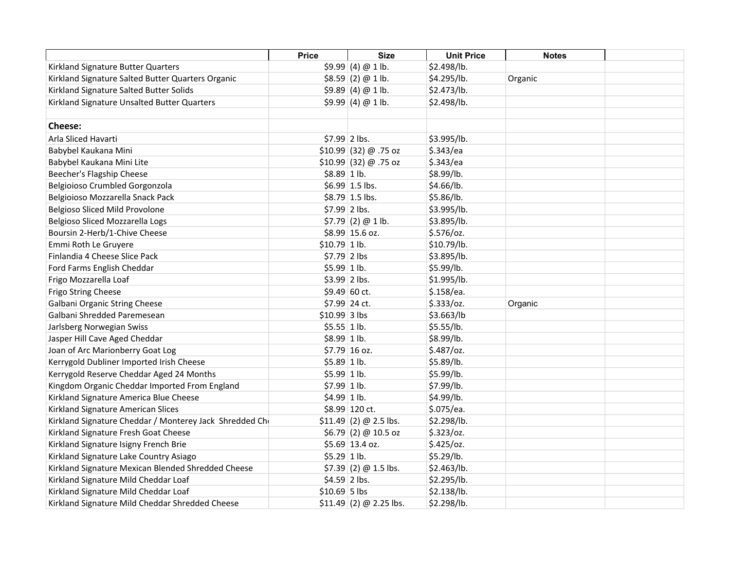|                                                        | <b>Price</b>   | <b>Size</b>              | <b>Unit Price</b> | <b>Notes</b> |  |
|--------------------------------------------------------|----------------|--------------------------|-------------------|--------------|--|
| Kirkland Signature Butter Quarters                     |                | \$9.99(4)@1lb.           | \$2.498/lb.       |              |  |
| Kirkland Signature Salted Butter Quarters Organic      |                | \$8.59(2) @ 1 lb.        | \$4.295/lb.       | Organic      |  |
| Kirkland Signature Salted Butter Solids                |                | \$9.89(4)@1lb.           | \$2.473/lb.       |              |  |
| Kirkland Signature Unsalted Butter Quarters            |                | \$9.99(4)@1lb.           | \$2.498/lb.       |              |  |
|                                                        |                |                          |                   |              |  |
| <b>Cheese:</b>                                         |                |                          |                   |              |  |
| Arla Sliced Havarti                                    | \$7.99 2 lbs.  |                          | \$3.995/lb.       |              |  |
| Babybel Kaukana Mini                                   |                | \$10.99 (32) @ .75 oz    | \$.343/ea         |              |  |
| Babybel Kaukana Mini Lite                              |                | \$10.99 (32) @ .75 oz    | \$.343/ea         |              |  |
| Beecher's Flagship Cheese                              | \$8.89 1 lb.   |                          | \$8.99/lb.        |              |  |
| Belgioioso Crumbled Gorgonzola                         |                | $$6.99$ 1.5 lbs.         | \$4.66/lb.        |              |  |
| Belgioioso Mozzarella Snack Pack                       |                | $$8.79$ 1.5 lbs.         | \$5.86/lb.        |              |  |
| Belgioso Sliced Mild Provolone                         | \$7.99 2 lbs.  |                          | \$3.995/lb.       |              |  |
| Belgioso Sliced Mozzarella Logs                        |                | $$7.79$ (2) @ 1 lb.      | \$3.895/lb.       |              |  |
| Boursin 2-Herb/1-Chive Cheese                          |                | $$8.99$ 15.6 oz.         | \$.576/oz.        |              |  |
| Emmi Roth Le Gruyere                                   | $$10.79$ 1 lb. |                          | \$10.79/lb.       |              |  |
| Finlandia 4 Cheese Slice Pack                          | $$7.79$ 2 lbs  |                          | \$3.895/lb.       |              |  |
| Ford Farms English Cheddar                             | $$5.99$ 1 lb.  |                          | \$5.99/lb.        |              |  |
| Frigo Mozzarella Loaf                                  | \$3.99 2 lbs.  |                          | \$1.995/lb.       |              |  |
| Frigo String Cheese                                    |                | \$9.49 60 ct.            | \$.158/ea.        |              |  |
| Galbani Organic String Cheese                          |                | \$7.99 24 ct.            | \$.333/oz.        | Organic      |  |
| Galbani Shredded Paremesean                            | \$10.99 3 lbs  |                          | \$3.663/lb        |              |  |
| Jarlsberg Norwegian Swiss                              | $$5.55 1$ lb.  |                          | \$5.55/lb.        |              |  |
| Jasper Hill Cave Aged Cheddar                          | \$8.99 1 lb.   |                          | \$8.99/lb.        |              |  |
| Joan of Arc Marionberry Goat Log                       |                | $$7.79$ 16 oz.           | $$.487$ /oz.      |              |  |
| Kerrygold Dubliner Imported Irish Cheese               | $$5.89$ 1 lb.  |                          | \$5.89/lb.        |              |  |
| Kerrygold Reserve Cheddar Aged 24 Months               | $$5.99$ 1 lb.  |                          | \$5.99/lb.        |              |  |
| Kingdom Organic Cheddar Imported From England          | $$7.99$ 1 lb.  |                          | \$7.99/lb.        |              |  |
| Kirkland Signature America Blue Cheese                 | $$4.99$ 1 lb.  |                          | \$4.99/lb.        |              |  |
| Kirkland Signature American Slices                     |                | \$8.99 120 ct.           | \$.075/ea.        |              |  |
| Kirkland Signature Cheddar / Monterey Jack Shredded Ch |                | $$11.49$ (2) @ 2.5 lbs.  | \$2.298/lb.       |              |  |
| Kirkland Signature Fresh Goat Cheese                   |                | \$6.79(2) @ 10.5 oz      | $$.323$ /oz.      |              |  |
| Kirkland Signature Isigny French Brie                  |                | $$5.69$ 13.4 oz.         | $$.425$ /oz.      |              |  |
| Kirkland Signature Lake Country Asiago                 | $$5.29$ 1 lb.  |                          | \$5.29/lb.        |              |  |
| Kirkland Signature Mexican Blended Shredded Cheese     |                | $$7.39$ (2) @ 1.5 lbs.   | \$2.463/lb.       |              |  |
| Kirkland Signature Mild Cheddar Loaf                   | $$4.59$ 2 lbs. |                          | \$2.295/lb.       |              |  |
| Kirkland Signature Mild Cheddar Loaf                   | $$10.69$ 5 lbs |                          | \$2.138/lb.       |              |  |
| Kirkland Signature Mild Cheddar Shredded Cheese        |                | $$11.49$ (2) @ 2.25 lbs. | \$2.298/lb.       |              |  |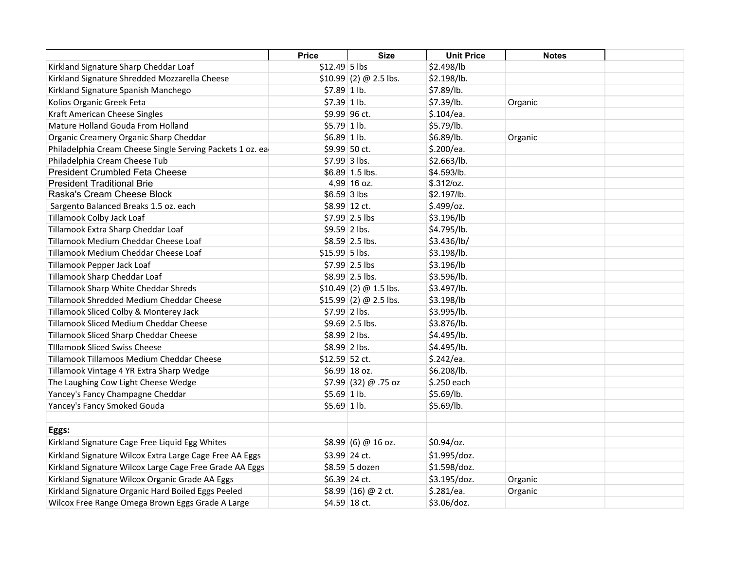|                                                           | <b>Price</b>   | <b>Size</b>                 | <b>Unit Price</b> | <b>Notes</b> |  |
|-----------------------------------------------------------|----------------|-----------------------------|-------------------|--------------|--|
| Kirkland Signature Sharp Cheddar Loaf                     | $$12.49$ 5 lbs |                             | \$2.498/lb        |              |  |
| Kirkland Signature Shredded Mozzarella Cheese             |                | $$10.99$ (2) @ 2.5 lbs.     | \$2.198/lb.       |              |  |
| Kirkland Signature Spanish Manchego                       | $$7.89$ 1 lb.  |                             | \$7.89/lb.        |              |  |
| Kolios Organic Greek Feta                                 | $$7.39$ 1 lb.  |                             | \$7.39/lb.        | Organic      |  |
| Kraft American Cheese Singles                             |                | \$9.99 96 ct.               | \$.104/ea.        |              |  |
| Mature Holland Gouda From Holland                         | $$5.79$ 1 lb.  |                             | \$5.79/lb.        |              |  |
| Organic Creamery Organic Sharp Cheddar                    | $$6.89$ 1 lb.  |                             | \$6.89/lb.        | Organic      |  |
| Philadelphia Cream Cheese Single Serving Packets 1 oz. ea |                | \$9.99 50 ct.               | \$.200/ea.        |              |  |
| Philadelphia Cream Cheese Tub                             |                | \$7.99 3 lbs.               | \$2.663/lb.       |              |  |
| <b>President Crumbled Feta Cheese</b>                     |                | \$6.89 1.5 lbs.             | \$4.593/lb.       |              |  |
| <b>President Traditional Brie</b>                         |                | 4,99 16 oz.                 | \$.312/oz.        |              |  |
| Raska's Cream Cheese Block                                | $$6.59$ 3 lbs  |                             | \$2.197/lb.       |              |  |
| Sargento Balanced Breaks 1.5 oz. each                     |                | \$8.99 12 ct.               | \$.499/oz.        |              |  |
| Tillamook Colby Jack Loaf                                 |                | $$7.99$ 2.5 lbs             | \$3.196/lb        |              |  |
| Tillamook Extra Sharp Cheddar Loaf                        |                | \$9.59 2 lbs.               | \$4.795/lb.       |              |  |
| Tillamook Medium Cheddar Cheese Loaf                      |                | \$8.59 2.5 lbs.             | \$3.436/lb/       |              |  |
| Tillamook Medium Cheddar Cheese Loaf                      | \$15.99 5 lbs. |                             | \$3.198/lb.       |              |  |
| Tillamook Pepper Jack Loaf                                |                | $$7.99$ 2.5 lbs             | \$3.196/lb        |              |  |
| Tillamook Sharp Cheddar Loaf                              |                | \$8.99 2.5 lbs.             | \$3.596/lb.       |              |  |
| Tillamook Sharp White Cheddar Shreds                      |                | $$10.49$ (2) @ 1.5 lbs.     | \$3.497/lb.       |              |  |
| Tillamook Shredded Medium Cheddar Cheese                  |                | $$15.99$ (2) @ 2.5 lbs.     | \$3.198/lb        |              |  |
| Tillamook Sliced Colby & Monterey Jack                    | \$7.99 2 lbs.  |                             | \$3.995/lb.       |              |  |
| Tillamook Sliced Medium Cheddar Cheese                    |                | \$9.69 2.5 lbs.             | \$3.876/lb.       |              |  |
| Tillamook Sliced Sharp Cheddar Cheese                     |                | \$8.99 2 lbs.               | \$4.495/lb.       |              |  |
| <b>TIllamook Sliced Swiss Cheese</b>                      |                | \$8.99 2 lbs.               | \$4.495/lb.       |              |  |
| Tillamook Tillamoos Medium Cheddar Cheese                 | \$12.59 52 ct. |                             | \$.242/ea.        |              |  |
| Tillamook Vintage 4 YR Extra Sharp Wedge                  |                | $$6.99$ 18 oz.              | \$6.208/lb.       |              |  |
| The Laughing Cow Light Cheese Wedge                       |                | \$7.99 (32) $\omega$ .75 oz | \$.250 each       |              |  |
| Yancey's Fancy Champagne Cheddar                          | $$5.69$ 1 lb.  |                             | \$5.69/lb.        |              |  |
| Yancey's Fancy Smoked Gouda                               | $$5.69$ 1 lb.  |                             | \$5.69/lb.        |              |  |
|                                                           |                |                             |                   |              |  |
| Eggs:                                                     |                |                             |                   |              |  |
| Kirkland Signature Cage Free Liquid Egg Whites            |                | \$8.99 (6) @ 16 oz.         | \$0.94/oz.        |              |  |
| Kirkland Signature Wilcox Extra Large Cage Free AA Eggs   |                | \$3.99 24 ct.               | \$1.995/doz.      |              |  |
| Kirkland Signature Wilcox Large Cage Free Grade AA Eggs   |                | \$8.59 5 dozen              | \$1.598/doz.      |              |  |
| Kirkland Signature Wilcox Organic Grade AA Eggs           |                | \$6.39 24 ct.               | \$3.195/doz.      | Organic      |  |
| Kirkland Signature Organic Hard Boiled Eggs Peeled        |                | $$8.99$ (16) @ 2 ct.        | \$.281/ea.        | Organic      |  |
| Wilcox Free Range Omega Brown Eggs Grade A Large          |                | \$4.59 18 ct.               | \$3.06/doz.       |              |  |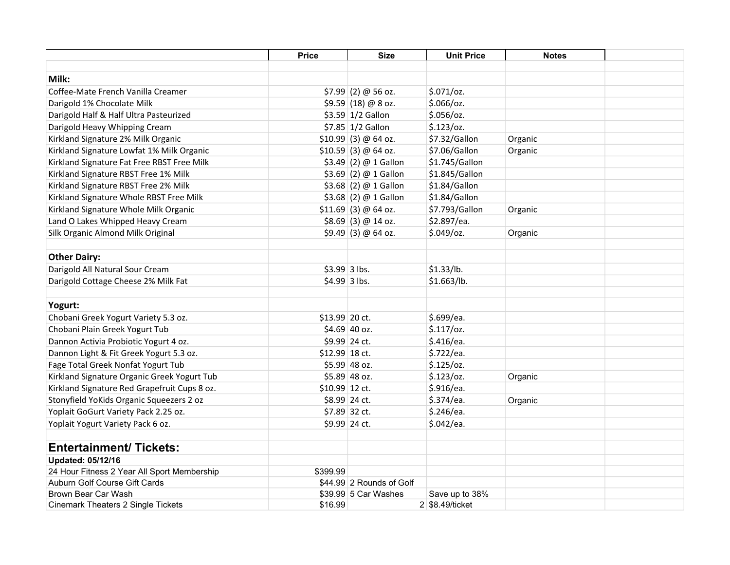|                                              | <b>Price</b>   | <b>Size</b>              | <b>Unit Price</b> | <b>Notes</b> |  |
|----------------------------------------------|----------------|--------------------------|-------------------|--------------|--|
|                                              |                |                          |                   |              |  |
| Milk:                                        |                |                          |                   |              |  |
| Coffee-Mate French Vanilla Creamer           |                | $$7.99$ (2) @ 56 oz.     | $$.071$ /oz.      |              |  |
| Darigold 1% Chocolate Milk                   |                | $$9.59$ (18) @ 8 oz.     | \$.066/oz.        |              |  |
| Darigold Half & Half Ultra Pasteurized       |                | \$3.59 1/2 Gallon        | $$.056$ /oz.      |              |  |
| Darigold Heavy Whipping Cream                |                | \$7.85 1/2 Gallon        | $$.123$ /oz.      |              |  |
| Kirkland Signature 2% Milk Organic           |                | $$10.99$ (3) @ 64 oz.    | \$7.32/Gallon     | Organic      |  |
| Kirkland Signature Lowfat 1% Milk Organic    |                | $$10.59$ (3) @ 64 oz.    | \$7.06/Gallon     | Organic      |  |
| Kirkland Signature Fat Free RBST Free Milk   |                | \$3.49 (2) @ 1 Gallon    | \$1.745/Gallon    |              |  |
| Kirkland Signature RBST Free 1% Milk         |                | $$3.69$ (2) @ 1 Gallon   | \$1.845/Gallon    |              |  |
| Kirkland Signature RBST Free 2% Milk         |                | \$3.68 (2) $@$ 1 Gallon  | \$1.84/Gallon     |              |  |
| Kirkland Signature Whole RBST Free Milk      |                | $$3.68$ (2) @ 1 Gallon   | \$1.84/Gallon     |              |  |
| Kirkland Signature Whole Milk Organic        |                | $$11.69$ (3) @ 64 oz.    | \$7.793/Gallon    | Organic      |  |
| Land O Lakes Whipped Heavy Cream             |                | $$8.69$ (3) @ 14 oz.     | \$2.897/ea.       |              |  |
| Silk Organic Almond Milk Original            |                | $$9.49$ (3) @ 64 oz.     | $$.049$ /oz.      | Organic      |  |
|                                              |                |                          |                   |              |  |
| <b>Other Dairy:</b>                          |                |                          |                   |              |  |
| Darigold All Natural Sour Cream              | $$3.99$ 3 lbs. |                          | \$1.33/lb.        |              |  |
| Darigold Cottage Cheese 2% Milk Fat          | \$4.99 3 lbs.  |                          | \$1.663/lb.       |              |  |
|                                              |                |                          |                   |              |  |
| Yogurt:                                      |                |                          |                   |              |  |
| Chobani Greek Yogurt Variety 5.3 oz.         | \$13.99 20 ct. |                          | \$.699/ea.        |              |  |
| Chobani Plain Greek Yogurt Tub               |                | $$4.69$ 40 oz.           | \$.117/oz.        |              |  |
| Dannon Activia Probiotic Yogurt 4 oz.        |                | \$9.99 24 ct.            | \$.416/ea.        |              |  |
| Dannon Light & Fit Greek Yogurt 5.3 oz.      | \$12.99 18 ct. |                          | \$.722/ea.        |              |  |
| Fage Total Greek Nonfat Yogurt Tub           |                | \$5.99 48 oz.            | $$.125$ /oz.      |              |  |
| Kirkland Signature Organic Greek Yogurt Tub  |                | \$5.89 48 oz.            | $$.123$ /oz.      | Organic      |  |
| Kirkland Signature Red Grapefruit Cups 8 oz. | \$10.99 12 ct. |                          | \$.916/ea.        |              |  |
| Stonyfield YoKids Organic Squeezers 2 oz     |                | \$8.99 24 ct.            | \$.374/ea.        | Organic      |  |
| Yoplait GoGurt Variety Pack 2.25 oz.         |                | \$7.89 32 ct.            | \$.246/ea.        |              |  |
| Yoplait Yogurt Variety Pack 6 oz.            | \$9.99 24 ct.  |                          | \$.042/ea.        |              |  |
|                                              |                |                          |                   |              |  |
| <b>Entertainment/ Tickets:</b>               |                |                          |                   |              |  |
| <b>Updated: 05/12/16</b>                     |                |                          |                   |              |  |
| 24 Hour Fitness 2 Year All Sport Membership  | \$399.99       |                          |                   |              |  |
| Auburn Golf Course Gift Cards                |                | \$44.99 2 Rounds of Golf |                   |              |  |
| Brown Bear Car Wash                          |                | \$39.99 5 Car Washes     | Save up to 38%    |              |  |
| <b>Cinemark Theaters 2 Single Tickets</b>    | \$16.99        |                          | 2 \$8.49/ticket   |              |  |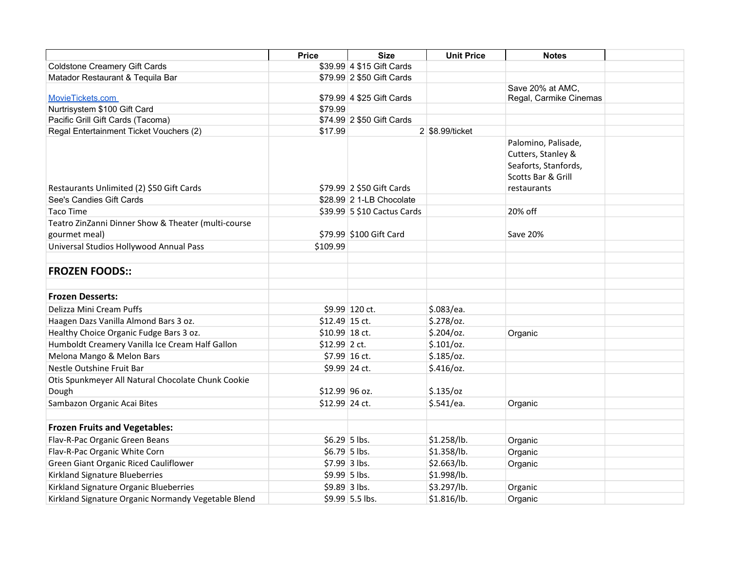|                                                             | <b>Price</b>   | <b>Size</b>                 | <b>Unit Price</b> | <b>Notes</b>                                                                                           |
|-------------------------------------------------------------|----------------|-----------------------------|-------------------|--------------------------------------------------------------------------------------------------------|
| <b>Coldstone Creamery Gift Cards</b>                        |                | \$39.99 4 \$15 Gift Cards   |                   |                                                                                                        |
| Matador Restaurant & Tequila Bar                            |                | \$79.99 2 \$50 Gift Cards   |                   |                                                                                                        |
| MovieTickets.com                                            |                | \$79.99 4 \$25 Gift Cards   |                   | Save 20% at AMC,<br>Regal, Carmike Cinemas                                                             |
| Nurtrisystem \$100 Gift Card                                | \$79.99        |                             |                   |                                                                                                        |
| Pacific Grill Gift Cards (Tacoma)                           |                | \$74.99 2 \$50 Gift Cards   |                   |                                                                                                        |
| Regal Entertainment Ticket Vouchers (2)                     | \$17.99        |                             | 2 \$8.99/ticket   |                                                                                                        |
| Restaurants Unlimited (2) \$50 Gift Cards                   |                | \$79.99 2 \$50 Gift Cards   |                   | Palomino, Palisade,<br>Cutters, Stanley &<br>Seaforts, Stanfords,<br>Scotts Bar & Grill<br>restaurants |
| See's Candies Gift Cards                                    |                | \$28.99 2 1-LB Chocolate    |                   |                                                                                                        |
| Taco Time                                                   |                | \$39.99 5 \$10 Cactus Cards |                   | 20% off                                                                                                |
| Teatro ZinZanni Dinner Show & Theater (multi-course         |                |                             |                   |                                                                                                        |
| gourmet meal)                                               |                | \$79.99 \$100 Gift Card     |                   | Save 20%                                                                                               |
| Universal Studios Hollywood Annual Pass                     | \$109.99       |                             |                   |                                                                                                        |
| <b>FROZEN FOODS::</b>                                       |                |                             |                   |                                                                                                        |
| <b>Frozen Desserts:</b>                                     |                |                             |                   |                                                                                                        |
| Delizza Mini Cream Puffs                                    |                | \$9.99 120 ct.              | \$.083/ea.        |                                                                                                        |
| Haagen Dazs Vanilla Almond Bars 3 oz.                       | \$12.49 15 ct. |                             | $$.278$ /oz.      |                                                                                                        |
| Healthy Choice Organic Fudge Bars 3 oz.                     | \$10.99 18 ct. |                             | $$.204$ /oz.      | Organic                                                                                                |
| Humboldt Creamery Vanilla Ice Cream Half Gallon             | $$12.99$ 2 ct. |                             | \$.101/oz.        |                                                                                                        |
| Melona Mango & Melon Bars                                   | \$7.99 16 ct.  |                             | $$.185$ /oz.      |                                                                                                        |
| Nestle Outshine Fruit Bar                                   |                | \$9.99 24 ct.               | $$.416$ /oz.      |                                                                                                        |
| Otis Spunkmeyer All Natural Chocolate Chunk Cookie<br>Dough | \$12.99 96 oz. |                             | $$.135$ /oz       |                                                                                                        |
| Sambazon Organic Acai Bites                                 | \$12.99 24 ct. |                             | \$.541/ea.        | Organic                                                                                                |
|                                                             |                |                             |                   |                                                                                                        |
| <b>Frozen Fruits and Vegetables:</b>                        |                |                             |                   |                                                                                                        |
| Flav-R-Pac Organic Green Beans                              | $$6.29$ 5 lbs. |                             | \$1.258/lb.       | Organic                                                                                                |
| Flav-R-Pac Organic White Corn                               | $$6.79$ 5 lbs. |                             | \$1.358/lb.       | Organic                                                                                                |
| Green Giant Organic Riced Cauliflower                       | $$7.99$ 3 lbs. |                             | \$2.663/lb.       | Organic                                                                                                |
| Kirkland Signature Blueberries                              | $$9.99$ 5 lbs. |                             | \$1.998/lb.       |                                                                                                        |
| Kirkland Signature Organic Blueberries                      | $$9.89$ 3 lbs. |                             | \$3.297/lb.       | Organic                                                                                                |
| Kirkland Signature Organic Normandy Vegetable Blend         |                | \$9.99 5.5 lbs.             | \$1.816/lb.       | Organic                                                                                                |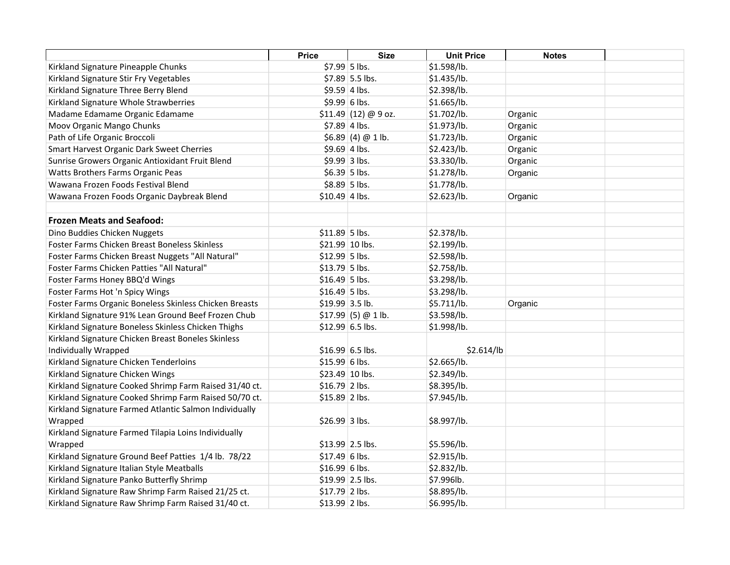|                                                        | <b>Price</b>    | <b>Size</b>           | <b>Unit Price</b> | <b>Notes</b> |  |
|--------------------------------------------------------|-----------------|-----------------------|-------------------|--------------|--|
| Kirkland Signature Pineapple Chunks                    | \$7.99 5 lbs.   |                       | \$1.598/lb.       |              |  |
| Kirkland Signature Stir Fry Vegetables                 |                 | \$7.89 5.5 lbs.       | \$1.435/lb.       |              |  |
| Kirkland Signature Three Berry Blend                   | $$9.59$ 4 lbs.  |                       | \$2.398/lb.       |              |  |
| Kirkland Signature Whole Strawberries                  | \$9.99 6 lbs.   |                       | \$1.665/lb.       |              |  |
| Madame Edamame Organic Edamame                         |                 | $$11.49$ (12) @ 9 oz. | \$1.702/lb.       | Organic      |  |
| Moov Organic Mango Chunks                              | $$7.89$ 4 lbs.  |                       | \$1.973/lb.       | Organic      |  |
| Path of Life Organic Broccoli                          |                 | \$6.89(4)@1lb.        | \$1.723/lb.       | Organic      |  |
| Smart Harvest Organic Dark Sweet Cherries              | $$9.69$ 4 lbs.  |                       | \$2.423/lb.       | Organic      |  |
| Sunrise Growers Organic Antioxidant Fruit Blend        | \$9.99 3 lbs.   |                       | \$3.330/lb.       | Organic      |  |
| Watts Brothers Farms Organic Peas                      | $$6.39$ 5 lbs.  |                       | \$1.278/lb.       | Organic      |  |
| Wawana Frozen Foods Festival Blend                     | $$8.89$ 5 lbs.  |                       | \$1.778/lb.       |              |  |
| Wawana Frozen Foods Organic Daybreak Blend             | $$10.49$ 4 lbs. |                       | \$2.623/lb.       | Organic      |  |
| <b>Frozen Meats and Seafood:</b>                       |                 |                       |                   |              |  |
|                                                        |                 |                       |                   |              |  |
| Dino Buddies Chicken Nuggets                           | \$11.89 5 lbs.  |                       | \$2.378/lb.       |              |  |
| Foster Farms Chicken Breast Boneless Skinless          |                 | \$21.99 10 lbs.       | \$2.199/lb.       |              |  |
| Foster Farms Chicken Breast Nuggets "All Natural"      | \$12.99 5 lbs.  |                       | \$2.598/lb.       |              |  |
| Foster Farms Chicken Patties "All Natural"             | $$13.79$ 5 lbs. |                       | \$2.758/lb.       |              |  |
| Foster Farms Honey BBQ'd Wings                         | $$16.49$ 5 lbs. |                       | \$3.298/lb.       |              |  |
| Foster Farms Hot 'n Spicy Wings                        | $$16.49$ 5 lbs. |                       | \$3.298/lb.       |              |  |
| Foster Farms Organic Boneless Skinless Chicken Breasts | \$19.99 3.5 lb. |                       | \$5.711/lb.       | Organic      |  |
| Kirkland Signature 91% Lean Ground Beef Frozen Chub    |                 | $$17.99$ (5) @ 1 lb.  | \$3.598/lb.       |              |  |
| Kirkland Signature Boneless Skinless Chicken Thighs    |                 | \$12.99 6.5 lbs.      | \$1.998/lb.       |              |  |
| Kirkland Signature Chicken Breast Boneles Skinless     |                 |                       |                   |              |  |
| Individually Wrapped                                   |                 | $$16.99 6.5$ lbs.     | \$2.614/lb        |              |  |
| Kirkland Signature Chicken Tenderloins                 | \$15.99 6 lbs.  |                       | \$2.665/lb.       |              |  |
| Kirkland Signature Chicken Wings                       |                 | \$23.49 10 lbs.       | \$2.349/lb.       |              |  |
| Kirkland Signature Cooked Shrimp Farm Raised 31/40 ct. | \$16.79 2 lbs.  |                       | \$8.395/lb.       |              |  |
| Kirkland Signature Cooked Shrimp Farm Raised 50/70 ct. | \$15.89 2 lbs.  |                       | \$7.945/lb.       |              |  |
| Kirkland Signature Farmed Atlantic Salmon Individually |                 |                       |                   |              |  |
| Wrapped                                                | \$26.99 3 lbs.  |                       | \$8.997/lb.       |              |  |
| Kirkland Signature Farmed Tilapia Loins Individually   |                 |                       |                   |              |  |
| Wrapped                                                |                 | \$13.99 2.5 lbs.      | \$5.596/lb.       |              |  |
| Kirkland Signature Ground Beef Patties 1/4 lb. 78/22   | $$17.49 6$ lbs. |                       | \$2.915/lb.       |              |  |
| Kirkland Signature Italian Style Meatballs             | $$16.99 6$ lbs. |                       | \$2.832/lb.       |              |  |
| Kirkland Signature Panko Butterfly Shrimp              |                 | $$19.99$ 2.5 lbs.     | \$7.996lb.        |              |  |
| Kirkland Signature Raw Shrimp Farm Raised 21/25 ct.    | \$17.79 2 lbs.  |                       | \$8.895/lb.       |              |  |
| Kirkland Signature Raw Shrimp Farm Raised 31/40 ct.    | \$13.99 2 lbs.  |                       | \$6.995/lb.       |              |  |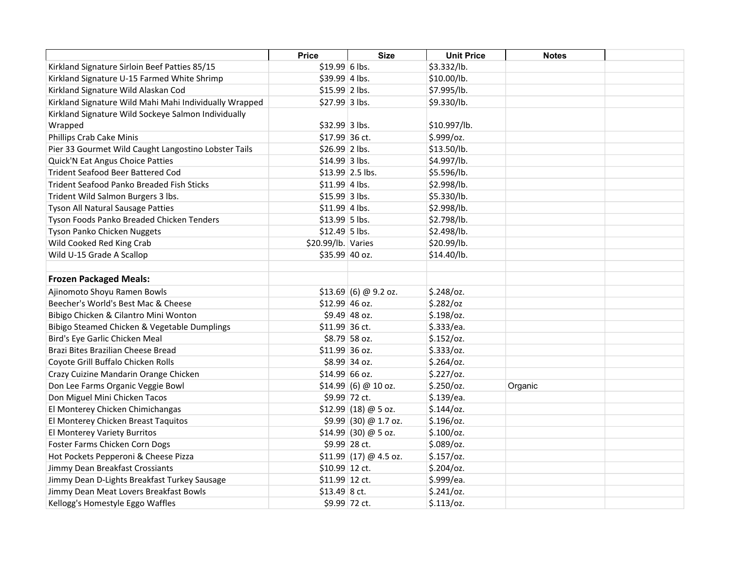|                                                        | <b>Price</b>       | <b>Size</b>             | <b>Unit Price</b> | <b>Notes</b> |  |
|--------------------------------------------------------|--------------------|-------------------------|-------------------|--------------|--|
| Kirkland Signature Sirloin Beef Patties 85/15          | \$19.99 6 lbs.     |                         | \$3.332/lb.       |              |  |
| Kirkland Signature U-15 Farmed White Shrimp            | \$39.99 4 lbs.     |                         | \$10.00/lb.       |              |  |
| Kirkland Signature Wild Alaskan Cod                    | $$15.99$ 2 lbs.    |                         | \$7.995/lb.       |              |  |
| Kirkland Signature Wild Mahi Mahi Individually Wrapped | \$27.99 3 lbs.     |                         | \$9.330/lb.       |              |  |
| Kirkland Signature Wild Sockeye Salmon Individually    |                    |                         |                   |              |  |
| Wrapped                                                | \$32.99 3 lbs.     |                         | \$10.997/lb.      |              |  |
| Phillips Crab Cake Minis                               | \$17.99 36 ct.     |                         | \$.999/oz.        |              |  |
| Pier 33 Gourmet Wild Caught Langostino Lobster Tails   | \$26.99 2 lbs.     |                         | \$13.50/lb.       |              |  |
| <b>Quick'N Eat Angus Choice Patties</b>                | \$14.99 3 lbs.     |                         | \$4.997/lb.       |              |  |
| <b>Trident Seafood Beer Battered Cod</b>               |                    | \$13.99 2.5 lbs.        | \$5.596/lb.       |              |  |
| <b>Trident Seafood Panko Breaded Fish Sticks</b>       | $$11.99$ 4 lbs.    |                         | \$2.998/lb.       |              |  |
| Trident Wild Salmon Burgers 3 lbs.                     | \$15.99 3 lbs.     |                         | \$5.330/lb.       |              |  |
| Tyson All Natural Sausage Patties                      | \$11.99 4 lbs.     |                         | \$2.998/lb.       |              |  |
| Tyson Foods Panko Breaded Chicken Tenders              | \$13.99 5 lbs.     |                         | \$2.798/lb.       |              |  |
| Tyson Panko Chicken Nuggets                            | \$12.49 5 lbs.     |                         | \$2.498/lb.       |              |  |
| Wild Cooked Red King Crab                              | \$20.99/lb. Varies |                         | \$20.99/lb.       |              |  |
| Wild U-15 Grade A Scallop                              | \$35.99 40 oz.     |                         | \$14.40/lb.       |              |  |
| <b>Frozen Packaged Meals:</b>                          |                    |                         |                   |              |  |
| Ajinomoto Shoyu Ramen Bowls                            |                    | $$13.69$ (6) @ 9.2 oz.  | $$.248$ /oz.      |              |  |
| Beecher's World's Best Mac & Cheese                    | $$12.99$ 46 oz.    |                         | \$.282/oz         |              |  |
| Bibigo Chicken & Cilantro Mini Wonton                  |                    | $$9.49$ 48 oz.          | $$.198$ /oz.      |              |  |
| Bibigo Steamed Chicken & Vegetable Dumplings           | \$11.99 36 ct.     |                         | \$.333/ea.        |              |  |
| Bird's Eye Garlic Chicken Meal                         |                    | \$8.79 58 oz.           | \$.152/oz.        |              |  |
| Brazi Bites Brazilian Cheese Bread                     | \$11.99 36 oz.     |                         | \$.333/oz.        |              |  |
| Coyote Grill Buffalo Chicken Rolls                     |                    | \$8.99 34 oz.           | $$.264$ /oz.      |              |  |
| Crazy Cuizine Mandarin Orange Chicken                  | $$14.99$ 66 oz.    |                         | $$.227$ /oz.      |              |  |
| Don Lee Farms Organic Veggie Bowl                      |                    | \$14.99  (6) @ 10 oz.   | \$.250/oz.        | Organic      |  |
| Don Miguel Mini Chicken Tacos                          |                    | \$9.99 72 ct.           | \$.139/ea.        |              |  |
| El Monterey Chicken Chimichangas                       |                    | $$12.99$ (18) @ 5 oz.   | $$.144$ /0z.      |              |  |
| El Monterey Chicken Breast Taquitos                    |                    | $$9.99$ (30) @ 1.7 oz.  | $$.196$ /oz.      |              |  |
| El Monterey Variety Burritos                           |                    | $$14.99$ (30) @ 5 oz.   | $$.100$ /oz.      |              |  |
| Foster Farms Chicken Corn Dogs                         |                    | \$9.99 28 ct.           | $$.089$ /oz.      |              |  |
| Hot Pockets Pepperoni & Cheese Pizza                   |                    | $$11.99$ (17) @ 4.5 oz. | \$.157/oz.        |              |  |
| Jimmy Dean Breakfast Crossiants                        | \$10.99 12 ct.     |                         | $$.204$ /oz.      |              |  |
| Jimmy Dean D-Lights Breakfast Turkey Sausage           | \$11.99 12 ct.     |                         | \$.999/ea.        |              |  |
| Jimmy Dean Meat Lovers Breakfast Bowls                 | $$13.49$ 8 ct.     |                         | \$.241/oz.        |              |  |
| Kellogg's Homestyle Eggo Waffles                       |                    | \$9.99 72 ct.           | \$.113/oz.        |              |  |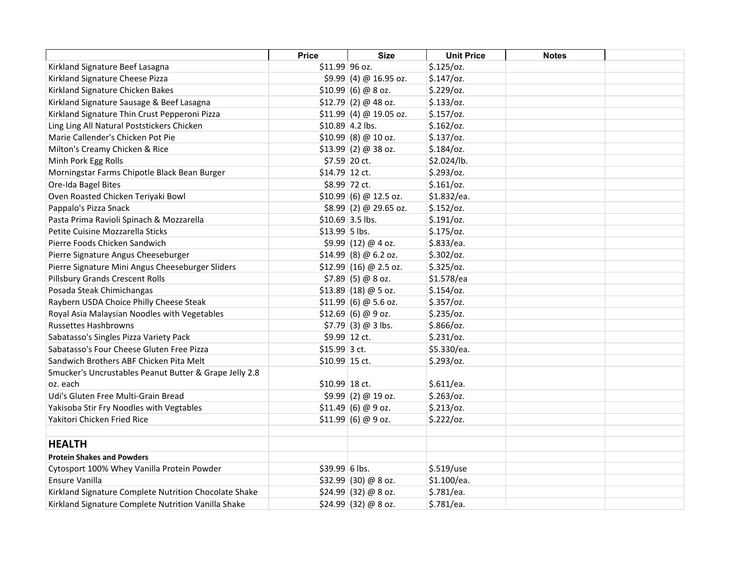|                                                        | <b>Price</b>   | <b>Size</b>              | <b>Unit Price</b> | <b>Notes</b> |  |
|--------------------------------------------------------|----------------|--------------------------|-------------------|--------------|--|
| Kirkland Signature Beef Lasagna                        | \$11.99 96 oz. |                          | $$.125$ /oz.      |              |  |
| Kirkland Signature Cheese Pizza                        |                | $$9.99(4) @ 16.95$ oz.   | $$.147$ /oz.      |              |  |
| Kirkland Signature Chicken Bakes                       |                | $$10.99$ (6) @ 8 oz.     | \$.229/oz.        |              |  |
| Kirkland Signature Sausage & Beef Lasagna              |                | $$12.79$ (2) @ 48 oz.    | \$.133/oz.        |              |  |
| Kirkland Signature Thin Crust Pepperoni Pizza          |                | $$11.99$ (4) @ 19.05 oz. | $$.157$ /0z.      |              |  |
| Ling Ling All Natural Poststickers Chicken             |                | $$10.89$ 4.2 lbs.        | $$.162$ /oz.      |              |  |
| Marie Callender's Chicken Pot Pie                      |                | $$10.99$ (8) @ 10 oz.    | $$.137$ /oz.      |              |  |
| Milton's Creamy Chicken & Rice                         |                | $$13.99$ (2) @ 38 oz.    | $$.184$ /oz.      |              |  |
| Minh Pork Egg Rolls                                    |                | \$7.59 20 ct.            | \$2.024/lb.       |              |  |
| Morningstar Farms Chipotle Black Bean Burger           | \$14.79 12 ct. |                          | \$.293/oz.        |              |  |
| Ore-Ida Bagel Bites                                    |                | \$8.99 72 ct.            | \$.161/cz.        |              |  |
| Oven Roasted Chicken Teriyaki Bowl                     |                | \$10.99  (6) @ 12.5 oz.  | \$1.832/ea.       |              |  |
| Pappalo's Pizza Snack                                  |                | $$8.99(2) @ 29.65$ oz.   | $$.152$ /oz.      |              |  |
| Pasta Prima Ravioli Spinach & Mozzarella               |                | $$10.69$ 3.5 lbs.        | \$.191/oz.        |              |  |
| Petite Cuisine Mozzarella Sticks                       | \$13.99 5 lbs. |                          | $$.175$ /oz.      |              |  |
| Pierre Foods Chicken Sandwich                          |                | $$9.99$ (12) @ 4 oz.     | \$.833/ea.        |              |  |
| Pierre Signature Angus Cheeseburger                    |                | $$14.99$ (8) @ 6.2 oz.   | $$.302$ /oz.      |              |  |
| Pierre Signature Mini Angus Cheeseburger Sliders       |                | $$12.99$ (16) @ 2.5 oz.  | $$.325$ /oz.      |              |  |
| <b>Pillsbury Grands Crescent Rolls</b>                 |                | $$7.89$ (5) @ 8 oz.      | \$1.578/ea        |              |  |
| Posada Steak Chimichangas                              |                | $$13.89$ (18) @ 5 oz.    | $$.154$ /oz.      |              |  |
| Raybern USDA Choice Philly Cheese Steak                |                | $$11.99  (6) @ 5.6$ oz.  | $$.357$ /oz.      |              |  |
| Royal Asia Malaysian Noodles with Vegetables           |                | $$12.69$ (6) @ 9 oz.     | $$.235$ /oz.      |              |  |
| <b>Russettes Hashbrowns</b>                            |                | $$7.79$ (3) @ 3 lbs.     | \$.866/oz.        |              |  |
| Sabatasso's Singles Pizza Variety Pack                 |                | \$9.99 12 ct.            | \$.231/oz.        |              |  |
| Sabatasso's Four Cheese Gluten Free Pizza              | $$15.99$ 3 ct. |                          | \$5.330/ea.       |              |  |
| Sandwich Brothers ABF Chicken Pita Melt                | \$10.99 15 ct. |                          | \$.293/oz.        |              |  |
| Smucker's Uncrustables Peanut Butter & Grape Jelly 2.8 |                |                          |                   |              |  |
| oz. each                                               | \$10.99 18 ct. |                          | \$.611/ea.        |              |  |
| Udi's Gluten Free Multi-Grain Bread                    |                | $$9.99$ (2) @ 19 oz.     | $$.263$ /oz.      |              |  |
| Yakisoba Stir Fry Noodles with Vegtables               |                | \$11.49(6) @ 9 oz.       | \$.213/oz.        |              |  |
| Yakitori Chicken Fried Rice                            |                | \$11.99  (6) @ 9 oz.     | \$.222/oz.        |              |  |
|                                                        |                |                          |                   |              |  |
| <b>HEALTH</b>                                          |                |                          |                   |              |  |
| <b>Protein Shakes and Powders</b>                      |                |                          |                   |              |  |
| Cytosport 100% Whey Vanilla Protein Powder             | \$39.99 6 lbs. |                          | \$.519/use        |              |  |
| Ensure Vanilla                                         |                | $$32.99$ (30) @ 8 oz.    | \$1.100/ea.       |              |  |
| Kirkland Signature Complete Nutrition Chocolate Shake  |                | $$24.99$ (32) @ 8 oz.    | \$.781/ea.        |              |  |
| Kirkland Signature Complete Nutrition Vanilla Shake    |                | \$24.99 (32) @ 8 oz.     | \$.781/ea.        |              |  |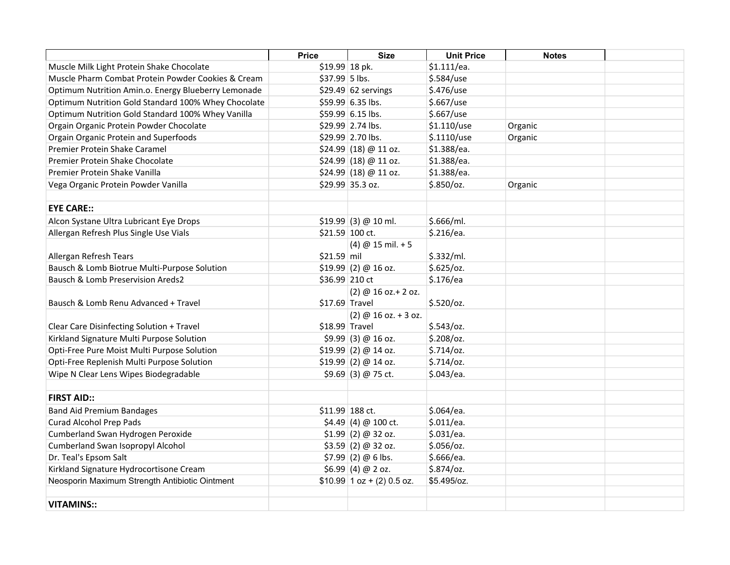|                                                     | <b>Price</b>    | <b>Size</b>                      | <b>Unit Price</b> | <b>Notes</b> |  |
|-----------------------------------------------------|-----------------|----------------------------------|-------------------|--------------|--|
| Muscle Milk Light Protein Shake Chocolate           | $$19.99$ 18 pk. |                                  | \$1.111/ea.       |              |  |
| Muscle Pharm Combat Protein Powder Cookies & Cream  | \$37.99 5 lbs.  |                                  | \$.584/use        |              |  |
| Optimum Nutrition Amin.o. Energy Blueberry Lemonade |                 | $$29.49$ 62 servings             | \$.476/use        |              |  |
| Optimum Nutrition Gold Standard 100% Whey Chocolate |                 | \$59.99 6.35 lbs.                | \$.667/use        |              |  |
| Optimum Nutrition Gold Standard 100% Whey Vanilla   |                 | \$59.99 6.15 lbs.                | \$.667/use        |              |  |
| Orgain Organic Protein Powder Chocolate             |                 | \$29.99 2.74 lbs.                | \$1.110/use       | Organic      |  |
| Orgain Organic Protein and Superfoods               |                 | \$29.99 2.70 lbs.                | $$.1110/$ use     | Organic      |  |
| Premier Protein Shake Caramel                       |                 | \$24.99 (18) @ 11 oz.            | \$1.388/ea.       |              |  |
| Premier Protein Shake Chocolate                     |                 | \$24.99 (18) @ 11 oz.            | \$1.388/ea.       |              |  |
| Premier Protein Shake Vanilla                       |                 | $$24.99$ (18) @ 11 oz.           | \$1.388/ea.       |              |  |
| Vega Organic Protein Powder Vanilla                 |                 | \$29.99 35.3 oz.                 | \$.850/cz.        | Organic      |  |
|                                                     |                 |                                  |                   |              |  |
| <b>EYE CARE::</b>                                   |                 |                                  |                   |              |  |
| Alcon Systane Ultra Lubricant Eye Drops             |                 | \$19.99 (3) @ 10 ml.             | \$.666/ml.        |              |  |
| Allergan Refresh Plus Single Use Vials              |                 | \$21.59 100 ct.                  | \$.216/ea.        |              |  |
|                                                     |                 | $(4) @ 15$ mil. + 5              |                   |              |  |
| Allergan Refresh Tears                              | \$21.59 mil     |                                  | \$.332/ml.        |              |  |
| Bausch & Lomb Biotrue Multi-Purpose Solution        |                 | $$19.99$ (2) @ 16 oz.            | \$.625/oz.        |              |  |
| Bausch & Lomb Preservision Areds2                   | \$36.99 210 ct  |                                  | \$.176/ea         |              |  |
|                                                     |                 | (2) @ 16 oz.+ 2 oz.              |                   |              |  |
| Bausch & Lomb Renu Advanced + Travel                | \$17.69 Travel  |                                  | $$.520$ /oz.      |              |  |
|                                                     |                 | $(2) @ 16$ oz. + 3 oz.           |                   |              |  |
| Clear Care Disinfecting Solution + Travel           | \$18.99 Travel  |                                  | $$.543$ /oz.      |              |  |
| Kirkland Signature Multi Purpose Solution           |                 | $$9.99$ (3) @ 16 oz.             | $$.208$ /oz.      |              |  |
| Opti-Free Pure Moist Multi Purpose Solution         |                 | $$19.99$ (2) @ 14 oz.            | $$.714$ /oz.      |              |  |
| Opti-Free Replenish Multi Purpose Solution          |                 | $$19.99$ (2) @ 14 oz.            | $$.714$ /oz.      |              |  |
| Wipe N Clear Lens Wipes Biodegradable               |                 | $$9.69$ (3) @ 75 ct.             | \$.043/ea.        |              |  |
|                                                     |                 |                                  |                   |              |  |
| <b>FIRST AID::</b>                                  |                 |                                  |                   |              |  |
| <b>Band Aid Premium Bandages</b>                    |                 | \$11.99 188 ct.                  | \$.064/ea.        |              |  |
| <b>Curad Alcohol Prep Pads</b>                      |                 | $$4.49$ (4) @ 100 ct.            | \$.011/ea.        |              |  |
| Cumberland Swan Hydrogen Peroxide                   |                 | $$1.99$ (2) @ 32 oz.             | \$.031/ea.        |              |  |
| <b>Cumberland Swan Isopropyl Alcohol</b>            |                 | \$3.59(2) @ 32 oz.               | $$.056$ /oz.      |              |  |
| Dr. Teal's Epsom Salt                               |                 | $$7.99$ (2) @ 6 lbs.             | \$.666/ea.        |              |  |
| Kirkland Signature Hydrocortisone Cream             |                 | $$6.99$ (4) @ 2 oz.              | $$.874$ /oz.      |              |  |
| Neosporin Maximum Strength Antibiotic Ointment      |                 | $$10.99 \mid 1 oz + (2) 0.5 oz.$ | \$5.495/oz.       |              |  |
|                                                     |                 |                                  |                   |              |  |
| <b>VITAMINS::</b>                                   |                 |                                  |                   |              |  |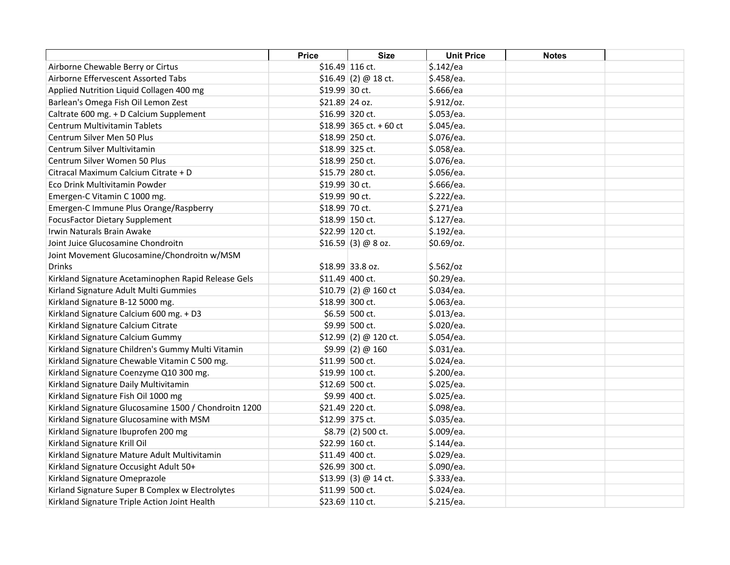|                                                       | <b>Price</b>   | <b>Size</b>             | <b>Unit Price</b> | <b>Notes</b> |  |
|-------------------------------------------------------|----------------|-------------------------|-------------------|--------------|--|
| Airborne Chewable Berry or Cirtus                     |                | \$16.49 116 ct.         | \$.142/ea         |              |  |
| Airborne Effervescent Assorted Tabs                   |                | $$16.49$ (2) @ 18 ct.   | \$.458/ea.        |              |  |
| Applied Nutrition Liquid Collagen 400 mg              | \$19.99 30 ct. |                         | \$.666/ea         |              |  |
| Barlean's Omega Fish Oil Lemon Zest                   | \$21.89 24 oz. |                         | \$.912/oz.        |              |  |
| Caltrate 600 mg. + D Calcium Supplement               |                | \$16.99 320 ct.         | \$.053/ea.        |              |  |
| Centrum Multivitamin Tablets                          |                | \$18.99 365 ct. + 60 ct | \$.045/ea.        |              |  |
| Centrum Silver Men 50 Plus                            |                | \$18.99 250 ct.         | \$.076/ea.        |              |  |
| Centrum Silver Multivitamin                           |                | \$18.99 325 ct.         | \$.058/ea.        |              |  |
| Centrum Silver Women 50 Plus                          |                | \$18.99 250 ct.         | \$.076/ea.        |              |  |
| Citracal Maximum Calcium Citrate + D                  |                | \$15.79 280 ct.         | \$.056/ea.        |              |  |
| Eco Drink Multivitamin Powder                         | \$19.99 30 ct. |                         | \$.666/ea.        |              |  |
| Emergen-C Vitamin C 1000 mg.                          | \$19.99 90 ct. |                         | \$.222/ea.        |              |  |
| Emergen-C Immune Plus Orange/Raspberry                | \$18.99 70 ct. |                         | \$.271/ea         |              |  |
| <b>FocusFactor Dietary Supplement</b>                 |                | \$18.99 150 ct.         | \$.127/ea.        |              |  |
| Irwin Naturals Brain Awake                            |                | \$22.99 120 ct.         | \$.192/ea.        |              |  |
| Joint Juice Glucosamine Chondroitn                    |                | \$16.59(3) @ 8 oz.      | \$0.69/oz.        |              |  |
| Joint Movement Glucosamine/Chondroitn w/MSM           |                |                         |                   |              |  |
| Drinks                                                |                | \$18.99 33.8 oz.        | \$.562/oz         |              |  |
| Kirkland Signature Acetaminophen Rapid Release Gels   |                | \$11.49 400 ct.         | \$0.29/ea.        |              |  |
| Kirland Signature Adult Multi Gummies                 |                | \$10.79 (2) @ 160 ct    | \$.034/ea.        |              |  |
| Kirkland Signature B-12 5000 mg.                      |                | \$18.99 300 ct.         | \$.063/ea.        |              |  |
| Kirkland Signature Calcium 600 mg. + D3               |                | \$6.59 500 ct.          | \$.013/ea.        |              |  |
| Kirkland Signature Calcium Citrate                    |                | \$9.99 500 ct.          | \$.020/ea.        |              |  |
| Kirkland Signature Calcium Gummy                      |                | $$12.99$ (2) @ 120 ct.  | \$.054/ea.        |              |  |
| Kirkland Signature Children's Gummy Multi Vitamin     |                | \$9.99(2) @ 160         | \$.031/ea.        |              |  |
| Kirkland Signature Chewable Vitamin C 500 mg.         |                | \$11.99 500 ct.         | \$.024/ea.        |              |  |
| Kirkland Signature Coenzyme Q10 300 mg.               |                | \$19.99 100 ct.         | \$.200/ea.        |              |  |
| Kirkland Signature Daily Multivitamin                 |                | \$12.69 500 ct.         | \$.025/ea.        |              |  |
| Kirkland Signature Fish Oil 1000 mg                   |                | \$9.99 400 ct.          | \$.025/ea.        |              |  |
| Kirkland Signature Glucosamine 1500 / Chondroitn 1200 |                | \$21.49 220 ct.         | \$.098/ea.        |              |  |
| Kirkland Signature Glucosamine with MSM               |                | \$12.99 375 ct.         | \$.035/ea.        |              |  |
| Kirkland Signature Ibuprofen 200 mg                   |                | $$8.79$ (2) 500 ct.     | \$.009/ea.        |              |  |
| Kirkland Signature Krill Oil                          |                | \$22.99 160 ct.         | \$.144/ea.        |              |  |
| Kirkland Signature Mature Adult Multivitamin          |                | \$11.49 400 ct.         | \$.029/ea.        |              |  |
| Kirkland Signature Occusight Adult 50+                |                | \$26.99 300 ct.         | \$.090/ea.        |              |  |
| Kirkland Signature Omeprazole                         |                | $$13.99$ (3) @ 14 ct.   | \$.333/ea.        |              |  |
| Kirland Signature Super B Complex w Electrolytes      |                | \$11.99 500 ct.         | \$.024/ea.        |              |  |
| Kirkland Signature Triple Action Joint Health         |                | \$23.69 110 ct.         | \$.215/ea.        |              |  |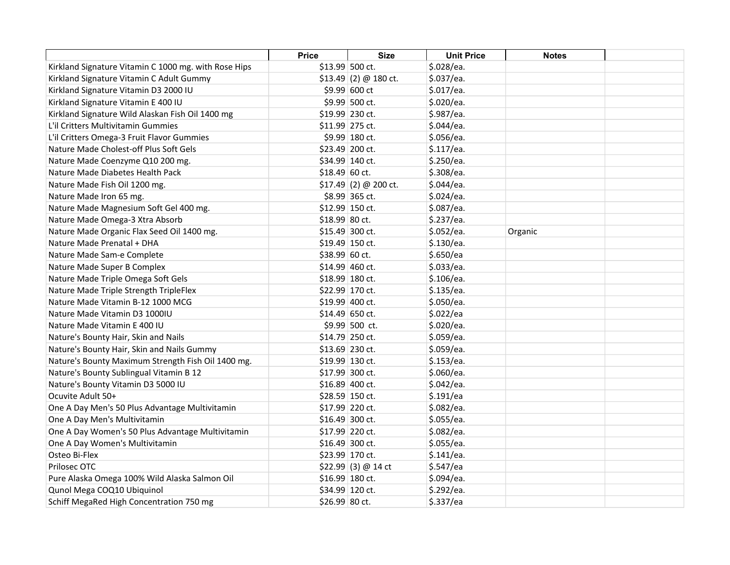|                                                      | <b>Price</b>    | <b>Size</b>            | <b>Unit Price</b> | <b>Notes</b> |  |
|------------------------------------------------------|-----------------|------------------------|-------------------|--------------|--|
| Kirkland Signature Vitamin C 1000 mg. with Rose Hips |                 | \$13.99 500 ct.        | \$.028/ea.        |              |  |
| Kirkland Signature Vitamin C Adult Gummy             |                 | \$13.49 (2) @ 180 ct.  | \$.037/ea.        |              |  |
| Kirkland Signature Vitamin D3 2000 IU                |                 | \$9.99 600 ct          | \$.017/ea.        |              |  |
| Kirkland Signature Vitamin E 400 IU                  |                 | \$9.99 500 ct.         | \$.020/ea.        |              |  |
| Kirkland Signature Wild Alaskan Fish Oil 1400 mg     | \$19.99 230 ct. |                        | \$.987/ea.        |              |  |
| L'il Critters Multivitamin Gummies                   |                 | \$11.99 275 ct.        | \$.044/ea.        |              |  |
| L'il Critters Omega-3 Fruit Flavor Gummies           |                 | \$9.99 180 ct.         | \$.056/ea.        |              |  |
| Nature Made Cholest-off Plus Soft Gels               |                 | \$23.49 200 ct.        | \$.117/ea.        |              |  |
| Nature Made Coenzyme Q10 200 mg.                     |                 | \$34.99 140 ct.        | \$.250/ea.        |              |  |
| Nature Made Diabetes Health Pack                     | \$18.49 60 ct.  |                        | \$.308/ea.        |              |  |
| Nature Made Fish Oil 1200 mg.                        |                 | $$17.49$ (2) @ 200 ct. | \$.044/ea.        |              |  |
| Nature Made Iron 65 mg.                              |                 | \$8.99 365 ct.         | \$.024/ea.        |              |  |
| Nature Made Magnesium Soft Gel 400 mg.               |                 | \$12.99 150 ct.        | \$.087/ea.        |              |  |
| Nature Made Omega-3 Xtra Absorb                      | \$18.99 80 ct.  |                        | \$.237/ea.        |              |  |
| Nature Made Organic Flax Seed Oil 1400 mg.           |                 | \$15.49 300 ct.        | \$.052/ea.        | Organic      |  |
| Nature Made Prenatal + DHA                           |                 | \$19.49 150 ct.        | \$.130/ea.        |              |  |
| Nature Made Sam-e Complete                           | \$38.99 60 ct.  |                        | \$.650/ea         |              |  |
| Nature Made Super B Complex                          |                 | \$14.99 460 ct.        | \$.033/ea.        |              |  |
| Nature Made Triple Omega Soft Gels                   |                 | \$18.99 180 ct.        | \$.106/ea.        |              |  |
| Nature Made Triple Strength TripleFlex               |                 | \$22.99 170 ct.        | \$.135/ea.        |              |  |
| Nature Made Vitamin B-12 1000 MCG                    |                 | \$19.99 400 ct.        | \$.050/ea.        |              |  |
| Nature Made Vitamin D3 1000IU                        |                 | \$14.49 650 ct.        | \$.022/ea         |              |  |
| Nature Made Vitamin E 400 IU                         |                 | \$9.99 500 ct.         | \$.020/ea.        |              |  |
| Nature's Bounty Hair, Skin and Nails                 |                 | \$14.79 250 ct.        | \$.059/ea.        |              |  |
| Nature's Bounty Hair, Skin and Nails Gummy           |                 | \$13.69 230 ct.        | \$.059/ea.        |              |  |
| Nature's Bounty Maximum Strength Fish Oil 1400 mg.   |                 | \$19.99 130 ct.        | \$.153/ea.        |              |  |
| Nature's Bounty Sublingual Vitamin B 12              |                 | \$17.99 300 ct.        | \$.060/ea.        |              |  |
| Nature's Bounty Vitamin D3 5000 IU                   |                 | \$16.89 400 ct.        | \$.042/ea.        |              |  |
| Ocuvite Adult 50+                                    |                 | \$28.59 150 ct.        | \$.191/ea         |              |  |
| One A Day Men's 50 Plus Advantage Multivitamin       |                 | \$17.99 220 ct.        | \$.082/ea.        |              |  |
| One A Day Men's Multivitamin                         |                 | \$16.49 300 ct.        | \$.055/ea.        |              |  |
| One A Day Women's 50 Plus Advantage Multivitamin     |                 | \$17.99 220 ct.        | \$.082/ea.        |              |  |
| One A Day Women's Multivitamin                       |                 | \$16.49 300 ct.        | \$.055/ea.        |              |  |
| Osteo Bi-Flex                                        |                 | \$23.99 170 ct.        | \$.141/ea.        |              |  |
| Prilosec OTC                                         |                 | $$22.99$ (3) @ 14 ct   | \$.547/ea         |              |  |
| Pure Alaska Omega 100% Wild Alaska Salmon Oil        |                 | \$16.99 180 ct.        | \$.094/ea.        |              |  |
| Qunol Mega COQ10 Ubiquinol                           |                 | \$34.99 120 ct.        | \$.292/ea.        |              |  |
| Schiff MegaRed High Concentration 750 mg             | \$26.99 80 ct.  |                        | \$.337/ea         |              |  |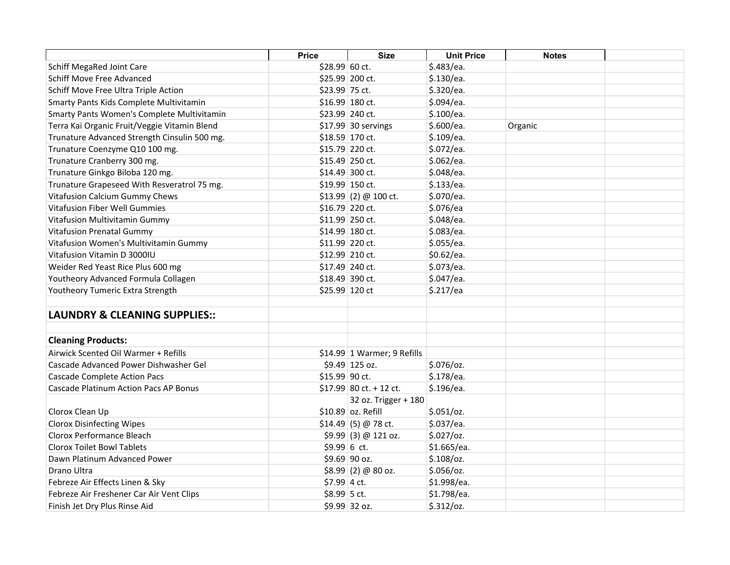|                                              | <b>Price</b>    | <b>Size</b>                  | <b>Unit Price</b> | <b>Notes</b> |  |
|----------------------------------------------|-----------------|------------------------------|-------------------|--------------|--|
| <b>Schiff MegaRed Joint Care</b>             | \$28.99 60 ct.  |                              | \$.483/ea.        |              |  |
| <b>Schiff Move Free Advanced</b>             | \$25.99 200 ct. |                              | \$.130/ea.        |              |  |
| Schiff Move Free Ultra Triple Action         | \$23.99 75 ct.  |                              | \$.320/ea.        |              |  |
| Smarty Pants Kids Complete Multivitamin      | \$16.99 180 ct. |                              | \$.094/ea.        |              |  |
| Smarty Pants Women's Complete Multivitamin   | \$23.99 240 ct. |                              | \$.100/ea.        |              |  |
| Terra Kai Organic Fruit/Veggie Vitamin Blend |                 | $$17.99$ 30 servings         | \$.600/ea.        | Organic      |  |
| Trunature Advanced Strength Cinsulin 500 mg. |                 | \$18.59 170 ct.              | \$.109/ea.        |              |  |
| Trunature Coenzyme Q10 100 mg.               | \$15.79 220 ct. |                              | \$.072/ea.        |              |  |
| Trunature Cranberry 300 mg.                  | \$15.49 250 ct. |                              | \$.062/ea.        |              |  |
| Trunature Ginkgo Biloba 120 mg.              |                 | \$14.49 300 ct.              | \$.048/ea.        |              |  |
| Trunature Grapeseed With Resveratrol 75 mg.  |                 | \$19.99 150 ct.              | \$.133/ea.        |              |  |
| Vitafusion Calcium Gummy Chews               |                 | $$13.99$ (2) @ 100 ct.       | \$.070/ea.        |              |  |
| Vitafusion Fiber Well Gummies                |                 | \$16.79 220 ct.              | \$.076/ea         |              |  |
| Vitafusion Multivitamin Gummy                | \$11.99 250 ct. |                              | \$.048/ea.        |              |  |
| <b>Vitafusion Prenatal Gummy</b>             |                 | \$14.99 180 ct.              | \$.083/ea.        |              |  |
| Vitafusion Women's Multivitamin Gummy        |                 | \$11.99 220 ct.              | \$.055/ea.        |              |  |
| Vitafusion Vitamin D 3000IU                  | \$12.99 210 ct. |                              | \$0.62/ea.        |              |  |
| Weider Red Yeast Rice Plus 600 mg            | \$17.49 240 ct. |                              | \$.073/ea.        |              |  |
| Youtheory Advanced Formula Collagen          |                 | \$18.49 390 ct.              | \$.047/ea.        |              |  |
| Youtheory Tumeric Extra Strength             | \$25.99 120 ct  |                              | \$.217/ea         |              |  |
| <b>LAUNDRY &amp; CLEANING SUPPLIES::</b>     |                 |                              |                   |              |  |
| <b>Cleaning Products:</b>                    |                 |                              |                   |              |  |
| Airwick Scented Oil Warmer + Refills         |                 | $$14.99$ 1 Warmer; 9 Refills |                   |              |  |
| Cascade Advanced Power Dishwasher Gel        |                 | \$9.49 125 oz.               | $$.076$ /oz.      |              |  |
| <b>Cascade Complete Action Pacs</b>          | \$15.99 90 ct.  |                              | \$.178/ea.        |              |  |
| <b>Cascade Platinum Action Pacs AP Bonus</b> |                 | $$17.99$ 80 ct. + 12 ct.     | \$.196/ea.        |              |  |
|                                              |                 | 32 oz. Trigger + 180         |                   |              |  |
| Clorox Clean Up                              |                 | \$10.89 oz. Refill           | \$.051/oz.        |              |  |
| <b>Clorox Disinfecting Wipes</b>             |                 | $$14.49$ (5) @ 78 ct.        | \$.037/ea.        |              |  |
| Clorox Performance Bleach                    |                 | $$9.99$ (3) @ 121 oz.        | $$.027$ /oz.      |              |  |
| <b>Clorox Toilet Bowl Tablets</b>            | $$9.99 6$ ct.   |                              | \$1.665/ea.       |              |  |
| Dawn Platinum Advanced Power                 |                 | \$9.69 90 oz.                | $$.108$ /oz.      |              |  |
| Drano Ultra                                  |                 | $$8.99$ (2) @ 80 oz.         | $$.056$ /oz.      |              |  |
| Febreze Air Effects Linen & Sky              | \$7.99 4 ct.    |                              | \$1.998/ea.       |              |  |
| Febreze Air Freshener Car Air Vent Clips     | \$8.99 5 ct.    |                              | \$1.798/ea.       |              |  |
| Finish Jet Dry Plus Rinse Aid                |                 | \$9.99 32 oz.                | \$.312/oz.        |              |  |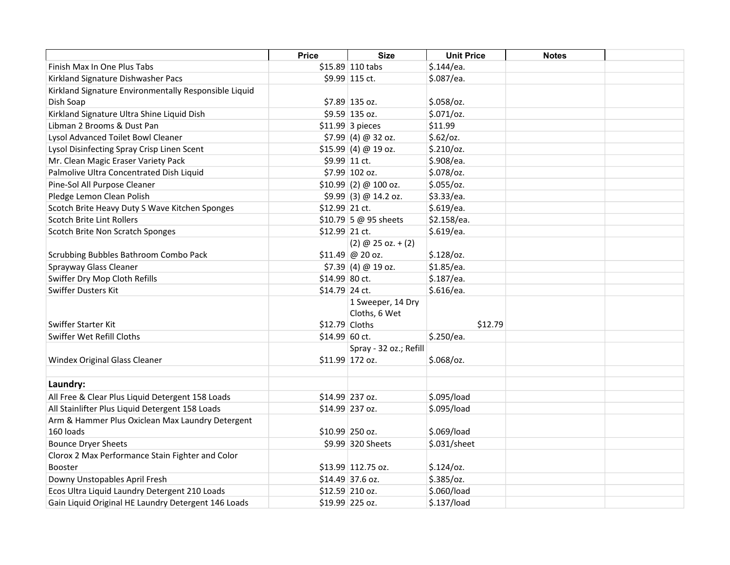|                                                       | <b>Price</b>    | <b>Size</b>            | <b>Unit Price</b> | <b>Notes</b> |  |
|-------------------------------------------------------|-----------------|------------------------|-------------------|--------------|--|
| Finish Max In One Plus Tabs                           |                 | \$15.89 110 tabs       | \$.144/ea.        |              |  |
| Kirkland Signature Dishwasher Pacs                    |                 | \$9.99 115 ct.         | \$.087/ea.        |              |  |
| Kirkland Signature Environmentally Responsible Liquid |                 |                        |                   |              |  |
| Dish Soap                                             |                 | \$7.89 135 oz.         | $$.058$ /oz.      |              |  |
| Kirkland Signature Ultra Shine Liquid Dish            |                 | \$9.59 135 oz.         | \$.071/oz.        |              |  |
| Libman 2 Brooms & Dust Pan                            |                 | $$11.99$ 3 pieces      | \$11.99           |              |  |
| Lysol Advanced Toilet Bowl Cleaner                    |                 | $$7.99$ (4) @ 32 oz.   | \$.62/oz.         |              |  |
| Lysol Disinfecting Spray Crisp Linen Scent            |                 | \$15.99(4) @ 19 oz.    | \$.210/oz.        |              |  |
| Mr. Clean Magic Eraser Variety Pack                   |                 | \$9.99 11 ct.          | \$.908/ea.        |              |  |
| Palmolive Ultra Concentrated Dish Liquid              |                 | \$7.99 102 oz.         | \$.078/oz.        |              |  |
| Pine-Sol All Purpose Cleaner                          |                 | $$10.99$ (2) @ 100 oz. | \$.055/oz.        |              |  |
| Pledge Lemon Clean Polish                             |                 | $$9.99$ (3) @ 14.2 oz. | \$3.33/ea.        |              |  |
| Scotch Brite Heavy Duty S Wave Kitchen Sponges        | \$12.99 21 ct.  |                        | \$.619/ea.        |              |  |
| Scotch Brite Lint Rollers                             |                 | \$10.79 5 @ 95 sheets  | \$2.158/ea.       |              |  |
| Scotch Brite Non Scratch Sponges                      | \$12.99 21 ct.  |                        | \$.619/ea.        |              |  |
|                                                       |                 | $(2)$ @ 25 oz. + $(2)$ |                   |              |  |
| Scrubbing Bubbles Bathroom Combo Pack                 |                 | $$11.49$ @ 20 oz.      | $$.128$ /oz.      |              |  |
| Sprayway Glass Cleaner                                |                 | \$7.39(4) @ 19 oz.     | \$1.85/ea.        |              |  |
| Swiffer Dry Mop Cloth Refills                         | \$14.99 80 ct.  |                        | \$.187/ea.        |              |  |
| <b>Swiffer Dusters Kit</b>                            | \$14.79 24 ct.  |                        | \$.616/ea.        |              |  |
|                                                       |                 | 1 Sweeper, 14 Dry      |                   |              |  |
|                                                       |                 | Cloths, 6 Wet          |                   |              |  |
| Swiffer Starter Kit                                   | $$12.79$ Cloths |                        | \$12.79           |              |  |
| Swiffer Wet Refill Cloths                             | $$14.99$ 60 ct. |                        | \$.250/ea.        |              |  |
|                                                       |                 | Spray - 32 oz.; Refill |                   |              |  |
| <b>Windex Original Glass Cleaner</b>                  |                 | \$11.99 172 oz.        | $$.068$ /oz.      |              |  |
|                                                       |                 |                        |                   |              |  |
| Laundry:                                              |                 |                        |                   |              |  |
| All Free & Clear Plus Liquid Detergent 158 Loads      |                 | \$14.99 237 oz.        | \$.095/load       |              |  |
| All Stainlifter Plus Liquid Detergent 158 Loads       |                 | \$14.99 237 oz.        | \$.095/load       |              |  |
| Arm & Hammer Plus Oxiclean Max Laundry Detergent      |                 |                        |                   |              |  |
| 160 loads                                             |                 | \$10.99 250 oz.        | \$.069/load       |              |  |
| <b>Bounce Dryer Sheets</b>                            |                 | \$9.99 320 Sheets      | \$.031/sheet      |              |  |
| Clorox 2 Max Performance Stain Fighter and Color      |                 |                        |                   |              |  |
| <b>Booster</b>                                        |                 | \$13.99 112.75 oz.     | $$.124$ /oz.      |              |  |
| Downy Unstopables April Fresh                         |                 | \$14.49 37.6 oz.       | $$.385$ /oz.      |              |  |
| Ecos Ultra Liquid Laundry Detergent 210 Loads         |                 | \$12.59 210 oz.        | \$.060/load       |              |  |
| Gain Liquid Original HE Laundry Detergent 146 Loads   |                 | \$19.99 225 oz.        | \$.137/load       |              |  |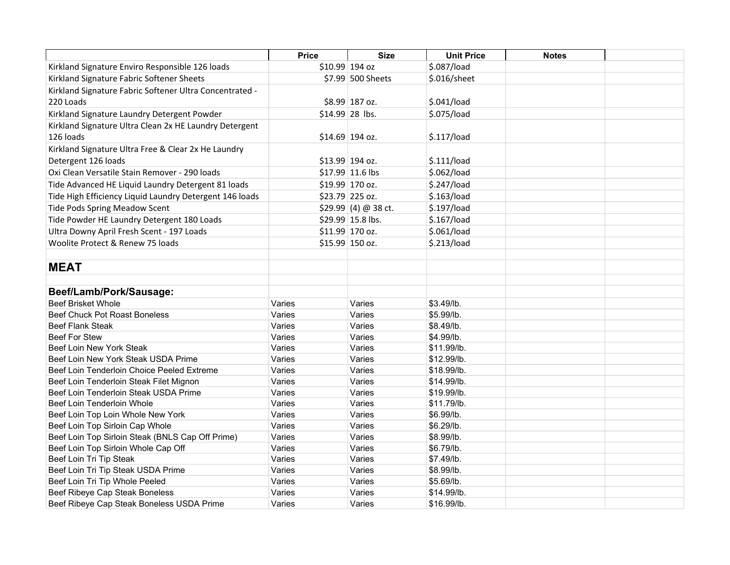|                                                         | <b>Price</b> | <b>Size</b>          | <b>Unit Price</b> | <b>Notes</b> |  |
|---------------------------------------------------------|--------------|----------------------|-------------------|--------------|--|
| Kirkland Signature Enviro Responsible 126 loads         |              | \$10.99 194 oz       | \$.087/load       |              |  |
| Kirkland Signature Fabric Softener Sheets               |              | \$7.99 500 Sheets    | \$.016/sheet      |              |  |
| Kirkland Signature Fabric Softener Ultra Concentrated - |              |                      |                   |              |  |
| 220 Loads                                               |              | \$8.99 187 oz.       | \$.041/load       |              |  |
| Kirkland Signature Laundry Detergent Powder             |              | \$14.99 28 lbs.      | \$.075/load       |              |  |
| Kirkland Signature Ultra Clean 2x HE Laundry Detergent  |              |                      |                   |              |  |
| 126 loads                                               |              | \$14.69 194 oz.      | \$.117/load       |              |  |
| Kirkland Signature Ultra Free & Clear 2x He Laundry     |              |                      |                   |              |  |
| Detergent 126 loads                                     |              | \$13.99 194 oz.      | \$.111/load       |              |  |
| Oxi Clean Versatile Stain Remover - 290 loads           |              | \$17.99 11.6 lbs     | \$.062/load       |              |  |
| Tide Advanced HE Liquid Laundry Detergent 81 loads      |              | \$19.99 170 oz.      | \$.247/load       |              |  |
| Tide High Efficiency Liquid Laundry Detergent 146 loads |              | \$23.79 225 oz.      | \$.163/load       |              |  |
| <b>Tide Pods Spring Meadow Scent</b>                    |              | $$29.99(4) @ 38$ ct. | \$.197/load       |              |  |
| Tide Powder HE Laundry Detergent 180 Loads              |              | \$29.99 15.8 lbs.    | \$.167/load       |              |  |
| Ultra Downy April Fresh Scent - 197 Loads               |              | \$11.99 170 oz.      | \$.061/load       |              |  |
| Woolite Protect & Renew 75 loads                        |              | \$15.99 150 oz.      | \$.213/load       |              |  |
|                                                         |              |                      |                   |              |  |
| <b>MEAT</b>                                             |              |                      |                   |              |  |
|                                                         |              |                      |                   |              |  |
| Beef/Lamb/Pork/Sausage:                                 |              |                      |                   |              |  |
| <b>Beef Brisket Whole</b>                               | Varies       | Varies               | \$3.49/lb.        |              |  |
| <b>Beef Chuck Pot Roast Boneless</b>                    | Varies       | Varies               | \$5.99/lb.        |              |  |
| <b>Beef Flank Steak</b>                                 | Varies       | Varies               | \$8.49/lb.        |              |  |
| <b>Beef For Stew</b>                                    | Varies       | Varies               | \$4.99/lb.        |              |  |
| Beef Loin New York Steak                                | Varies       | Varies               | \$11.99/lb.       |              |  |
| Beef Loin New York Steak USDA Prime                     | Varies       | Varies               | \$12.99/lb.       |              |  |
| Beef Loin Tenderloin Choice Peeled Extreme              | Varies       | Varies               | \$18.99/lb.       |              |  |
| Beef Loin Tenderloin Steak Filet Mignon                 | Varies       | Varies               | \$14.99/lb.       |              |  |
| Beef Loin Tenderloin Steak USDA Prime                   | Varies       | Varies               | \$19.99/lb.       |              |  |
| Beef Loin Tenderloin Whole                              | Varies       | Varies               | \$11.79/lb.       |              |  |
| Beef Loin Top Loin Whole New York                       | Varies       | Varies               | \$6.99/lb.        |              |  |
| Beef Loin Top Sirloin Cap Whole                         | Varies       | Varies               | \$6.29/lb.        |              |  |
| Beef Loin Top Sirloin Steak (BNLS Cap Off Prime)        | Varies       | Varies               | \$8.99/lb.        |              |  |
| Beef Loin Top Sirloin Whole Cap Off                     | Varies       | Varies               | \$6.79/lb.        |              |  |
| Beef Loin Tri Tip Steak                                 | Varies       | Varies               | \$7.49/lb.        |              |  |
| Beef Loin Tri Tip Steak USDA Prime                      | Varies       | Varies               | \$8.99/lb.        |              |  |
| Beef Loin Tri Tip Whole Peeled                          | Varies       | Varies               | \$5.69/lb.        |              |  |
| Beef Ribeye Cap Steak Boneless                          | Varies       | Varies               | \$14.99/lb.       |              |  |
| Beef Ribeye Cap Steak Boneless USDA Prime               | Varies       | Varies               | \$16.99/lb.       |              |  |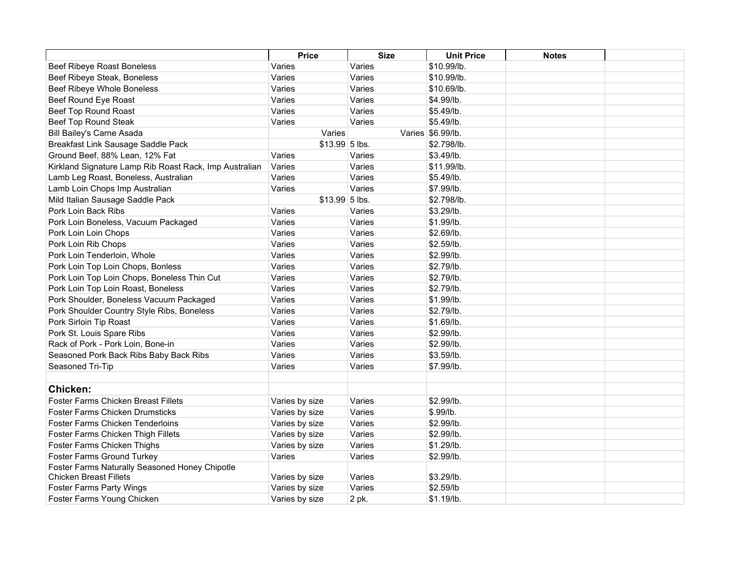|                                                                                 | <b>Price</b>   | <b>Size</b> | <b>Unit Price</b> | <b>Notes</b> |  |
|---------------------------------------------------------------------------------|----------------|-------------|-------------------|--------------|--|
| <b>Beef Ribeye Roast Boneless</b>                                               | Varies         | Varies      | \$10.99/lb.       |              |  |
| Beef Ribeye Steak, Boneless                                                     | Varies         | Varies      | \$10.99/lb.       |              |  |
| Beef Ribeye Whole Boneless                                                      | Varies         | Varies      | \$10.69/lb.       |              |  |
| Beef Round Eye Roast                                                            | Varies         | Varies      | \$4.99/lb.        |              |  |
| Beef Top Round Roast                                                            | Varies         | Varies      | \$5.49/lb.        |              |  |
| Beef Top Round Steak                                                            | Varies         | Varies      | \$5.49/lb.        |              |  |
| <b>Bill Bailey's Carne Asada</b>                                                | Varies         |             | Varies \$6.99/lb. |              |  |
| Breakfast Link Sausage Saddle Pack                                              | \$13.99 5 lbs. |             | \$2.798/lb.       |              |  |
| Ground Beef, 88% Lean, 12% Fat                                                  | Varies         | Varies      | \$3.49/lb.        |              |  |
| Kirkland Signature Lamp Rib Roast Rack, Imp Australian                          | Varies         | Varies      | \$11.99/lb.       |              |  |
| Lamb Leg Roast, Boneless, Australian                                            | Varies         | Varies      | \$5.49/lb.        |              |  |
| Lamb Loin Chops Imp Australian                                                  | Varies         | Varies      | \$7.99/lb.        |              |  |
| Mild Italian Sausage Saddle Pack                                                | \$13.99 5 lbs. |             | \$2.798/lb.       |              |  |
| Pork Loin Back Ribs                                                             | Varies         | Varies      | \$3.29/lb.        |              |  |
| Pork Loin Boneless, Vacuum Packaged                                             | Varies         | Varies      | \$1.99/lb.        |              |  |
| Pork Loin Loin Chops                                                            | Varies         | Varies      | \$2.69/lb.        |              |  |
| Pork Loin Rib Chops                                                             | Varies         | Varies      | \$2.59/lb.        |              |  |
| Pork Loin Tenderloin, Whole                                                     | Varies         | Varies      | \$2.99/lb.        |              |  |
| Pork Loin Top Loin Chops, Bonless                                               | Varies         | Varies      | \$2.79/lb.        |              |  |
| Pork Loin Top Loin Chops, Boneless Thin Cut                                     | Varies         | Varies      | \$2.79/lb.        |              |  |
| Pork Loin Top Loin Roast, Boneless                                              | Varies         | Varies      | \$2.79/lb.        |              |  |
| Pork Shoulder, Boneless Vacuum Packaged                                         | Varies         | Varies      | \$1.99/lb.        |              |  |
| Pork Shoulder Country Style Ribs, Boneless                                      | Varies         | Varies      | \$2.79/lb.        |              |  |
| Pork Sirloin Tip Roast                                                          | Varies         | Varies      | \$1.69/lb.        |              |  |
| Pork St. Louis Spare Ribs                                                       | Varies         | Varies      | \$2.99/lb.        |              |  |
| Rack of Pork - Pork Loin, Bone-in                                               | Varies         | Varies      | \$2.99/lb.        |              |  |
| Seasoned Pork Back Ribs Baby Back Ribs                                          | Varies         | Varies      | \$3.59/lb.        |              |  |
| Seasoned Tri-Tip                                                                | Varies         | Varies      | \$7.99/lb.        |              |  |
|                                                                                 |                |             |                   |              |  |
| <b>Chicken:</b>                                                                 |                |             |                   |              |  |
| Foster Farms Chicken Breast Fillets                                             | Varies by size | Varies      | \$2.99/lb.        |              |  |
| Foster Farms Chicken Drumsticks                                                 | Varies by size | Varies      | \$.99/lb.         |              |  |
| <b>Foster Farms Chicken Tenderloins</b>                                         | Varies by size | Varies      | \$2.99/lb.        |              |  |
| Foster Farms Chicken Thigh Fillets                                              | Varies by size | Varies      | \$2.99/lb.        |              |  |
| Foster Farms Chicken Thighs                                                     | Varies by size | Varies      | \$1.29/lb.        |              |  |
| <b>Foster Farms Ground Turkey</b>                                               | Varies         | Varies      | \$2.99/lb.        |              |  |
| Foster Farms Naturally Seasoned Honey Chipotle<br><b>Chicken Breast Fillets</b> | Varies by size | Varies      | \$3.29/lb.        |              |  |
| <b>Foster Farms Party Wings</b>                                                 | Varies by size | Varies      | \$2.59/lb         |              |  |
| Foster Farms Young Chicken                                                      | Varies by size | 2 pk.       | \$1.19/lb.        |              |  |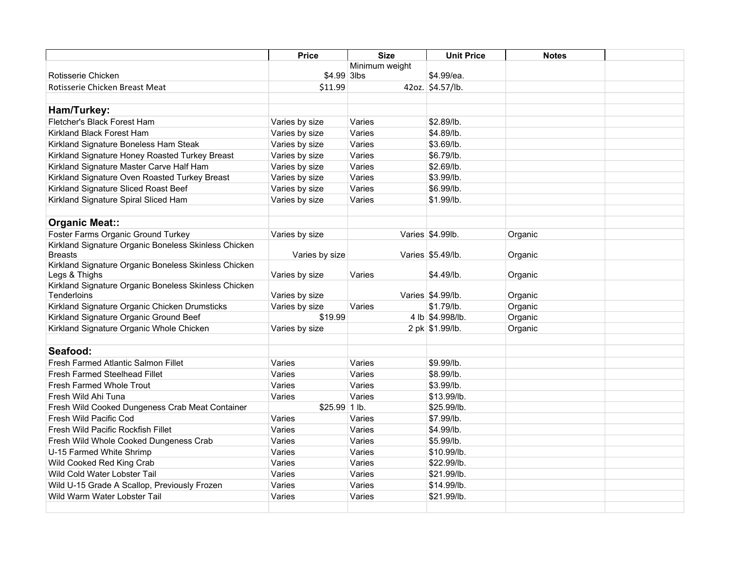|                                                      | <b>Price</b>   | <b>Size</b>    | <b>Unit Price</b> | <b>Notes</b> |  |
|------------------------------------------------------|----------------|----------------|-------------------|--------------|--|
|                                                      |                | Minimum weight |                   |              |  |
| Rotisserie Chicken                                   | $$4.99$ 3lbs   |                | \$4.99/ea.        |              |  |
| Rotisserie Chicken Breast Meat                       | \$11.99        |                | 42oz. \$4.57/lb.  |              |  |
|                                                      |                |                |                   |              |  |
| Ham/Turkey:                                          |                |                |                   |              |  |
| Fletcher's Black Forest Ham                          | Varies by size | Varies         | \$2.89/lb.        |              |  |
| Kirkland Black Forest Ham                            | Varies by size | Varies         | \$4.89/lb.        |              |  |
| Kirkland Signature Boneless Ham Steak                | Varies by size | Varies         | \$3.69/lb.        |              |  |
| Kirkland Signature Honey Roasted Turkey Breast       | Varies by size | Varies         | \$6.79/lb.        |              |  |
| Kirkland Signature Master Carve Half Ham             | Varies by size | Varies         | \$2.69/lb.        |              |  |
| Kirkland Signature Oven Roasted Turkey Breast        | Varies by size | Varies         | \$3.99/lb.        |              |  |
| Kirkland Signature Sliced Roast Beef                 | Varies by size | Varies         | \$6.99/lb.        |              |  |
| Kirkland Signature Spiral Sliced Ham                 | Varies by size | Varies         | \$1.99/lb.        |              |  |
|                                                      |                |                |                   |              |  |
| <b>Organic Meat::</b>                                |                |                |                   |              |  |
| Foster Farms Organic Ground Turkey                   | Varies by size |                | Varies \$4.99lb.  | Organic      |  |
| Kirkland Signature Organic Boneless Skinless Chicken |                |                |                   |              |  |
| <b>Breasts</b>                                       | Varies by size |                | Varies \$5.49/lb. | Organic      |  |
| Kirkland Signature Organic Boneless Skinless Chicken |                |                |                   |              |  |
| Legs & Thighs                                        | Varies by size | Varies         | \$4.49/lb.        | Organic      |  |
| Kirkland Signature Organic Boneless Skinless Chicken |                |                |                   |              |  |
| Tenderloins                                          | Varies by size |                | Varies \$4.99/lb. | Organic      |  |
| Kirkland Signature Organic Chicken Drumsticks        | Varies by size | Varies         | \$1.79/lb.        | Organic      |  |
| Kirkland Signature Organic Ground Beef               | \$19.99        |                | 4 lb \$4.998/lb.  | Organic      |  |
| Kirkland Signature Organic Whole Chicken             | Varies by size |                | 2 pk \$1.99/lb.   | Organic      |  |
|                                                      |                |                |                   |              |  |
| Seafood:                                             |                |                |                   |              |  |
| Fresh Farmed Atlantic Salmon Fillet                  | Varies         | Varies         | \$9.99/lb.        |              |  |
| <b>Fresh Farmed Steelhead Fillet</b>                 | Varies         | Varies         | \$8.99/lb.        |              |  |
| Fresh Farmed Whole Trout                             | Varies         | Varies         | \$3.99/lb.        |              |  |
| Fresh Wild Ahi Tuna                                  | Varies         | Varies         | \$13.99/lb.       |              |  |
| Fresh Wild Cooked Dungeness Crab Meat Container      | $$25.99 1$ lb. |                | \$25.99/lb.       |              |  |
| Fresh Wild Pacific Cod                               | Varies         | Varies         | \$7.99/lb.        |              |  |
| Fresh Wild Pacific Rockfish Fillet                   | Varies         | Varies         | \$4.99/lb.        |              |  |
| Fresh Wild Whole Cooked Dungeness Crab               | Varies         | Varies         | \$5.99/lb.        |              |  |
| U-15 Farmed White Shrimp                             | Varies         | Varies         | \$10.99/lb.       |              |  |
| Wild Cooked Red King Crab                            | Varies         | Varies         | \$22.99/lb.       |              |  |
| Wild Cold Water Lobster Tail                         | Varies         | Varies         | \$21.99/lb.       |              |  |
| Wild U-15 Grade A Scallop, Previously Frozen         | Varies         | Varies         | \$14.99/lb.       |              |  |
| Wild Warm Water Lobster Tail                         | Varies         | Varies         | \$21.99/lb.       |              |  |
|                                                      |                |                |                   |              |  |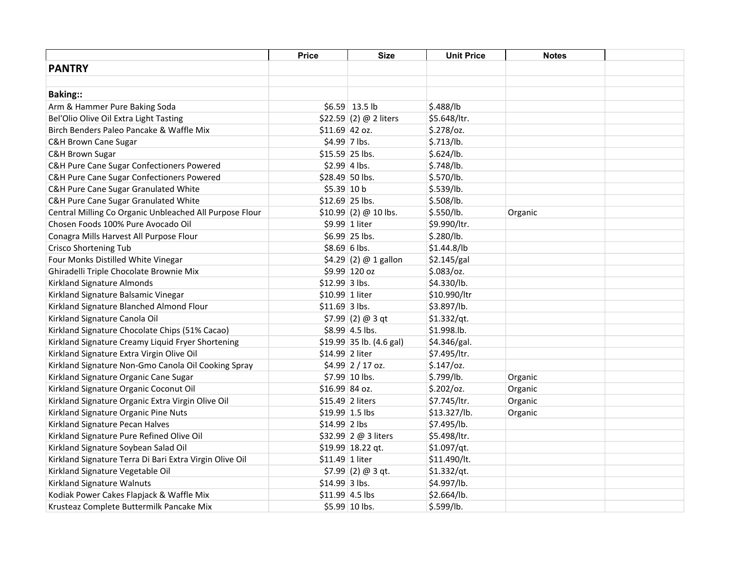|                                                         | Price           | <b>Size</b>               | <b>Unit Price</b> | <b>Notes</b> |  |
|---------------------------------------------------------|-----------------|---------------------------|-------------------|--------------|--|
| <b>PANTRY</b>                                           |                 |                           |                   |              |  |
|                                                         |                 |                           |                   |              |  |
| <b>Baking::</b>                                         |                 |                           |                   |              |  |
| Arm & Hammer Pure Baking Soda                           |                 | $$6.59$ 13.5 lb           | \$.488/lb         |              |  |
| Bel'Olio Olive Oil Extra Light Tasting                  |                 | \$22.59 (2) @ 2 liters    | \$5.648/ltr.      |              |  |
| Birch Benders Paleo Pancake & Waffle Mix                | $$11.69$ 42 oz. |                           | \$.278/oz.        |              |  |
| <b>C&amp;H Brown Cane Sugar</b>                         |                 | \$4.99 7 lbs.             | \$.713/lb.        |              |  |
| C&H Brown Sugar                                         |                 | \$15.59 25 lbs.           | \$.624/lb.        |              |  |
| C&H Pure Cane Sugar Confectioners Powered               |                 | $$2.99$ 4 lbs.            | \$.748/lb.        |              |  |
| C&H Pure Cane Sugar Confectioners Powered               |                 | \$28.49 50 lbs.           | \$.570/lb.        |              |  |
| C&H Pure Cane Sugar Granulated White                    | \$5.39 10 b     |                           | \$.539/lb.        |              |  |
| C&H Pure Cane Sugar Granulated White                    |                 | $$12.69$ 25 lbs.          | \$.508/lb.        |              |  |
| Central Milling Co Organic Unbleached All Purpose Flour |                 | $$10.99$ (2) @ 10 lbs.    | \$.550/lb.        | Organic      |  |
| Chosen Foods 100% Pure Avocado Oil                      |                 | \$9.99 1 liter            | \$9.990/ltr.      |              |  |
| Conagra Mills Harvest All Purpose Flour                 |                 | \$6.99 25 lbs.            | \$.280/lb.        |              |  |
| Crisco Shortening Tub                                   |                 | $$8.69 6$ lbs.            | \$1.44.8/lb       |              |  |
| Four Monks Distilled White Vinegar                      |                 | \$4.29 (2) @ 1 gallon     | \$2.145/gal       |              |  |
| Ghiradelli Triple Chocolate Brownie Mix                 |                 | \$9.99 120 oz             | $$.083$ /oz.      |              |  |
| Kirkland Signature Almonds                              | \$12.99 3 lbs.  |                           | \$4.330/lb.       |              |  |
| Kirkland Signature Balsamic Vinegar                     | \$10.99 1 liter |                           | \$10.990/ltr      |              |  |
| Kirkland Signature Blanched Almond Flour                | $$11.69$ 3 lbs. |                           | \$3.897/lb.       |              |  |
| Kirkland Signature Canola Oil                           |                 | \$7.99 (2) $\omega$ 3 qt  | \$1.332/qt.       |              |  |
| Kirkland Signature Chocolate Chips (51% Cacao)          |                 | $$8.99$ 4.5 lbs.          | \$1.998.lb.       |              |  |
| Kirkland Signature Creamy Liquid Fryer Shortening       |                 | $$19.99$ 35 lb. (4.6 gal) | \$4.346/gal.      |              |  |
| Kirkland Signature Extra Virgin Olive Oil               | \$14.99 2 liter |                           | \$7.495/ltr.      |              |  |
| Kirkland Signature Non-Gmo Canola Oil Cooking Spray     |                 | \$4.99 2 / 17 oz.         | $$.147$ /oz.      |              |  |
| Kirkland Signature Organic Cane Sugar                   |                 | \$7.99 10 lbs.            | \$.799/lb.        | Organic      |  |
| Kirkland Signature Organic Coconut Oil                  | \$16.99 84 oz.  |                           | \$.202/oz.        | Organic      |  |
| Kirkland Signature Organic Extra Virgin Olive Oil       |                 | \$15.49 2 liters          | \$7.745/ltr.      | Organic      |  |
| Kirkland Signature Organic Pine Nuts                    |                 | \$19.99 1.5 lbs           | \$13.327/lb.      | Organic      |  |
| Kirkland Signature Pecan Halves                         | \$14.99 2 lbs   |                           | \$7.495/lb.       |              |  |
| Kirkland Signature Pure Refined Olive Oil               |                 | \$32.99 2 @ 3 liters      | \$5.498/ltr.      |              |  |
| Kirkland Signature Soybean Salad Oil                    |                 | $$19.99$ 18.22 qt.        | \$1.097/qt.       |              |  |
| Kirkland Signature Terra Di Bari Extra Virgin Olive Oil | \$11.49 1 liter |                           | \$11.490/lt.      |              |  |
| Kirkland Signature Vegetable Oil                        |                 | $$7.99$ (2) @ 3 qt.       | \$1.332/qt.       |              |  |
| Kirkland Signature Walnuts                              | $$14.99$ 3 lbs. |                           | \$4.997/lb.       |              |  |
| Kodiak Power Cakes Flapjack & Waffle Mix                |                 | $$11.99$ 4.5 lbs          | \$2.664/lb.       |              |  |
| Krusteaz Complete Buttermilk Pancake Mix                |                 | \$5.99 10 lbs.            | \$.599/lb.        |              |  |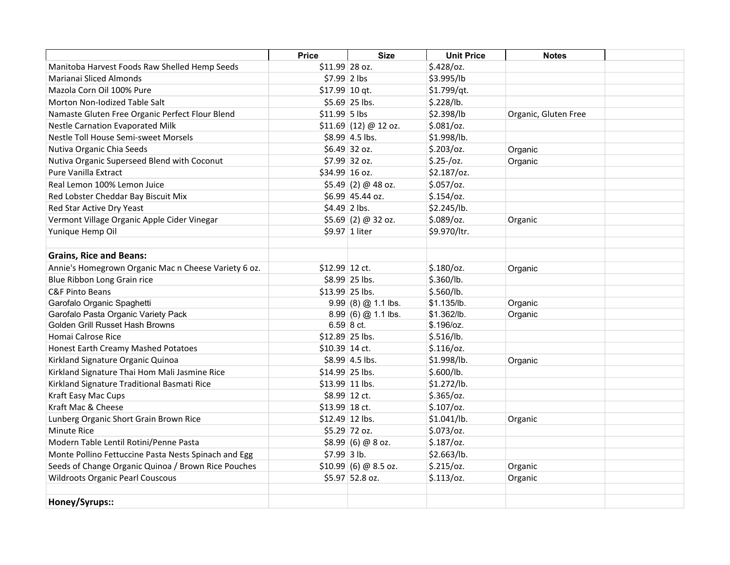|                                                      | <b>Price</b>    | <b>Size</b>            | <b>Unit Price</b> | <b>Notes</b>         |  |
|------------------------------------------------------|-----------------|------------------------|-------------------|----------------------|--|
| Manitoba Harvest Foods Raw Shelled Hemp Seeds        | \$11.99 28 oz.  |                        | $$.428$ /oz.      |                      |  |
| Marianai Sliced Almonds                              | $$7.99$ 2 lbs   |                        | \$3.995/lb        |                      |  |
| Mazola Corn Oil 100% Pure                            | $$17.99$ 10 qt. |                        | \$1.799/qt.       |                      |  |
| Morton Non-Iodized Table Salt                        |                 | \$5.69 25 lbs.         | \$.228/lb.        |                      |  |
| Namaste Gluten Free Organic Perfect Flour Blend      | $$11.99$ 5 lbs  |                        | \$2.398/lb        | Organic, Gluten Free |  |
| <b>Nestle Carnation Evaporated Milk</b>              |                 | $$11.69$ (12) @ 12 oz. | $$.081$ /oz.      |                      |  |
| Nestle Toll House Semi-sweet Morsels                 |                 | \$8.99 4.5 lbs.        | \$1.998/lb.       |                      |  |
| Nutiva Organic Chia Seeds                            |                 | \$6.49 32 oz.          | $$.203$ /oz.      | Organic              |  |
| Nutiva Organic Superseed Blend with Coconut          |                 | \$7.99 32 oz.          | $$.25$ -/oz.      | Organic              |  |
| Pure Vanilla Extract                                 | \$34.99 16 oz.  |                        | $$2.187$ /oz.     |                      |  |
| Real Lemon 100% Lemon Juice                          |                 | $$5.49$ (2) @ 48 oz.   | $$.057$ /oz.      |                      |  |
| Red Lobster Cheddar Bay Biscuit Mix                  |                 | \$6.99 45.44 oz.       | $$.154$ /oz.      |                      |  |
| Red Star Active Dry Yeast                            | $$4.49$ 2 lbs.  |                        | \$2.245/lb.       |                      |  |
| Vermont Village Organic Apple Cider Vinegar          |                 | $$5.69$ (2) @ 32 oz.   | \$.089/oz.        | Organic              |  |
| Yunique Hemp Oil                                     |                 | \$9.97 1 liter         | \$9.970/ltr.      |                      |  |
| <b>Grains, Rice and Beans:</b>                       |                 |                        |                   |                      |  |
| Annie's Homegrown Organic Mac n Cheese Variety 6 oz. | \$12.99 12 ct.  |                        | $$.180$ /oz.      | Organic              |  |
| Blue Ribbon Long Grain rice                          |                 | \$8.99 25 lbs.         | \$.360/lb.        |                      |  |
| <b>C&amp;F Pinto Beans</b>                           |                 | \$13.99 25 lbs.        | \$.560/lb.        |                      |  |
| Garofalo Organic Spaghetti                           |                 | $9.99(8)$ @ 1.1 lbs.   | \$1.135/lb.       | Organic              |  |
| Garofalo Pasta Organic Variety Pack                  |                 | $8.99(6)$ @ 1.1 lbs.   | \$1.362/lb.       | Organic              |  |
| Golden Grill Russet Hash Browns                      |                 | $6.59 8$ ct.           | \$.196/oz.        |                      |  |
| Homai Calrose Rice                                   |                 | \$12.89 25 lbs.        | \$.516/lb.        |                      |  |
| Honest Earth Creamy Mashed Potatoes                  | \$10.39 14 ct.  |                        | $$.116$ /0z.      |                      |  |
| Kirkland Signature Organic Quinoa                    |                 | \$8.99 4.5 lbs.        | \$1.998/lb.       | Organic              |  |
| Kirkland Signature Thai Hom Mali Jasmine Rice        |                 | \$14.99 25 lbs.        | \$.600/lb.        |                      |  |
| Kirkland Signature Traditional Basmati Rice          |                 | \$13.99 11 lbs.        | \$1.272/lb.       |                      |  |
| Kraft Easy Mac Cups                                  |                 | \$8.99 12 ct.          | \$.365/oz.        |                      |  |
| Kraft Mac & Cheese                                   | \$13.99 18 ct.  |                        | $$.107$ /oz.      |                      |  |
| Lunberg Organic Short Grain Brown Rice               |                 | \$12.49 12 lbs.        | \$1.041/lb.       | Organic              |  |
| <b>Minute Rice</b>                                   |                 | \$5.29 72 oz.          | $$.073$ /oz.      |                      |  |
| Modern Table Lentil Rotini/Penne Pasta               |                 | $$8.99$ (6) @ 8 oz.    | $$.187$ /oz.      |                      |  |
| Monte Pollino Fettuccine Pasta Nests Spinach and Egg | $$7.99$ 3 lb.   |                        | \$2.663/lb.       |                      |  |
| Seeds of Change Organic Quinoa / Brown Rice Pouches  |                 | $$10.99$ (6) @ 8.5 oz. | \$.215/oz.        | Organic              |  |
| <b>Wildroots Organic Pearl Couscous</b>              |                 | \$5.97 52.8 oz.        | \$.113/oz.        | Organic              |  |
| Honey/Syrups::                                       |                 |                        |                   |                      |  |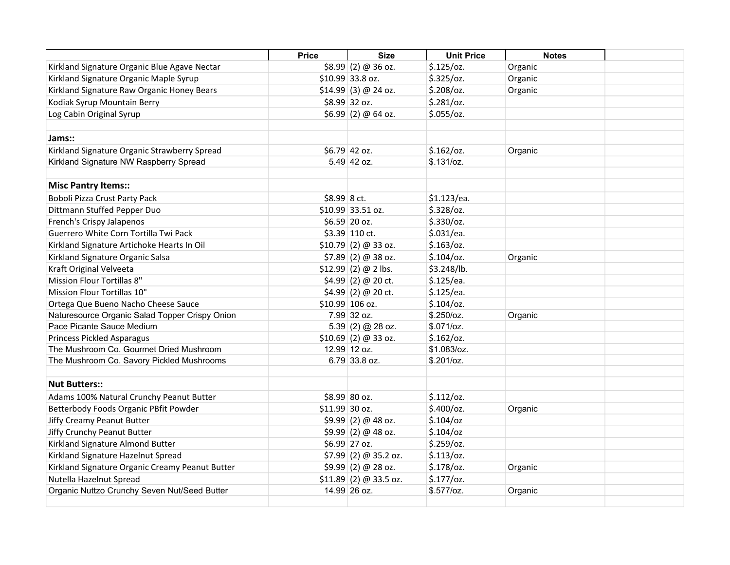|                                                 | <b>Price</b>    | <b>Size</b>            | <b>Unit Price</b> | <b>Notes</b> |  |
|-------------------------------------------------|-----------------|------------------------|-------------------|--------------|--|
| Kirkland Signature Organic Blue Agave Nectar    |                 | $$8.99$ (2) @ 36 oz.   | $$.125$ /oz.      | Organic      |  |
| Kirkland Signature Organic Maple Syrup          |                 | \$10.99 33.8 oz.       | $$.325$ /oz.      | Organic      |  |
| Kirkland Signature Raw Organic Honey Bears      |                 | $$14.99$ (3) @ 24 oz.  | $$.208$ /oz.      | Organic      |  |
| Kodiak Syrup Mountain Berry                     |                 | \$8.99 32 oz.          | \$.281/oz.        |              |  |
| Log Cabin Original Syrup                        |                 | $$6.99$ (2) @ 64 oz.   | \$.055/oz.        |              |  |
|                                                 |                 |                        |                   |              |  |
| Jams::                                          |                 |                        |                   |              |  |
| Kirkland Signature Organic Strawberry Spread    |                 | $$6.79$ 42 oz.         | \$.162/oz.        | Organic      |  |
| Kirkland Signature NW Raspberry Spread          |                 | 5.49 42 oz.            | \$.131/cz.        |              |  |
| <b>Misc Pantry Items::</b>                      |                 |                        |                   |              |  |
| Boboli Pizza Crust Party Pack                   | \$8.99 8 ct.    |                        | \$1.123/ea.       |              |  |
| Dittmann Stuffed Pepper Duo                     |                 | \$10.99 33.51 oz.      | $$.328$ /oz.      |              |  |
| French's Crispy Jalapenos                       |                 | \$6.59 20 oz.          | $$.330$ /oz.      |              |  |
| Guerrero White Corn Tortilla Twi Pack           |                 | \$3.39 110 ct.         | \$.031/ea.        |              |  |
| Kirkland Signature Artichoke Hearts In Oil      |                 | \$10.79(2) @33 oz.     | $$.163$ /oz.      |              |  |
| Kirkland Signature Organic Salsa                |                 | $$7.89$ (2) @ 38 oz.   | $$.104$ /oz.      | Organic      |  |
| Kraft Original Velveeta                         |                 | $$12.99$ (2) @ 2 lbs.  | \$3.248/lb.       |              |  |
| Mission Flour Tortillas 8"                      |                 | $$4.99$ (2) @ 20 ct.   | \$.125/ea.        |              |  |
| Mission Flour Tortillas 10"                     |                 | $$4.99$ (2) @ 20 ct.   | \$.125/ea.        |              |  |
| Ortega Que Bueno Nacho Cheese Sauce             |                 | $$10.99$ 106 oz.       | $$.104$ /oz.      |              |  |
| Naturesource Organic Salad Topper Crispy Onion  |                 | 7.99 32 oz.            | \$.250/cz.        | Organic      |  |
| Pace Picante Sauce Medium                       |                 | $5.39(2)$ @ 28 oz.     | \$.071/cz.        |              |  |
| <b>Princess Pickled Asparagus</b>               |                 | $$10.69$ (2) @ 33 oz.  | \$.162/oz.        |              |  |
| The Mushroom Co. Gourmet Dried Mushroom         |                 | 12.99 12 oz.           | \$1.083/oz.       |              |  |
| The Mushroom Co. Savory Pickled Mushrooms       |                 | 6.79 33.8 oz.          | \$.201/cz.        |              |  |
|                                                 |                 |                        |                   |              |  |
| <b>Nut Butters::</b>                            |                 |                        |                   |              |  |
| Adams 100% Natural Crunchy Peanut Butter        |                 | \$8.99 80 oz.          | \$.112/oz.        |              |  |
| Betterbody Foods Organic PBfit Powder           | $$11.99$ 30 oz. |                        | $$.400$ /oz.      | Organic      |  |
| Jiffy Creamy Peanut Butter                      |                 | $$9.99$ (2) @ 48 oz.   | $$.104$ /oz       |              |  |
| Jiffy Crunchy Peanut Butter                     |                 | $$9.99$ (2) @ 48 oz.   | $$.104$ /oz       |              |  |
| Kirkland Signature Almond Butter                |                 | \$6.99 27 oz.          | $$.259$ /oz.      |              |  |
| Kirkland Signature Hazelnut Spread              |                 | $$7.99$ (2) @ 35.2 oz. | \$.113/oz.        |              |  |
| Kirkland Signature Organic Creamy Peanut Butter |                 | \$9.99(2) @ 28 oz.     | $$.178$ /oz.      | Organic      |  |
| Nutella Hazelnut Spread                         |                 | \$11.89(2) @ 33.5 oz.  | \$.177/oz.        |              |  |
| Organic Nuttzo Crunchy Seven Nut/Seed Butter    |                 | 14.99 26 oz.           | \$.577/oz.        | Organic      |  |
|                                                 |                 |                        |                   |              |  |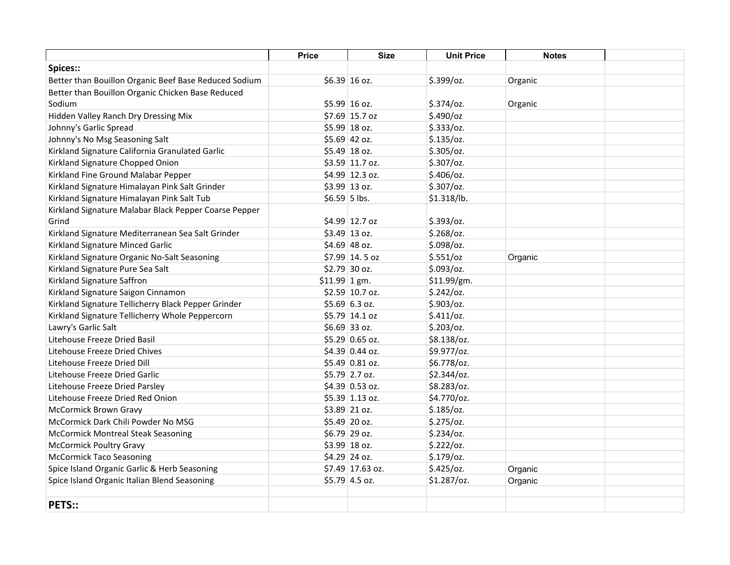|                                                       | <b>Price</b>   | <b>Size</b>                 | <b>Unit Price</b> | <b>Notes</b> |  |
|-------------------------------------------------------|----------------|-----------------------------|-------------------|--------------|--|
| Spices::                                              |                |                             |                   |              |  |
| Better than Bouillon Organic Beef Base Reduced Sodium |                | $$6.39$ 16 oz.              | \$.399/oz.        | Organic      |  |
| Better than Bouillon Organic Chicken Base Reduced     |                |                             |                   |              |  |
| Sodium                                                |                | $$5.99$ 16 oz.              | $$.374$ /oz.      | Organic      |  |
| Hidden Valley Ranch Dry Dressing Mix                  |                | \$7.69 15.7 oz              | \$.490/cz         |              |  |
| Johnny's Garlic Spread                                |                | \$5.99 18 oz.               | \$.333/oz.        |              |  |
| Johnny's No Msg Seasoning Salt                        |                | $$5.69$ 42 oz.              | $$.135$ /oz.      |              |  |
| Kirkland Signature California Granulated Garlic       |                | $$5.49$ 18 oz.              | $$.305$ /oz.      |              |  |
| Kirkland Signature Chopped Onion                      |                | \$3.59 11.7 oz.             | $$.307$ /oz.      |              |  |
| Kirkland Fine Ground Malabar Pepper                   |                | \$4.99 12.3 oz.             | $$.406$ /oz.      |              |  |
| Kirkland Signature Himalayan Pink Salt Grinder        |                | $$3.99$ 13 oz.              | \$.307/oz.        |              |  |
| Kirkland Signature Himalayan Pink Salt Tub            | $$6.59$ 5 lbs. |                             | \$1.318/lb.       |              |  |
| Kirkland Signature Malabar Black Pepper Coarse Pepper |                |                             |                   |              |  |
| Grind                                                 |                | \$4.99 12.7 oz              | \$.393/oz.        |              |  |
| Kirkland Signature Mediterranean Sea Salt Grinder     |                | $$3.49$ 13 oz.              | $$.268$ /oz.      |              |  |
| Kirkland Signature Minced Garlic                      |                | $$4.69$ 48 oz.              | \$.098/oz.        |              |  |
| Kirkland Signature Organic No-Salt Seasoning          |                | \$7.99 14.5 oz              | \$.551/oz         | Organic      |  |
| Kirkland Signature Pure Sea Salt                      |                | $$2.79$ 30 oz.              | $$.093$ /oz.      |              |  |
| Kirkland Signature Saffron                            | $$11.99$ 1 gm. |                             | \$11.99/gm.       |              |  |
| Kirkland Signature Saigon Cinnamon                    |                | $$2.59$ 10.7 oz.            | \$.242/oz.        |              |  |
| Kirkland Signature Tellicherry Black Pepper Grinder   |                | $$5.69$ 6.3 oz.             | $$.903$ /oz.      |              |  |
| Kirkland Signature Tellicherry Whole Peppercorn       |                | \$5.79 14.1 oz              | \$.411/oz.        |              |  |
| Lawry's Garlic Salt                                   |                | $$6.69$ 33 oz.              | $$.203$ /oz.      |              |  |
| Litehouse Freeze Dried Basil                          |                | $$5.29 \,   \, 0.65 \,$ oz. | \$8.138/oz.       |              |  |
| Litehouse Freeze Dried Chives                         |                | \$4.39 0.44 oz.             | \$9.977/oz.       |              |  |
| Litehouse Freeze Dried Dill                           |                | \$5.49 0.81 oz.             | \$6.778/oz.       |              |  |
| Litehouse Freeze Dried Garlic                         |                | \$5.79 2.7 oz.              | \$2.344/oz.       |              |  |
| Litehouse Freeze Dried Parsley                        |                | \$4.39 0.53 oz.             | \$8.283/oz.       |              |  |
| Litehouse Freeze Dried Red Onion                      |                | \$5.39 1.13 oz.             | \$4.770/oz.       |              |  |
| <b>McCormick Brown Gravy</b>                          |                | $$3.89$ 21 oz.              | $$.185$ /oz.      |              |  |
| McCormick Dark Chili Powder No MSG                    |                | $$5.49$ 20 oz.              | \$.275/oz.        |              |  |
| <b>McCormick Montreal Steak Seasoning</b>             |                | $$6.79$ 29 oz.              | $$.234$ /oz.      |              |  |
| <b>McCormick Poultry Gravy</b>                        |                | $$3.99$ 18 oz.              | \$.222/oz.        |              |  |
| <b>McCormick Taco Seasoning</b>                       |                | \$4.29 24 oz.               | $$.179$ /oz.      |              |  |
| Spice Island Organic Garlic & Herb Seasoning          |                | \$7.49 17.63 oz.            | $$.425$ /oz.      | Organic      |  |
| Spice Island Organic Italian Blend Seasoning          |                | \$5.79 4.5 oz.              | \$1.287/oz.       | Organic      |  |
|                                                       |                |                             |                   |              |  |
| <b>PETS::</b>                                         |                |                             |                   |              |  |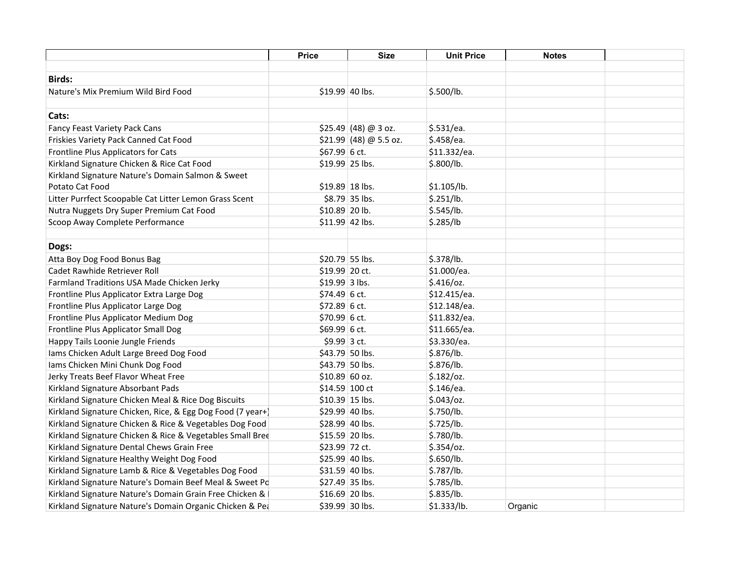|                                                            | <b>Price</b>     | <b>Size</b>             | <b>Unit Price</b> | <b>Notes</b> |  |
|------------------------------------------------------------|------------------|-------------------------|-------------------|--------------|--|
|                                                            |                  |                         |                   |              |  |
| <b>Birds:</b>                                              |                  |                         |                   |              |  |
| Nature's Mix Premium Wild Bird Food                        | \$19.99 40 lbs.  |                         | \$.500/lb.        |              |  |
|                                                            |                  |                         |                   |              |  |
| Cats:                                                      |                  |                         |                   |              |  |
| Fancy Feast Variety Pack Cans                              |                  | $$25.49$ (48) @ 3 oz.   | \$.531/ea.        |              |  |
| Friskies Variety Pack Canned Cat Food                      |                  | $$21.99$ (48) @ 5.5 oz. | \$.458/ea.        |              |  |
| Frontline Plus Applicators for Cats                        | \$67.99 6 ct.    |                         | \$11.332/ea.      |              |  |
| Kirkland Signature Chicken & Rice Cat Food                 | \$19.99 25 lbs.  |                         | \$.800/lb.        |              |  |
| Kirkland Signature Nature's Domain Salmon & Sweet          |                  |                         |                   |              |  |
| Potato Cat Food                                            | \$19.89 18 lbs.  |                         | \$1.105/lb.       |              |  |
| Litter Purrfect Scoopable Cat Litter Lemon Grass Scent     |                  | \$8.79 35 lbs.          | \$.251/lb.        |              |  |
| Nutra Nuggets Dry Super Premium Cat Food                   | \$10.89 20 lb.   |                         | \$.545/lb.        |              |  |
| Scoop Away Complete Performance                            | $$11.99$ 42 lbs. |                         | \$.285/lb         |              |  |
|                                                            |                  |                         |                   |              |  |
| Dogs:                                                      |                  |                         |                   |              |  |
| Atta Boy Dog Food Bonus Bag                                | \$20.79 55 lbs.  |                         | \$.378/lb.        |              |  |
| Cadet Rawhide Retriever Roll                               | \$19.99 20 ct.   |                         | \$1.000/ea.       |              |  |
| Farmland Traditions USA Made Chicken Jerky                 | $$19.99$ 3 lbs.  |                         | $$.416$ /oz.      |              |  |
| Frontline Plus Applicator Extra Large Dog                  | $$74.49$ 6 ct.   |                         | \$12.415/ea.      |              |  |
| Frontline Plus Applicator Large Dog                        | $$72.89$ 6 ct.   |                         | \$12.148/ea.      |              |  |
| Frontline Plus Applicator Medium Dog                       | $$70.99$ 6 ct.   |                         | \$11.832/ea.      |              |  |
| Frontline Plus Applicator Small Dog                        | \$69.99 6 ct.    |                         | \$11.665/ea.      |              |  |
| Happy Tails Loonie Jungle Friends                          | \$9.99 3 ct.     |                         | \$3.330/ea.       |              |  |
| lams Chicken Adult Large Breed Dog Food                    |                  | \$43.79 50 lbs.         | \$.876/lb.        |              |  |
| Iams Chicken Mini Chunk Dog Food                           | \$43.79 50 lbs.  |                         | \$.876/lb.        |              |  |
| Jerky Treats Beef Flavor Wheat Free                        | $$10.89$ 60 oz.  |                         | $$.182$ /oz.      |              |  |
| Kirkland Signature Absorbant Pads                          | $$14.59$ 100 ct  |                         | \$.146/ea.        |              |  |
| Kirkland Signature Chicken Meal & Rice Dog Biscuits        | \$10.39 15 lbs.  |                         | $$.043$ /oz.      |              |  |
| Kirkland Signature Chicken, Rice, & Egg Dog Food (7 year+) | \$29.99 40 lbs.  |                         | \$.750/lb.        |              |  |
| Kirkland Signature Chicken & Rice & Vegetables Dog Food    | \$28.99 40 lbs.  |                         | \$.725/lb.        |              |  |
| Kirkland Signature Chicken & Rice & Vegetables Small Bree  | \$15.59 20 lbs.  |                         | \$.780/lb.        |              |  |
| Kirkland Signature Dental Chews Grain Free                 | \$23.99 72 ct.   |                         | $$.354$ /oz.      |              |  |
| Kirkland Signature Healthy Weight Dog Food                 | \$25.99 40 lbs.  |                         | \$.650/lb.        |              |  |
| Kirkland Signature Lamb & Rice & Vegetables Dog Food       | \$31.59 40 lbs.  |                         | \$.787/lb.        |              |  |
| Kirkland Signature Nature's Domain Beef Meal & Sweet Po    | \$27.49 35 lbs.  |                         | \$.785/lb.        |              |  |
| Kirkland Signature Nature's Domain Grain Free Chicken &    | \$16.69 20 lbs.  |                         | \$.835/lb.        |              |  |
| Kirkland Signature Nature's Domain Organic Chicken & Pea   | \$39.99 30 lbs.  |                         | \$1.333/lb.       | Organic      |  |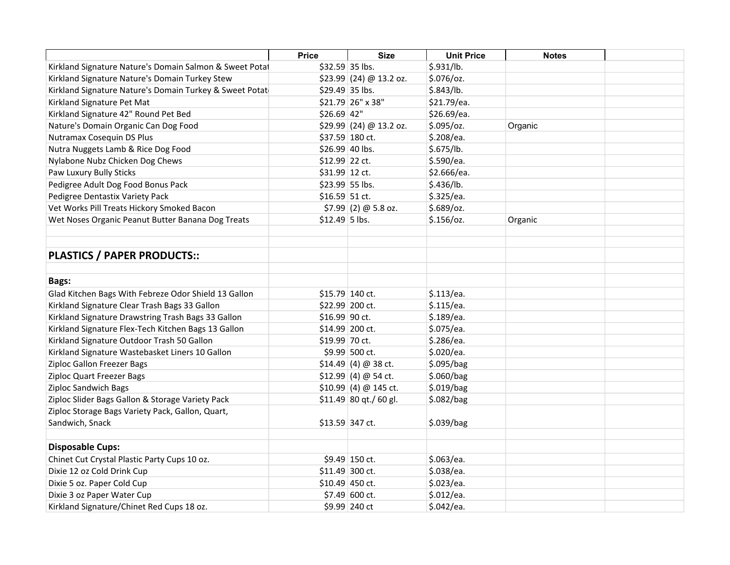|                                                         | <b>Price</b>    | <b>Size</b>              | <b>Unit Price</b> | <b>Notes</b> |  |
|---------------------------------------------------------|-----------------|--------------------------|-------------------|--------------|--|
| Kirkland Signature Nature's Domain Salmon & Sweet Potat | \$32.59 35 lbs. |                          | \$.931/lb.        |              |  |
| Kirkland Signature Nature's Domain Turkey Stew          |                 | $$23.99$ (24) @ 13.2 oz. | $$.076$ /oz.      |              |  |
| Kirkland Signature Nature's Domain Turkey & Sweet Potat | \$29.49 35 lbs. |                          | \$.843/lb.        |              |  |
| Kirkland Signature Pet Mat                              |                 | \$21.79 26" x 38"        | \$21.79/ea.       |              |  |
| Kirkland Signature 42" Round Pet Bed                    | $$26.69$ 42"    |                          | \$26.69/ea.       |              |  |
| Nature's Domain Organic Can Dog Food                    |                 | $$29.99$ (24) @ 13.2 oz. | $$.095$ /oz.      | Organic      |  |
| Nutramax Cosequin DS Plus                               |                 | \$37.59 180 ct.          | \$.208/ea.        |              |  |
| Nutra Nuggets Lamb & Rice Dog Food                      | \$26.99 40 lbs. |                          | \$.675/lb.        |              |  |
| Nylabone Nubz Chicken Dog Chews                         | \$12.99 22 ct.  |                          | \$.590/ea.        |              |  |
| Paw Luxury Bully Sticks                                 | \$31.99 12 ct.  |                          | \$2.666/ea.       |              |  |
| Pedigree Adult Dog Food Bonus Pack                      | \$23.99 55 lbs. |                          | \$.436/lb.        |              |  |
| Pedigree Dentastix Variety Pack                         | \$16.59 51 ct.  |                          | \$.325/ea.        |              |  |
| Vet Works Pill Treats Hickory Smoked Bacon              |                 | $$7.99$ (2) @ 5.8 oz.    | $$.689$ /oz.      |              |  |
| Wet Noses Organic Peanut Butter Banana Dog Treats       | $$12.49$ 5 lbs. |                          | $$.156$ /oz.      | Organic      |  |
|                                                         |                 |                          |                   |              |  |
|                                                         |                 |                          |                   |              |  |
| <b>PLASTICS / PAPER PRODUCTS::</b>                      |                 |                          |                   |              |  |
|                                                         |                 |                          |                   |              |  |
| <b>Bags:</b>                                            |                 |                          |                   |              |  |
| Glad Kitchen Bags With Febreze Odor Shield 13 Gallon    | \$15.79 140 ct. |                          | \$.113/ea.        |              |  |
| Kirkland Signature Clear Trash Bags 33 Gallon           |                 | \$22.99 200 ct.          | \$.115/ea.        |              |  |
| Kirkland Signature Drawstring Trash Bags 33 Gallon      | \$16.99 90 ct.  |                          | \$.189/ea.        |              |  |
| Kirkland Signature Flex-Tech Kitchen Bags 13 Gallon     |                 | \$14.99 200 ct.          | \$.075/ea.        |              |  |
| Kirkland Signature Outdoor Trash 50 Gallon              | \$19.99 70 ct.  |                          | \$.286/ea.        |              |  |
| Kirkland Signature Wastebasket Liners 10 Gallon         |                 | \$9.99 500 ct.           | \$.020/ea.        |              |  |
| Ziploc Gallon Freezer Bags                              |                 | $$14.49(4) @38$ ct.      | \$.095/bag        |              |  |
| Ziploc Quart Freezer Bags                               |                 | $$12.99$ (4) @ 54 ct.    | \$.060/bag        |              |  |
| <b>Ziploc Sandwich Bags</b>                             |                 | $$10.99$ (4) @ 145 ct.   | \$.019/bag        |              |  |
| Ziploc Slider Bags Gallon & Storage Variety Pack        |                 | $$11.49$ 80 qt./60 gl.   | \$.082/bag        |              |  |
| Ziploc Storage Bags Variety Pack, Gallon, Quart,        |                 |                          |                   |              |  |
| Sandwich, Snack                                         | \$13.59 347 ct. |                          | \$.039/bag        |              |  |
| <b>Disposable Cups:</b>                                 |                 |                          |                   |              |  |
| Chinet Cut Crystal Plastic Party Cups 10 oz.            |                 | \$9.49 150 ct.           | \$.063/ea.        |              |  |
| Dixie 12 oz Cold Drink Cup                              |                 | \$11.49 300 ct.          | \$.038/ea.        |              |  |
| Dixie 5 oz. Paper Cold Cup                              |                 | \$10.49 450 ct.          | \$.023/ea.        |              |  |
| Dixie 3 oz Paper Water Cup                              |                 | $$7.49$ 600 ct.          | \$.012/ea.        |              |  |
| Kirkland Signature/Chinet Red Cups 18 oz.               |                 | \$9.99 240 ct            | \$.042/ea.        |              |  |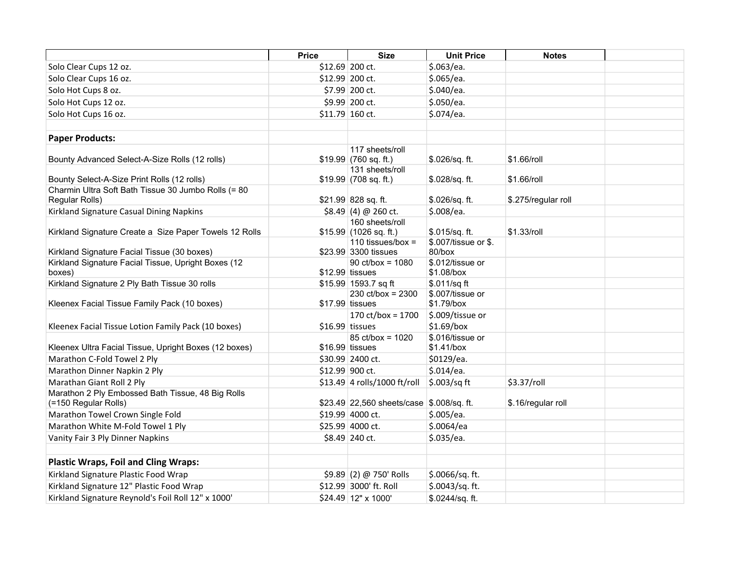|                                                                           | <b>Price</b> | <b>Size</b>                                     | <b>Unit Price</b>                | <b>Notes</b>        |  |
|---------------------------------------------------------------------------|--------------|-------------------------------------------------|----------------------------------|---------------------|--|
| Solo Clear Cups 12 oz.                                                    |              | \$12.69 200 ct.                                 | \$.063/ea.                       |                     |  |
| Solo Clear Cups 16 oz.                                                    |              | \$12.99 200 ct.                                 | \$.065/ea.                       |                     |  |
| Solo Hot Cups 8 oz.                                                       |              | \$7.99 200 ct.                                  | \$.040/ea.                       |                     |  |
| Solo Hot Cups 12 oz.                                                      |              | \$9.99 200 ct.                                  | \$.050/ea.                       |                     |  |
| Solo Hot Cups 16 oz.                                                      |              | \$11.79 160 ct.                                 | \$.074/ea.                       |                     |  |
|                                                                           |              |                                                 |                                  |                     |  |
| <b>Paper Products:</b>                                                    |              |                                                 |                                  |                     |  |
| Bounty Advanced Select-A-Size Rolls (12 rolls)                            |              | 117 sheets/roll<br>$$19.99 $ (760 sq. ft.)      | \$.026/sq. ft.                   | \$1.66/roll         |  |
| Bounty Select-A-Size Print Rolls (12 rolls)                               |              | 131 sheets/roll<br>$$19.99 $ (708 sq. ft.)      | \$.028/sq. ft.                   | \$1.66/roll         |  |
| Charmin Ultra Soft Bath Tissue 30 Jumbo Rolls (= 80<br>Regular Rolls)     |              | \$21.99 828 sq. ft.                             | \$.026/sq. ft.                   | \$.275/regular roll |  |
| Kirkland Signature Casual Dining Napkins                                  |              | $$8.49(4) @ 260$ ct.                            | \$.008/ea.                       |                     |  |
| Kirkland Signature Create a Size Paper Towels 12 Rolls                    |              | 160 sheets/roll<br>\$15.99  (1026 sq. ft.)      | \$.015/sq. ft.                   | \$1.33/roll         |  |
| Kirkland Signature Facial Tissue (30 boxes)                               |              | 110 tissues/box $=$<br>\$23.99 3300 tissues     | \$.007/tissue or \$.<br>80/box   |                     |  |
| Kirkland Signature Facial Tissue, Upright Boxes (12<br>boxes)             |              | $90 \text{ ct/box} = 1080$<br>$$12.99$ tissues  | \$.012/tissue or<br>\$1.08/box   |                     |  |
| Kirkland Signature 2 Ply Bath Tissue 30 rolls                             |              | \$15.99 1593.7 sq ft                            | \$.011/sq ft                     |                     |  |
| Kleenex Facial Tissue Family Pack (10 boxes)                              |              | $230 \text{ ct/box} = 2300$<br>$$17.99$ tissues | \$.007/tissue or<br>\$1.79/box   |                     |  |
| Kleenex Facial Tissue Lotion Family Pack (10 boxes)                       |              | 170 ct/box = $1700$<br>\$16.99 tissues          | \$.009/tissue or<br>$$1.69/b$ ox |                     |  |
| Kleenex Ultra Facial Tissue, Upright Boxes (12 boxes)                     |              | 85 ct/box = 1020<br>$$16.99$ tissues            | \$.016/tissue or<br>\$1.41/box   |                     |  |
| Marathon C-Fold Towel 2 Ply                                               |              | \$30.99 2400 ct.                                | \$0129/ea.                       |                     |  |
| Marathon Dinner Napkin 2 Ply                                              |              | \$12.99 900 ct.                                 | \$.014/ea.                       |                     |  |
| Marathan Giant Roll 2 Ply                                                 |              | \$13.49 4 rolls/1000 ft/roll                    | $\frac{1}{2}$ .003/sq ft         | \$3.37/roll         |  |
| Marathon 2 Ply Embossed Bath Tissue, 48 Big Rolls<br>(=150 Regular Rolls) |              | \$23.49 22,560 sheets/case \$.008/sq. ft.       |                                  | \$.16/regular roll  |  |
| Marathon Towel Crown Single Fold                                          |              | \$19.99 4000 ct.                                | \$.005/ea.                       |                     |  |
| Marathon White M-Fold Towel 1 Ply                                         |              | \$25.99 4000 ct.                                | \$.0064/ea                       |                     |  |
| Vanity Fair 3 Ply Dinner Napkins                                          |              | \$8.49 240 ct.                                  | \$.035/ea.                       |                     |  |
| <b>Plastic Wraps, Foil and Cling Wraps:</b>                               |              |                                                 |                                  |                     |  |
| Kirkland Signature Plastic Food Wrap                                      |              | $$9.89$ (2) @ 750' Rolls                        | \$.0066/sq. ft.                  |                     |  |
| Kirkland Signature 12" Plastic Food Wrap                                  |              | \$12.99 3000' ft. Roll                          | \$.0043/sq. ft.                  |                     |  |
| Kirkland Signature Reynold's Foil Roll 12" x 1000'                        |              | \$24.49 12" x 1000'                             | \$.0244/sq.ft.                   |                     |  |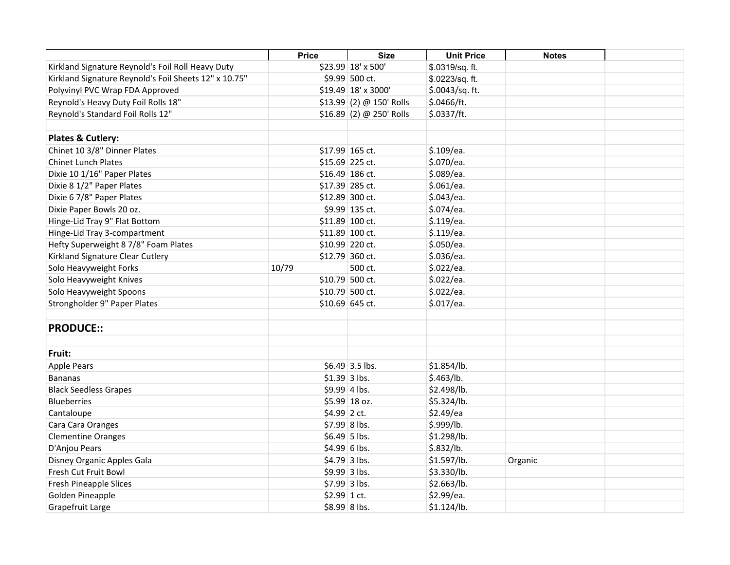|                                                       | <b>Price</b>  | <b>Size</b>              | <b>Unit Price</b> | <b>Notes</b> |  |
|-------------------------------------------------------|---------------|--------------------------|-------------------|--------------|--|
| Kirkland Signature Reynold's Foil Roll Heavy Duty     |               | \$23.99 18' x 500'       | \$.0319/sq. ft.   |              |  |
| Kirkland Signature Reynold's Foil Sheets 12" x 10.75" |               | \$9.99 500 ct.           | \$.0223/sq. ft.   |              |  |
| Polyvinyl PVC Wrap FDA Approved                       |               | \$19.49 18' x 3000'      | \$.0043/sq. ft.   |              |  |
| Reynold's Heavy Duty Foil Rolls 18"                   |               | \$13.99 (2) @ 150' Rolls | \$.0466/ft.       |              |  |
| Reynold's Standard Foil Rolls 12"                     |               | \$16.89 (2) @ 250' Rolls | \$.0337/ft.       |              |  |
|                                                       |               |                          |                   |              |  |
| Plates & Cutlery:                                     |               |                          |                   |              |  |
| Chinet 10 3/8" Dinner Plates                          |               | \$17.99 165 ct.          | \$.109/ea.        |              |  |
| <b>Chinet Lunch Plates</b>                            |               | \$15.69 225 ct.          | \$.070/ea.        |              |  |
| Dixie 10 1/16" Paper Plates                           |               | \$16.49 186 ct.          | \$.089/ea.        |              |  |
| Dixie 8 1/2" Paper Plates                             |               | \$17.39 285 ct.          | \$.061/ea.        |              |  |
| Dixie 6 7/8" Paper Plates                             |               | \$12.89 300 ct.          | \$.043/ea.        |              |  |
| Dixie Paper Bowls 20 oz.                              |               | \$9.99 135 ct.           | \$.074/ea.        |              |  |
| Hinge-Lid Tray 9" Flat Bottom                         |               | \$11.89 100 ct.          | \$.119/ea.        |              |  |
| Hinge-Lid Tray 3-compartment                          |               | \$11.89 100 ct.          | \$.119/ea.        |              |  |
| Hefty Superweight 8 7/8" Foam Plates                  |               | \$10.99 220 ct.          | \$.050/ea.        |              |  |
| Kirkland Signature Clear Cutlery                      |               | \$12.79 360 ct.          | \$.036/ea.        |              |  |
| Solo Heavyweight Forks                                | 10/79         | 500 ct.                  | \$.022/ea.        |              |  |
| Solo Heavyweight Knives                               |               | \$10.79 500 ct.          | \$.022/ea.        |              |  |
| Solo Heavyweight Spoons                               |               | \$10.79 500 ct.          | \$.022/ea.        |              |  |
| Strongholder 9" Paper Plates                          |               | \$10.69 645 ct.          | \$.017/ea.        |              |  |
| <b>PRODUCE::</b>                                      |               |                          |                   |              |  |
|                                                       |               |                          |                   |              |  |
| Fruit:                                                |               |                          |                   |              |  |
| <b>Apple Pears</b>                                    |               | \$6.49 3.5 lbs.          | \$1.854/lb.       |              |  |
| <b>Bananas</b>                                        |               | $$1.39$ 3 lbs.           | \$.463/lb.        |              |  |
| <b>Black Seedless Grapes</b>                          |               | \$9.99 4 lbs.            | \$2.498/lb.       |              |  |
| Blueberries                                           |               | \$5.99 18 oz.            | \$5.324/lb.       |              |  |
| Cantaloupe                                            | \$4.99 2 ct.  |                          | \$2.49/ea         |              |  |
| Cara Cara Oranges                                     |               | \$7.99 8 lbs.            | \$.999/lb.        |              |  |
| <b>Clementine Oranges</b>                             |               | $$6.49$ 5 lbs.           | \$1.298/lb.       |              |  |
| D'Anjou Pears                                         |               | \$4.99 6 lbs.            | \$.832/lb.        |              |  |
| Disney Organic Apples Gala                            |               | $$4.79$ 3 lbs.           | \$1.597/lb.       | Organic      |  |
| Fresh Cut Fruit Bowl                                  |               | \$9.99 3 lbs.            | \$3.330/lb.       |              |  |
| <b>Fresh Pineapple Slices</b>                         |               | \$7.99 3 lbs.            | \$2.663/lb.       |              |  |
| Golden Pineapple                                      | $$2.99$ 1 ct. |                          | \$2.99/ea.        |              |  |
| Grapefruit Large                                      |               | \$8.99 8 lbs.            | \$1.124/lb.       |              |  |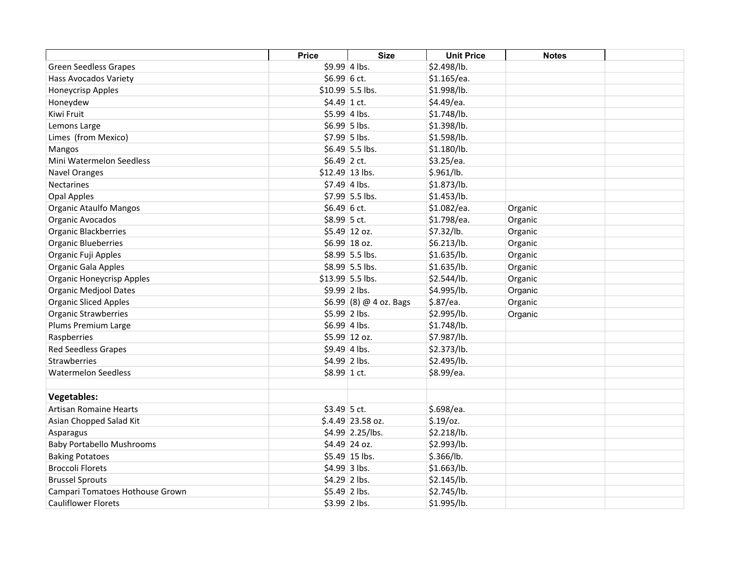|                                  | <b>Price</b>   | <b>Size</b>              | <b>Unit Price</b> | <b>Notes</b> |  |
|----------------------------------|----------------|--------------------------|-------------------|--------------|--|
| <b>Green Seedless Grapes</b>     | \$9.99 4 lbs.  |                          | \$2.498/lb.       |              |  |
| Hass Avocados Variety            | $$6.99 6$ ct.  |                          | \$1.165/ea.       |              |  |
| Honeycrisp Apples                |                | $$10.99$ 5.5 lbs.        | \$1.998/lb.       |              |  |
| Honeydew                         | $$4.49$ 1 ct.  |                          | \$4.49/ea.        |              |  |
| Kiwi Fruit                       |                | $$5.99$ 4 lbs.           | \$1.748/lb.       |              |  |
| Lemons Large                     |                | $$6.99$ 5 lbs.           | \$1.398/lb.       |              |  |
| Limes (from Mexico)              |                | \$7.99 5 lbs.            | \$1.598/lb.       |              |  |
| Mangos                           |                | $$6.49$ 5.5 lbs.         | \$1.180/lb.       |              |  |
| Mini Watermelon Seedless         | \$6.49 2 ct.   |                          | \$3.25/ea.        |              |  |
| <b>Navel Oranges</b>             |                | $$12.49$ 13 lbs.         | \$.961/lb.        |              |  |
| <b>Nectarines</b>                | $$7.49$ 4 lbs. |                          | \$1.873/lb.       |              |  |
| Opal Apples                      |                | \$7.99 5.5 lbs.          | \$1.453/lb.       |              |  |
| <b>Organic Ataulfo Mangos</b>    | $$6.49 6$ ct.  |                          | \$1.082/ea.       | Organic      |  |
| Organic Avocados                 | \$8.99 5 ct.   |                          | \$1.798/ea.       | Organic      |  |
| Organic Blackberries             |                | $$5.49$ 12 oz.           | \$7.32/lb.        | Organic      |  |
| <b>Organic Blueberries</b>       |                | \$6.99 18 oz.            | \$6.213/lb.       | Organic      |  |
| Organic Fuji Apples              |                | $$8.99$ 5.5 lbs.         | \$1.635/lb.       | Organic      |  |
| <b>Organic Gala Apples</b>       |                | \$8.99 5.5 lbs.          | \$1.635/lb.       | Organic      |  |
| <b>Organic Honeycrisp Apples</b> |                | $$13.99$ 5.5 lbs.        | \$2.544/lb.       | Organic      |  |
| <b>Organic Medjool Dates</b>     | $$9.99$ 2 lbs. |                          | \$4.995/lb.       | Organic      |  |
| <b>Organic Sliced Apples</b>     |                | $$6.99$ (8) @ 4 oz. Bags | \$.87/ea.         | Organic      |  |
| <b>Organic Strawberries</b>      |                | \$5.99 2 lbs.            | \$2.995/lb.       | Organic      |  |
| Plums Premium Large              |                | $$6.99$ 4 lbs.           | \$1.748/lb.       |              |  |
| Raspberries                      |                | \$5.99 12 oz.            | \$7.987/lb.       |              |  |
| <b>Red Seedless Grapes</b>       | $$9.49 4$ lbs. |                          | \$2.373/lb.       |              |  |
| <b>Strawberries</b>              | \$4.99 2 lbs.  |                          | \$2.495/lb.       |              |  |
| <b>Watermelon Seedless</b>       | \$8.99 1 ct.   |                          | \$8.99/ea.        |              |  |
|                                  |                |                          |                   |              |  |
| <b>Vegetables:</b>               |                |                          |                   |              |  |
| <b>Artisan Romaine Hearts</b>    | $$3.49$ 5 ct.  |                          | \$.698/ea.        |              |  |
| Asian Chopped Salad Kit          |                | $$.4.49$ 23.58 oz.       | $$.19$ /0z.       |              |  |
| Asparagus                        |                | $$4.99$ 2.25/lbs.        | \$2.218/lb.       |              |  |
| <b>Baby Portabello Mushrooms</b> |                | \$4.49 24 oz.            | \$2.993/lb.       |              |  |
| <b>Baking Potatoes</b>           |                | \$5.49 15 lbs.           | \$.366/lb.        |              |  |
| <b>Broccoli Florets</b>          |                | $$4.99$ 3 lbs.           | \$1.663/lb.       |              |  |
| <b>Brussel Sprouts</b>           |                | $$4.29$ 2 lbs.           | \$2.145/lb.       |              |  |
| Campari Tomatoes Hothouse Grown  | $$5.49$ 2 lbs. |                          | \$2.745/lb.       |              |  |
| <b>Cauliflower Florets</b>       | $$3.99$ 2 lbs. |                          | \$1.995/lb.       |              |  |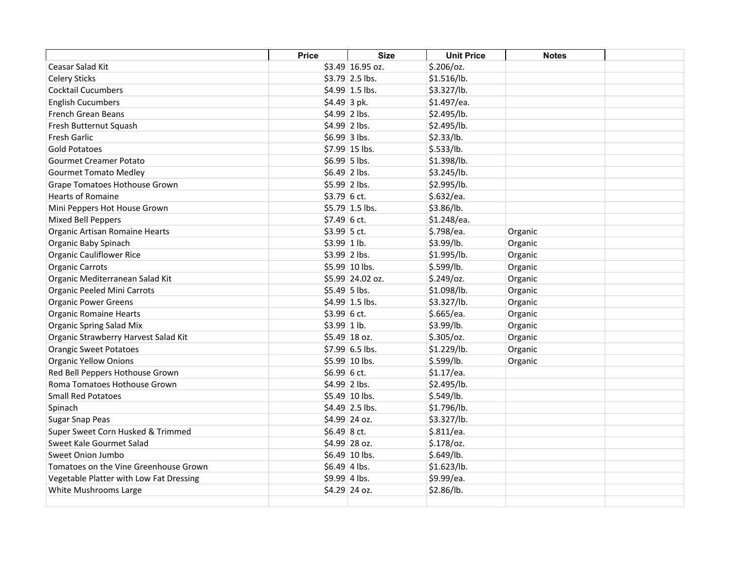|                                         | <b>Price</b>   | <b>Size</b>      | <b>Unit Price</b> | <b>Notes</b> |  |
|-----------------------------------------|----------------|------------------|-------------------|--------------|--|
| Ceasar Salad Kit                        |                | \$3.49 16.95 oz. | $$.206$ /oz.      |              |  |
| <b>Celery Sticks</b>                    |                | $$3.79$ 2.5 lbs. | \$1.516/lb.       |              |  |
| <b>Cocktail Cucumbers</b>               |                | \$4.99 1.5 lbs.  | \$3.327/lb.       |              |  |
| <b>English Cucumbers</b>                | $$4.49$ 3 pk.  |                  | \$1.497/ea.       |              |  |
| French Grean Beans                      | $$4.99$ 2 lbs. |                  | \$2.495/lb.       |              |  |
| Fresh Butternut Squash                  | $$4.99$ 2 lbs. |                  | \$2.495/lb.       |              |  |
| <b>Fresh Garlic</b>                     | $$6.99$ 3 lbs. |                  | \$2.33/lb.        |              |  |
| <b>Gold Potatoes</b>                    |                | \$7.99 15 lbs.   | \$.533/lb.        |              |  |
| <b>Gourmet Creamer Potato</b>           | $$6.99$ 5 lbs. |                  | \$1.398/lb.       |              |  |
| <b>Gourmet Tomato Medley</b>            | $$6.49$ 2 lbs. |                  | \$3.245/lb.       |              |  |
| Grape Tomatoes Hothouse Grown           | \$5.99 2 lbs.  |                  | \$2.995/lb.       |              |  |
| <b>Hearts of Romaine</b>                | $$3.79$ 6 ct.  |                  | \$.632/ea.        |              |  |
| Mini Peppers Hot House Grown            |                | \$5.79 1.5 lbs.  | \$3.86/lb.        |              |  |
| <b>Mixed Bell Peppers</b>               | $$7.49$ 6 ct.  |                  | \$1.248/ea.       |              |  |
| Organic Artisan Romaine Hearts          | \$3.99 5 ct.   |                  | \$.798/ea.        | Organic      |  |
| Organic Baby Spinach                    | $$3.99 1$ lb.  |                  | \$3.99/lb.        | Organic      |  |
| <b>Organic Cauliflower Rice</b>         | $$3.99$ 2 lbs. |                  | \$1.995/lb.       | Organic      |  |
| <b>Organic Carrots</b>                  |                | \$5.99 10 lbs.   | \$.599/lb.        | Organic      |  |
| Organic Mediterranean Salad Kit         |                | \$5.99 24.02 oz. | $$.249$ /oz.      | Organic      |  |
| Organic Peeled Mini Carrots             | $$5.49$ 5 lbs. |                  | \$1.098/lb.       | Organic      |  |
| <b>Organic Power Greens</b>             |                | $$4.99$ 1.5 lbs. | \$3.327/lb.       | Organic      |  |
| <b>Organic Romaine Hearts</b>           | $$3.99$ 6 ct.  |                  | \$.665/ea.        | Organic      |  |
| Organic Spring Salad Mix                | $$3.99$ 1 lb.  |                  | \$3.99/lb.        | Organic      |  |
| Organic Strawberry Harvest Salad Kit    |                | \$5.49 18 oz.    | $$.305$ /oz.      | Organic      |  |
| <b>Orangic Sweet Potatoes</b>           |                | \$7.99 6.5 lbs.  | \$1.229/lb.       | Organic      |  |
| <b>Organic Yellow Onions</b>            |                | \$5.99 10 lbs.   | \$.599/lb.        | Organic      |  |
| Red Bell Peppers Hothouse Grown         | \$6.99 6 ct.   |                  | \$1.17/ea.        |              |  |
| Roma Tomatoes Hothouse Grown            | $$4.99$ 2 lbs. |                  | \$2.495/lb.       |              |  |
| <b>Small Red Potatoes</b>               |                | $$5.49$ 10 lbs.  | \$.549/lb.        |              |  |
| Spinach                                 |                | $$4.49$ 2.5 lbs. | \$1.796/lb.       |              |  |
| Sugar Snap Peas                         |                | \$4.99 24 oz.    | \$3.327/lb.       |              |  |
| Super Sweet Corn Husked & Trimmed       | $$6.49$ 8 ct.  |                  | \$.811/ea.        |              |  |
| Sweet Kale Gourmet Salad                |                | \$4.99 28 oz.    | $$.178$ /oz.      |              |  |
| Sweet Onion Jumbo                       |                | \$6.49 10 lbs.   | \$.649/lb.        |              |  |
| Tomatoes on the Vine Greenhouse Grown   | $$6.49$ 4 lbs. |                  | \$1.623/lb.       |              |  |
| Vegetable Platter with Low Fat Dressing | $$9.99$ 4 lbs. |                  | \$9.99/ea.        |              |  |
| White Mushrooms Large                   |                | \$4.29 24 oz.    | \$2.86/lb.        |              |  |
|                                         |                |                  |                   |              |  |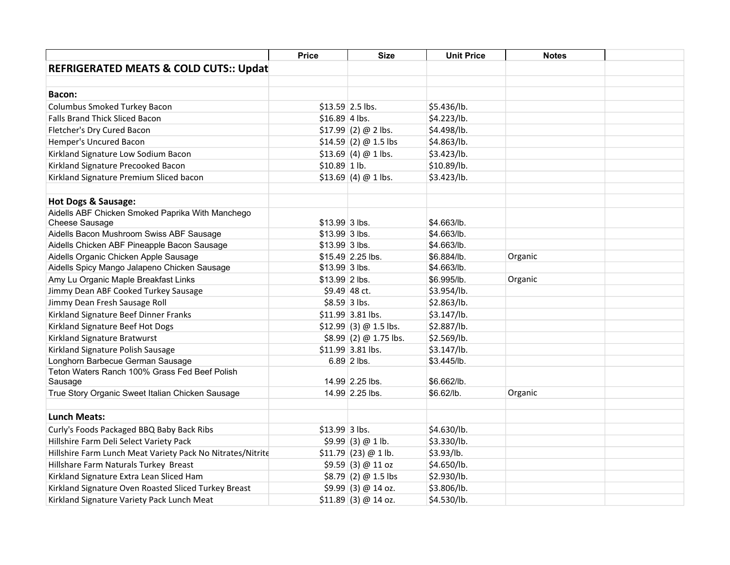|                                                            | <b>Price</b>    | <b>Size</b>             | <b>Unit Price</b> | <b>Notes</b> |  |
|------------------------------------------------------------|-----------------|-------------------------|-------------------|--------------|--|
| <b>REFRIGERATED MEATS &amp; COLD CUTS:: Updat</b>          |                 |                         |                   |              |  |
|                                                            |                 |                         |                   |              |  |
| Bacon:                                                     |                 |                         |                   |              |  |
| Columbus Smoked Turkey Bacon                               |                 | $$13.59$ 2.5 lbs.       | \$5.436/lb.       |              |  |
| Falls Brand Thick Sliced Bacon                             | $$16.89$ 4 lbs. |                         | \$4.223/lb.       |              |  |
| Fletcher's Dry Cured Bacon                                 |                 | $$17.99$ (2) @ 2 lbs.   | \$4.498/lb.       |              |  |
| Hemper's Uncured Bacon                                     |                 | $$14.59(2) @ 1.5$ lbs   | \$4.863/lb.       |              |  |
| Kirkland Signature Low Sodium Bacon                        |                 | $$13.69$ (4) @ 1 lbs.   | \$3.423/lb.       |              |  |
| Kirkland Signature Precooked Bacon                         | $$10.89$ 1 lb.  |                         | \$10.89/lb.       |              |  |
| Kirkland Signature Premium Sliced bacon                    |                 | $$13.69$ (4) @ 1 lbs.   | \$3.423/lb.       |              |  |
|                                                            |                 |                         |                   |              |  |
| <b>Hot Dogs &amp; Sausage:</b>                             |                 |                         |                   |              |  |
| Aidells ABF Chicken Smoked Paprika With Manchego           |                 |                         |                   |              |  |
| Cheese Sausage                                             | \$13.99 3 lbs.  |                         | \$4.663/lb.       |              |  |
| Aidells Bacon Mushroom Swiss ABF Sausage                   | $$13.99$ 3 lbs. |                         | \$4.663/lb.       |              |  |
| Aidells Chicken ABF Pineapple Bacon Sausage                | $$13.99$ 3 lbs. |                         | \$4.663/lb.       |              |  |
| Aidells Organic Chicken Apple Sausage                      |                 | \$15.49 2.25 lbs.       | \$6.884/lb.       | Organic      |  |
| Aidells Spicy Mango Jalapeno Chicken Sausage               | $$13.99$ 3 lbs. |                         | \$4.663/lb.       |              |  |
| Amy Lu Organic Maple Breakfast Links                       | $$13.99$ 2 lbs. |                         | \$6.995/lb.       | Organic      |  |
| Jimmy Dean ABF Cooked Turkey Sausage                       |                 | $$9.49$ 48 ct.          | \$3.954/lb.       |              |  |
| Jimmy Dean Fresh Sausage Roll                              | $$8.59$ 3 lbs.  |                         | \$2.863/lb.       |              |  |
| Kirkland Signature Beef Dinner Franks                      |                 | \$11.99 3.81 lbs.       | \$3.147/lb.       |              |  |
| Kirkland Signature Beef Hot Dogs                           |                 | $$12.99$ (3) @ 1.5 lbs. | \$2.887/lb.       |              |  |
| Kirkland Signature Bratwurst                               |                 | $$8.99$ (2) @ 1.75 lbs. | \$2.569/lb.       |              |  |
| Kirkland Signature Polish Sausage                          |                 | \$11.99 3.81 lbs.       | \$3.147/lb.       |              |  |
| Longhorn Barbecue German Sausage                           |                 | 6.89 2 lbs.             | \$3.445/lb.       |              |  |
| Teton Waters Ranch 100% Grass Fed Beef Polish              |                 |                         |                   |              |  |
| Sausage                                                    |                 | 14.99 2.25 lbs.         | \$6.662/lb.       |              |  |
| True Story Organic Sweet Italian Chicken Sausage           |                 | 14.99 2.25 lbs.         | \$6.62/lb.        | Organic      |  |
| <b>Lunch Meats:</b>                                        |                 |                         |                   |              |  |
|                                                            | $$13.99$ 3 lbs. |                         | \$4.630/lb.       |              |  |
| Curly's Foods Packaged BBQ Baby Back Ribs                  |                 |                         |                   |              |  |
| Hillshire Farm Deli Select Variety Pack                    |                 | \$9.99(3) @ 1 lb.       | \$3.330/lb.       |              |  |
| Hillshire Farm Lunch Meat Variety Pack No Nitrates/Nitrite |                 | $$11.79$ (23) @ 1 lb.   | \$3.93/lb.        |              |  |
| Hillshare Farm Naturals Turkey Breast                      |                 | \$9.59(3) @ 11 oz       | \$4.650/lb.       |              |  |
| Kirkland Signature Extra Lean Sliced Ham                   |                 | $$8.79$ (2) @ 1.5 lbs   | \$2.930/lb.       |              |  |
| Kirkland Signature Oven Roasted Sliced Turkey Breast       |                 | $$9.99$ (3) @ 14 oz.    | \$3.806/lb.       |              |  |
| Kirkland Signature Variety Pack Lunch Meat                 |                 | $$11.89$ (3) @ 14 oz.   | \$4.530/lb.       |              |  |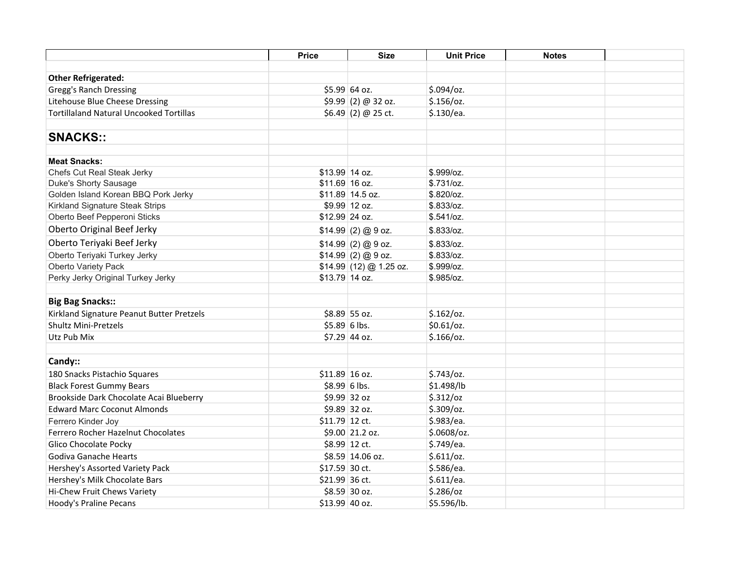|                                                | <b>Price</b>    | <b>Size</b>              | <b>Unit Price</b> | <b>Notes</b> |  |
|------------------------------------------------|-----------------|--------------------------|-------------------|--------------|--|
|                                                |                 |                          |                   |              |  |
| <b>Other Refrigerated:</b>                     |                 |                          |                   |              |  |
| <b>Gregg's Ranch Dressing</b>                  |                 | \$5.99 64 oz.            | $$.094$ /oz.      |              |  |
| Litehouse Blue Cheese Dressing                 |                 | $$9.99$ (2) @ 32 oz.     | $$.156$ /oz.      |              |  |
| <b>Tortillaland Natural Uncooked Tortillas</b> |                 | $$6.49(2) @ 25$ ct.      | \$.130/ea.        |              |  |
|                                                |                 |                          |                   |              |  |
| <b>SNACKS::</b>                                |                 |                          |                   |              |  |
| <b>Meat Snacks:</b>                            |                 |                          |                   |              |  |
| Chefs Cut Real Steak Jerky                     | \$13.99 14 oz.  |                          | \$.999/oz.        |              |  |
| Duke's Shorty Sausage                          | \$11.69 16 oz.  |                          | \$.731/cz.        |              |  |
| Golden Island Korean BBQ Pork Jerky            |                 | \$11.89 14.5 oz.         | \$.820/cz.        |              |  |
| Kirkland Signature Steak Strips                |                 | \$9.99 12 oz.            | \$.833/oz.        |              |  |
| Oberto Beef Pepperoni Sticks                   | \$12.99 24 oz.  |                          | \$.541/cz.        |              |  |
| Oberto Original Beef Jerky                     |                 | \$14.99(2) @9 oz.        | \$.833/oz.        |              |  |
| Oberto Teriyaki Beef Jerky                     |                 | $$14.99$ (2) @ 9 oz.     | \$.833/oz.        |              |  |
| Oberto Teriyaki Turkey Jerky                   |                 | \$14.99(2)@9 oz.         | \$.833/oz.        |              |  |
| Oberto Variety Pack                            |                 | $$14.99$ (12) @ 1.25 oz. | \$.999/oz.        |              |  |
| Perky Jerky Original Turkey Jerky              | \$13.79 14 oz.  |                          | \$.985/cz.        |              |  |
|                                                |                 |                          |                   |              |  |
| <b>Big Bag Snacks::</b>                        |                 |                          |                   |              |  |
| Kirkland Signature Peanut Butter Pretzels      |                 | \$8.89 55 oz.            | \$.162/oz.        |              |  |
| <b>Shultz Mini-Pretzels</b>                    |                 | $$5.89 6$ lbs.           | $$0.61$ /oz.      |              |  |
| Utz Pub Mix                                    |                 | \$7.29 44 oz.            | $$.166$ /oz.      |              |  |
|                                                |                 |                          |                   |              |  |
| Candy::                                        |                 |                          |                   |              |  |
| 180 Snacks Pistachio Squares                   | \$11.89 16 oz.  |                          | $$.743$ /oz.      |              |  |
| <b>Black Forest Gummy Bears</b>                | $$8.99 6$ lbs.  |                          | \$1.498/lb        |              |  |
| Brookside Dark Chocolate Acai Blueberry        |                 | \$9.99 32 oz             | \$.312/oz         |              |  |
| <b>Edward Marc Coconut Almonds</b>             |                 | \$9.89 32 oz.            | $$.309$ /oz.      |              |  |
| Ferrero Kinder Joy                             | $$11.79$ 12 ct. |                          | \$.983/ea.        |              |  |
| Ferrero Rocher Hazelnut Chocolates             |                 | \$9.00 21.2 oz.          | $$.0608$ /oz.     |              |  |
| Glico Chocolate Pocky                          |                 | \$8.99 12 ct.            | \$.749/ea.        |              |  |
| Godiva Ganache Hearts                          |                 | \$8.59 14.06 oz.         | \$.611/oz.        |              |  |
| Hershey's Assorted Variety Pack                | \$17.59 30 ct.  |                          | \$.586/ea.        |              |  |
| Hershey's Milk Chocolate Bars                  | \$21.99 36 ct.  |                          | \$.611/ea.        |              |  |
| Hi-Chew Fruit Chews Variety                    |                 | \$8.59 30 oz.            | $$.286$ /oz       |              |  |
| Hoody's Praline Pecans                         | \$13.99 40 oz.  |                          | \$5.596/lb.       |              |  |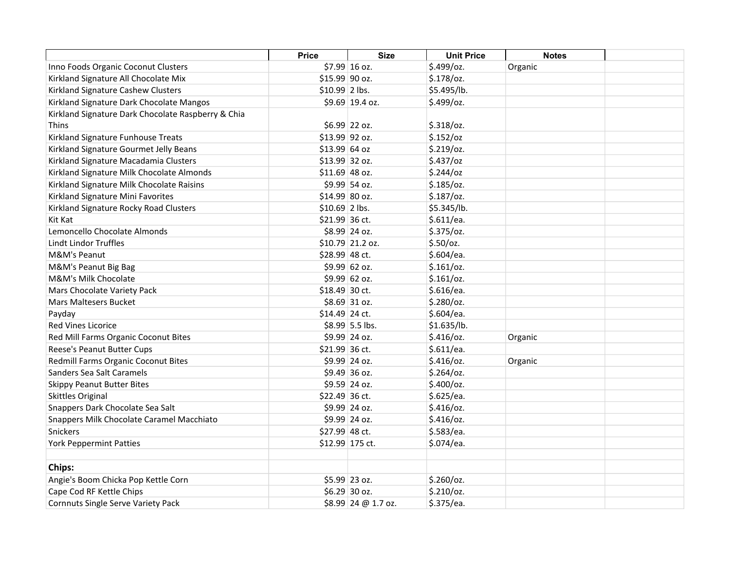|                                                    | <b>Price</b>    | <b>Size</b>         | <b>Unit Price</b> | <b>Notes</b> |  |
|----------------------------------------------------|-----------------|---------------------|-------------------|--------------|--|
| Inno Foods Organic Coconut Clusters                |                 | \$7.99 16 oz.       | \$.499/oz.        | Organic      |  |
| Kirkland Signature All Chocolate Mix               | \$15.99 90 oz.  |                     | \$.178/oz.        |              |  |
| Kirkland Signature Cashew Clusters                 | \$10.99 2 lbs.  |                     | \$5.495/lb.       |              |  |
| Kirkland Signature Dark Chocolate Mangos           |                 | \$9.69 19.4 oz.     | \$.499/oz.        |              |  |
| Kirkland Signature Dark Chocolate Raspberry & Chia |                 |                     |                   |              |  |
| <b>Thins</b>                                       |                 | \$6.99 22 oz.       | $$.318$ /oz.      |              |  |
| Kirkland Signature Funhouse Treats                 | \$13.99 92 oz.  |                     | \$.152/oz         |              |  |
| Kirkland Signature Gourmet Jelly Beans             | \$13.99 64 oz   |                     | $$.219$ /oz.      |              |  |
| Kirkland Signature Macadamia Clusters              | \$13.99 32 oz.  |                     | $$.437$ /oz       |              |  |
| Kirkland Signature Milk Chocolate Almonds          | $$11.69$ 48 oz. |                     | \$.244/oz         |              |  |
| Kirkland Signature Milk Chocolate Raisins          |                 | \$9.99 54 oz.       | $$.185$ /oz.      |              |  |
| Kirkland Signature Mini Favorites                  | \$14.99 80 oz.  |                     | $$.187$ /oz.      |              |  |
| Kirkland Signature Rocky Road Clusters             | $$10.69$ 2 lbs. |                     | \$5.345/lb.       |              |  |
| Kit Kat                                            | \$21.99 36 ct.  |                     | \$.611/ea.        |              |  |
| Lemoncello Chocolate Almonds                       |                 | \$8.99 24 oz.       | $$.375$ /oz.      |              |  |
| Lindt Lindor Truffles                              |                 | \$10.79 21.2 oz.    | $$.50$ /oz.       |              |  |
| M&M's Peanut                                       | \$28.99 48 ct.  |                     | \$.604/ea.        |              |  |
| M&M's Peanut Big Bag                               |                 | \$9.99 62 oz.       | \$.161/oz.        |              |  |
| <b>M&amp;M's Milk Chocolate</b>                    |                 | \$9.99 62 oz.       | \$.161/oz.        |              |  |
| Mars Chocolate Variety Pack                        | \$18.49 30 ct.  |                     | \$.616/ea.        |              |  |
| <b>Mars Maltesers Bucket</b>                       |                 | \$8.69 31 oz.       | \$.280/oz.        |              |  |
| Payday                                             | \$14.49 24 ct.  |                     | \$.604/ea.        |              |  |
| Red Vines Licorice                                 |                 | $$8.99$ 5.5 lbs.    | \$1.635/lb.       |              |  |
| Red Mill Farms Organic Coconut Bites               |                 | \$9.99 24 oz.       | $$.416$ /oz.      | Organic      |  |
| Reese's Peanut Butter Cups                         | \$21.99 36 ct.  |                     | \$.611/ea.        |              |  |
| Redmill Farms Organic Coconut Bites                |                 | \$9.99 24 oz.       | $$.416$ /oz.      | Organic      |  |
| Sanders Sea Salt Caramels                          |                 | $$9.49$ 36 oz.      | $$.264$ /oz.      |              |  |
| <b>Skippy Peanut Butter Bites</b>                  |                 | \$9.59 24 oz.       | $$.400$ /oz.      |              |  |
| <b>Skittles Original</b>                           | \$22.49 36 ct.  |                     | \$.625/ea.        |              |  |
| Snappers Dark Chocolate Sea Salt                   |                 | \$9.99 24 oz.       | $$.416$ /oz.      |              |  |
| Snappers Milk Chocolate Caramel Macchiato          |                 | \$9.99 24 oz.       | $$.416$ /oz.      |              |  |
| Snickers                                           | \$27.99 48 ct.  |                     | \$.583/ea.        |              |  |
| <b>York Peppermint Patties</b>                     |                 | \$12.99 175 ct.     | \$.074/ea.        |              |  |
| Chips:                                             |                 |                     |                   |              |  |
| Angie's Boom Chicka Pop Kettle Corn                |                 | \$5.99 23 oz.       | $$.260$ /oz.      |              |  |
| Cape Cod RF Kettle Chips                           |                 | $$6.29$ 30 oz.      | \$.210/oz.        |              |  |
| Cornnuts Single Serve Variety Pack                 |                 | \$8.99 24 @ 1.7 oz. | \$.375/ea.        |              |  |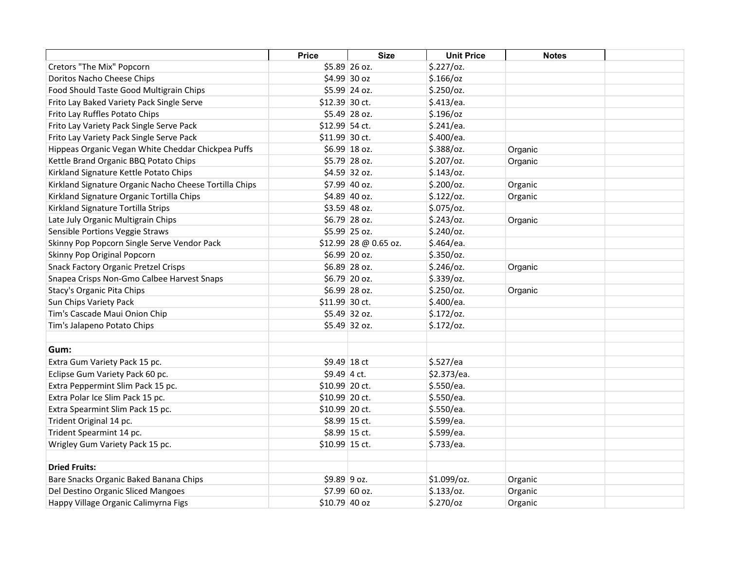|                                                        | <b>Price</b>   | <b>Size</b>            | <b>Unit Price</b> | <b>Notes</b> |  |
|--------------------------------------------------------|----------------|------------------------|-------------------|--------------|--|
| Cretors "The Mix" Popcorn                              |                | $$5.89$ 26 oz.         | \$.227/oz.        |              |  |
| Doritos Nacho Cheese Chips                             |                | \$4.99 30 oz           | $$.166$ /oz       |              |  |
| Food Should Taste Good Multigrain Chips                |                | \$5.99 24 oz.          | $$.250$ /oz.      |              |  |
| Frito Lay Baked Variety Pack Single Serve              | \$12.39 30 ct. |                        | \$.413/ea.        |              |  |
| Frito Lay Ruffles Potato Chips                         |                | $$5.49$ 28 oz.         | $$.196$ /oz       |              |  |
| Frito Lay Variety Pack Single Serve Pack               | \$12.99 54 ct. |                        | \$.241/ea.        |              |  |
| Frito Lay Variety Pack Single Serve Pack               | \$11.99 30 ct. |                        | \$.400/ea.        |              |  |
| Hippeas Organic Vegan White Cheddar Chickpea Puffs     |                | $$6.99 \, \, 18$ oz.   | \$.388/oz.        | Organic      |  |
| Kettle Brand Organic BBQ Potato Chips                  |                | \$5.79 28 oz.          | $$.207$ /oz.      | Organic      |  |
| Kirkland Signature Kettle Potato Chips                 |                | \$4.59 32 oz.          | $$.143$ /oz.      |              |  |
| Kirkland Signature Organic Nacho Cheese Tortilla Chips |                | \$7.99 40 oz.          | $$.200$ /oz.      | Organic      |  |
| Kirkland Signature Organic Tortilla Chips              |                | \$4.89 40 oz.          | \$.122/oz.        | Organic      |  |
| Kirkland Signature Tortilla Strips                     |                | \$3.59 48 oz.          | \$.075/oz.        |              |  |
| Late July Organic Multigrain Chips                     |                | \$6.79 28 oz.          | $$.243$ /oz.      | Organic      |  |
| Sensible Portions Veggie Straws                        |                | \$5.99 25 oz.          | $$.240$ /oz.      |              |  |
| Skinny Pop Popcorn Single Serve Vendor Pack            |                | $$12.99$ 28 @ 0.65 oz. | \$.464/ea.        |              |  |
| Skinny Pop Original Popcorn                            |                | \$6.99 20 oz.          | $$.350$ /oz.      |              |  |
| <b>Snack Factory Organic Pretzel Crisps</b>            |                | \$6.89 28 oz.          | $$.246$ /oz.      | Organic      |  |
| Snapea Crisps Non-Gmo Calbee Harvest Snaps             |                | \$6.79 20 oz.          | $$.339$ /oz.      |              |  |
| Stacy's Organic Pita Chips                             |                | \$6.99 28 oz.          | $$.250$ /oz.      | Organic      |  |
| Sun Chips Variety Pack                                 | \$11.99 30 ct. |                        | \$.400/ea.        |              |  |
| Tim's Cascade Maui Onion Chip                          |                | $$5.49$ 32 oz.         | \$.172/oz.        |              |  |
| Tim's Jalapeno Potato Chips                            |                | \$5.49 32 oz.          | \$.172/oz.        |              |  |
|                                                        |                |                        |                   |              |  |
| Gum:                                                   |                |                        |                   |              |  |
| Extra Gum Variety Pack 15 pc.                          | $$9.49$ 18 ct  |                        | \$.527/ea         |              |  |
| Eclipse Gum Variety Pack 60 pc.                        | $$9.49$ 4 ct.  |                        | \$2.373/ea.       |              |  |
| Extra Peppermint Slim Pack 15 pc.                      | \$10.99 20 ct. |                        | \$.550/ea.        |              |  |
| Extra Polar Ice Slim Pack 15 pc.                       | \$10.99 20 ct. |                        | \$.550/ea.        |              |  |
| Extra Spearmint Slim Pack 15 pc.                       | \$10.99 20 ct. |                        | \$.550/ea.        |              |  |
| Trident Original 14 pc.                                |                | \$8.99 15 ct.          | \$.599/ea.        |              |  |
| Trident Spearmint 14 pc.                               |                | \$8.99 15 ct.          | \$.599/ea.        |              |  |
| Wrigley Gum Variety Pack 15 pc.                        | \$10.99 15 ct. |                        | \$.733/ea.        |              |  |
| <b>Dried Fruits:</b>                                   |                |                        |                   |              |  |
| Bare Snacks Organic Baked Banana Chips                 | $$9.89$ 9 oz.  |                        | \$1.099/oz.       | Organic      |  |
| Del Destino Organic Sliced Mangoes                     |                | \$7.99 60 oz.          | \$.133/oz.        | Organic      |  |
| Happy Village Organic Calimyrna Figs                   | \$10.79 40 oz  |                        | $$.270$ /oz       | Organic      |  |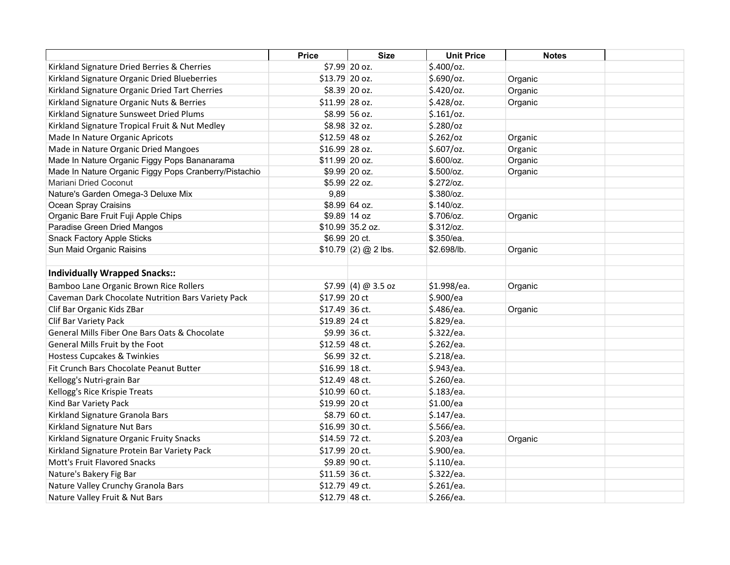|                                                       | <b>Price</b>    | <b>Size</b>          | <b>Unit Price</b> | <b>Notes</b> |  |
|-------------------------------------------------------|-----------------|----------------------|-------------------|--------------|--|
| Kirkland Signature Dried Berries & Cherries           |                 | \$7.99 20 oz.        | $$.400$ /oz.      |              |  |
| Kirkland Signature Organic Dried Blueberries          | \$13.79 20 oz.  |                      | \$.690/oz.        | Organic      |  |
| Kirkland Signature Organic Dried Tart Cherries        |                 | \$8.39 20 oz.        | $$.420$ /oz.      | Organic      |  |
| Kirkland Signature Organic Nuts & Berries             | \$11.99 28 oz.  |                      | $$.428$ /oz.      | Organic      |  |
| Kirkland Signature Sunsweet Dried Plums               |                 | \$8.99 56 oz.        | \$.161/oz.        |              |  |
| Kirkland Signature Tropical Fruit & Nut Medley        |                 | \$8.98 32 oz.        | $$.280$ /oz       |              |  |
| Made In Nature Organic Apricots                       | \$12.59 48 oz   |                      | \$.262/oz         | Organic      |  |
| Made in Nature Organic Dried Mangoes                  | $$16.99$ 28 oz. |                      | $$.607$ /oz.      | Organic      |  |
| Made In Nature Organic Figgy Pops Bananarama          | \$11.99 20 oz.  |                      | \$.600/cz.        | Organic      |  |
| Made In Nature Organic Figgy Pops Cranberry/Pistachio |                 | \$9.99 20 oz.        | \$.500/cz.        | Organic      |  |
| Mariani Dried Coconut                                 |                 | \$5.99 22 oz.        | \$.272/oz.        |              |  |
| Nature's Garden Omega-3 Deluxe Mix                    | 9,89            |                      | \$.380/cz.        |              |  |
| Ocean Spray Craisins                                  |                 | \$8.99 64 oz.        | \$.140/cz.        |              |  |
| Organic Bare Fruit Fuji Apple Chips                   |                 | \$9.89 14 oz         | \$.706/oz.        | Organic      |  |
| Paradise Green Dried Mangos                           |                 | \$10.99 35.2 oz.     | \$.312/oz.        |              |  |
| <b>Snack Factory Apple Sticks</b>                     |                 | \$6.99 20 ct.        | \$.350/ea.        |              |  |
| Sun Maid Organic Raisins                              |                 | $$10.79(2) @ 2$ lbs. | \$2.698/lb.       | Organic      |  |
|                                                       |                 |                      |                   |              |  |
| <b>Individually Wrapped Snacks::</b>                  |                 |                      |                   |              |  |
| Bamboo Lane Organic Brown Rice Rollers                |                 | $$7.99$ (4) @ 3.5 oz | \$1.998/ea.       | Organic      |  |
| Caveman Dark Chocolate Nutrition Bars Variety Pack    | \$17.99 20 ct   |                      | \$.900/ea         |              |  |
| Clif Bar Organic Kids ZBar                            | \$17.49 36 ct.  |                      | \$.486/ea.        | Organic      |  |
| Clif Bar Variety Pack                                 | \$19.89 24 ct   |                      | \$.829/ea.        |              |  |
| General Mills Fiber One Bars Oats & Chocolate         |                 | \$9.99 36 ct.        | \$.322/ea.        |              |  |
| General Mills Fruit by the Foot                       | \$12.59 48 ct.  |                      | \$.262/ea.        |              |  |
| <b>Hostess Cupcakes &amp; Twinkies</b>                |                 | \$6.99 32 ct.        | \$.218/ea.        |              |  |
| Fit Crunch Bars Chocolate Peanut Butter               | \$16.99 18 ct.  |                      | \$.943/ea.        |              |  |
| Kellogg's Nutri-grain Bar                             | \$12.49 48 ct.  |                      | \$.260/ea.        |              |  |
| Kellogg's Rice Krispie Treats                         | \$10.99 60 ct.  |                      | \$.183/ea.        |              |  |
| Kind Bar Variety Pack                                 | \$19.99 20 ct   |                      | \$1.00/ea         |              |  |
| Kirkland Signature Granola Bars                       |                 | $$8.79$ 60 ct.       | \$.147/ea.        |              |  |
| Kirkland Signature Nut Bars                           | \$16.99 30 ct.  |                      | \$.566/ea.        |              |  |
| Kirkland Signature Organic Fruity Snacks              | \$14.59 72 ct.  |                      | \$.203/ea         | Organic      |  |
| Kirkland Signature Protein Bar Variety Pack           | \$17.99 20 ct.  |                      | \$.900/ea.        |              |  |
| Mott's Fruit Flavored Snacks                          |                 | \$9.89 90 ct.        | \$.110/ea.        |              |  |
| Nature's Bakery Fig Bar                               | \$11.59 36 ct.  |                      | \$.322/ea.        |              |  |
| Nature Valley Crunchy Granola Bars                    | \$12.79 49 ct.  |                      | \$.261/ea.        |              |  |
| Nature Valley Fruit & Nut Bars                        | \$12.79 48 ct.  |                      | \$.266/ea.        |              |  |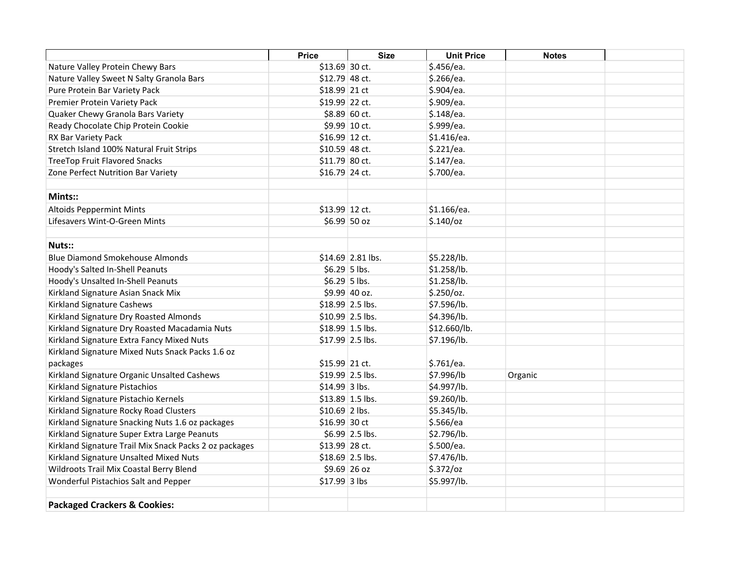|                                                        | <b>Price</b>    | <b>Size</b>       | <b>Unit Price</b> | <b>Notes</b> |  |
|--------------------------------------------------------|-----------------|-------------------|-------------------|--------------|--|
| Nature Valley Protein Chewy Bars                       | \$13.69 30 ct.  |                   | \$.456/ea.        |              |  |
| Nature Valley Sweet N Salty Granola Bars               | $$12.79$ 48 ct. |                   | \$.266/ea.        |              |  |
| Pure Protein Bar Variety Pack                          | $$18.99$ 21 ct  |                   | \$.904/ea.        |              |  |
| Premier Protein Variety Pack                           | \$19.99 22 ct.  |                   | \$.909/ea.        |              |  |
| Quaker Chewy Granola Bars Variety                      |                 | \$8.89 60 ct.     | \$.148/ea.        |              |  |
| Ready Chocolate Chip Protein Cookie                    |                 | \$9.99 10 ct.     | \$.999/ea.        |              |  |
| RX Bar Variety Pack                                    | \$16.99 12 ct.  |                   | \$1.416/ea.       |              |  |
| Stretch Island 100% Natural Fruit Strips               | \$10.59 48 ct.  |                   | \$.221/ea.        |              |  |
| <b>TreeTop Fruit Flavored Snacks</b>                   | \$11.79 80 ct.  |                   | \$.147/ea.        |              |  |
| Zone Perfect Nutrition Bar Variety                     | \$16.79 24 ct.  |                   | \$.700/ea.        |              |  |
|                                                        |                 |                   |                   |              |  |
| <b>Mints::</b>                                         |                 |                   |                   |              |  |
| <b>Altoids Peppermint Mints</b>                        | \$13.99 12 ct.  |                   | \$1.166/ea.       |              |  |
| Lifesavers Wint-O-Green Mints                          |                 | \$6.99 50 oz      | $$.140$ /oz       |              |  |
|                                                        |                 |                   |                   |              |  |
| Nuts::                                                 |                 |                   |                   |              |  |
| <b>Blue Diamond Smokehouse Almonds</b>                 |                 | \$14.69 2.81 lbs. | \$5.228/lb.       |              |  |
| Hoody's Salted In-Shell Peanuts                        | $$6.29$ 5 lbs.  |                   | \$1.258/lb.       |              |  |
| Hoody's Unsalted In-Shell Peanuts                      | $$6.29$ 5 lbs.  |                   | \$1.258/lb.       |              |  |
| Kirkland Signature Asian Snack Mix                     |                 | \$9.99 40 oz.     | $$.250$ /oz.      |              |  |
| Kirkland Signature Cashews                             |                 | \$18.99 2.5 lbs.  | \$7.596/lb.       |              |  |
| Kirkland Signature Dry Roasted Almonds                 |                 | \$10.99 2.5 lbs.  | \$4.396/lb.       |              |  |
| Kirkland Signature Dry Roasted Macadamia Nuts          |                 | \$18.99 1.5 lbs.  | \$12.660/lb.      |              |  |
| Kirkland Signature Extra Fancy Mixed Nuts              |                 | \$17.99 2.5 lbs.  | \$7.196/lb.       |              |  |
| Kirkland Signature Mixed Nuts Snack Packs 1.6 oz       |                 |                   |                   |              |  |
| packages                                               | \$15.99 21 ct.  |                   | \$.761/ea.        |              |  |
| Kirkland Signature Organic Unsalted Cashews            |                 | $$19.99$ 2.5 lbs. | \$7.996/lb        | Organic      |  |
| Kirkland Signature Pistachios                          | \$14.99 3 lbs.  |                   | \$4.997/lb.       |              |  |
| Kirkland Signature Pistachio Kernels                   |                 | $$13.89$ 1.5 lbs. | \$9.260/lb.       |              |  |
| Kirkland Signature Rocky Road Clusters                 | $$10.69$ 2 lbs. |                   | \$5.345/lb.       |              |  |
| Kirkland Signature Snacking Nuts 1.6 oz packages       | \$16.99 30 ct   |                   | \$.566/ea         |              |  |
| Kirkland Signature Super Extra Large Peanuts           |                 | \$6.99 2.5 lbs.   | \$2.796/lb.       |              |  |
| Kirkland Signature Trail Mix Snack Packs 2 oz packages | \$13.99 28 ct.  |                   | \$.500/ea.        |              |  |
| Kirkland Signature Unsalted Mixed Nuts                 |                 | $$18.69$ 2.5 lbs. | \$7.476/lb.       |              |  |
| Wildroots Trail Mix Coastal Berry Blend                |                 | \$9.69 26 oz      | $$.372$ /oz       |              |  |
| Wonderful Pistachios Salt and Pepper                   | \$17.99 3 lbs   |                   | \$5.997/lb.       |              |  |
|                                                        |                 |                   |                   |              |  |
| <b>Packaged Crackers &amp; Cookies:</b>                |                 |                   |                   |              |  |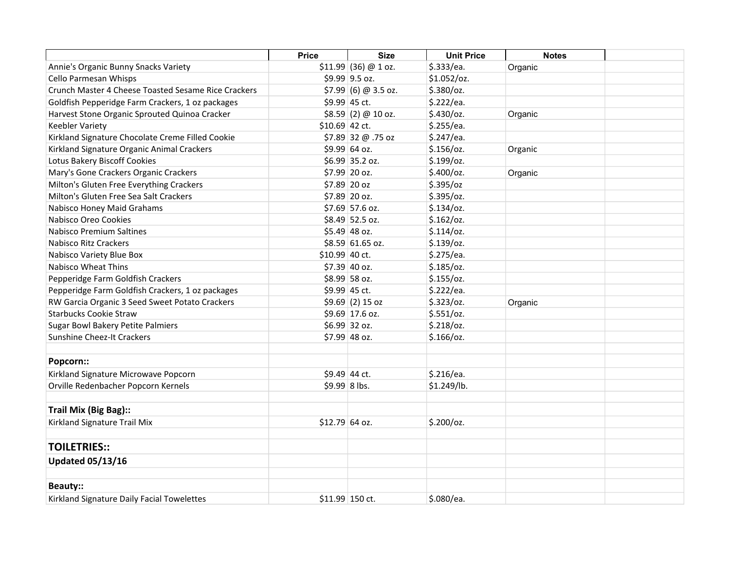|                                                     | <b>Price</b>    | <b>Size</b>           | <b>Unit Price</b> | <b>Notes</b> |  |
|-----------------------------------------------------|-----------------|-----------------------|-------------------|--------------|--|
| Annie's Organic Bunny Snacks Variety                |                 | $$11.99$ (36) @ 1 oz. | \$.333/ea.        | Organic      |  |
| Cello Parmesan Whisps                               |                 | \$9.99 9.5 oz.        | \$1.052/oz.       |              |  |
| Crunch Master 4 Cheese Toasted Sesame Rice Crackers |                 | $$7.99$ (6) @ 3.5 oz. | $$.380$ /oz.      |              |  |
| Goldfish Pepperidge Farm Crackers, 1 oz packages    |                 | \$9.99 45 ct.         | \$.222/ea.        |              |  |
| Harvest Stone Organic Sprouted Quinoa Cracker       |                 | \$8.59(2) @ 10 oz.    | $$.430$ /oz.      | Organic      |  |
| <b>Keebler Variety</b>                              | $$10.69$ 42 ct. |                       | \$.255/ea.        |              |  |
| Kirkland Signature Chocolate Creme Filled Cookie    |                 | \$7.89 32 @ .75 oz    | \$.247/ea.        |              |  |
| Kirkland Signature Organic Animal Crackers          |                 | \$9.99 64 oz.         | $$.156$ /oz.      | Organic      |  |
| Lotus Bakery Biscoff Cookies                        |                 | \$6.99 35.2 oz.       | $$.199$ /oz.      |              |  |
| Mary's Gone Crackers Organic Crackers               |                 | \$7.99 20 oz.         | $$.400$ /oz.      | Organic      |  |
| Milton's Gluten Free Everything Crackers            |                 | \$7.89 20 oz          | \$.395/oz         |              |  |
| Milton's Gluten Free Sea Salt Crackers              |                 | \$7.89 20 oz.         | \$.395/oz.        |              |  |
| Nabisco Honey Maid Grahams                          |                 | \$7.69 57.6 oz.       | $$.134$ /oz.      |              |  |
| Nabisco Oreo Cookies                                |                 | \$8.49 52.5 oz.       | \$.162/oz.        |              |  |
| Nabisco Premium Saltines                            |                 | $$5.49$ 48 oz.        | \$.114/oz.        |              |  |
| Nabisco Ritz Crackers                               |                 | \$8.59 61.65 oz.      | $$.139$ /oz.      |              |  |
| Nabisco Variety Blue Box                            | \$10.99 40 ct.  |                       | \$.275/ea.        |              |  |
| <b>Nabisco Wheat Thins</b>                          |                 | \$7.39 40 oz.         | $$.185$ /oz.      |              |  |
| Pepperidge Farm Goldfish Crackers                   |                 | \$8.99 58 oz.         | \$.155/oz.        |              |  |
| Pepperidge Farm Goldfish Crackers, 1 oz packages    |                 | \$9.99 45 ct.         | \$.222/ea.        |              |  |
| RW Garcia Organic 3 Seed Sweet Potato Crackers      |                 | $$9.69(2)15$ oz       | \$.323/oz.        | Organic      |  |
| <b>Starbucks Cookie Straw</b>                       |                 | \$9.69 17.6 oz.       | \$.551/oz.        |              |  |
| Sugar Bowl Bakery Petite Palmiers                   |                 | \$6.99 32 oz.         | $$.218$ /oz.      |              |  |
| <b>Sunshine Cheez-It Crackers</b>                   |                 | \$7.99 48 oz.         | $$.166$ /oz.      |              |  |
|                                                     |                 |                       |                   |              |  |
| Popcorn::                                           |                 |                       |                   |              |  |
| Kirkland Signature Microwave Popcorn                |                 | \$9.49 44 ct.         | \$.216/ea.        |              |  |
| Orville Redenbacher Popcorn Kernels                 | \$9.99 8 lbs.   |                       | \$1.249/lb.       |              |  |
|                                                     |                 |                       |                   |              |  |
| Trail Mix (Big Bag)::                               |                 |                       |                   |              |  |
| Kirkland Signature Trail Mix                        | \$12.79 64 oz.  |                       | $$.200$ /oz.      |              |  |
| <b>TOILETRIES::</b>                                 |                 |                       |                   |              |  |
| <b>Updated 05/13/16</b>                             |                 |                       |                   |              |  |
|                                                     |                 |                       |                   |              |  |
| <b>Beauty::</b>                                     |                 |                       |                   |              |  |
| Kirkland Signature Daily Facial Towelettes          |                 | \$11.99 150 ct.       | \$.080/ea.        |              |  |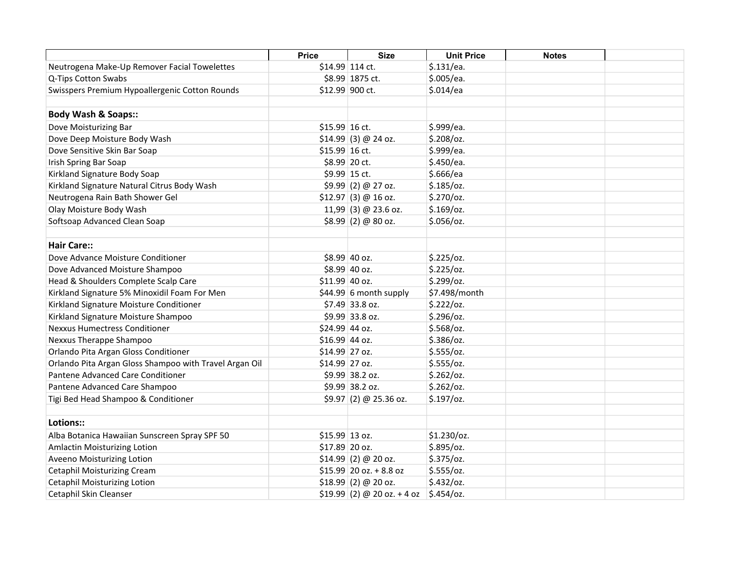|                                                        | <b>Price</b>    | <b>Size</b>                  | <b>Unit Price</b> | <b>Notes</b> |  |
|--------------------------------------------------------|-----------------|------------------------------|-------------------|--------------|--|
| Neutrogena Make-Up Remover Facial Towelettes           |                 | \$14.99 114 ct.              | \$.131/ea.        |              |  |
| Q-Tips Cotton Swabs                                    |                 | \$8.99 1875 ct.              | \$.005/ea.        |              |  |
| Swisspers Premium Hypoallergenic Cotton Rounds         |                 | \$12.99 900 ct.              | \$.014/ea         |              |  |
|                                                        |                 |                              |                   |              |  |
| <b>Body Wash &amp; Soaps::</b>                         |                 |                              |                   |              |  |
| Dove Moisturizing Bar                                  | $$15.99$ 16 ct. |                              | \$.999/ea.        |              |  |
| Dove Deep Moisture Body Wash                           |                 | $$14.99$ (3) @ 24 oz.        | $$.208$ /oz.      |              |  |
| Dove Sensitive Skin Bar Soap                           | $$15.99$ 16 ct. |                              | \$.999/ea.        |              |  |
| Irish Spring Bar Soap                                  |                 | \$8.99 20 ct.                | \$.450/ea.        |              |  |
| Kirkland Signature Body Soap                           |                 | \$9.99 15 ct.                | \$.666/ea         |              |  |
| Kirkland Signature Natural Citrus Body Wash            |                 | $$9.99$ (2) @ 27 oz.         | $$.185$ /oz.      |              |  |
| Neutrogena Rain Bath Shower Gel                        |                 | $$12.97$ (3) @ 16 oz.        | \$.270/oz.        |              |  |
| Olay Moisture Body Wash                                |                 | 11,99 (3) @ 23.6 oz.         | $$.169$ /oz.      |              |  |
| Softsoap Advanced Clean Soap                           |                 | $$8.99$ (2) @ 80 oz.         | $$.056$ /oz.      |              |  |
|                                                        |                 |                              |                   |              |  |
| <b>Hair Care::</b>                                     |                 |                              |                   |              |  |
| Dove Advance Moisture Conditioner                      |                 | \$8.99 40 oz.                | \$.225/oz.        |              |  |
| Dove Advanced Moisture Shampoo                         |                 | \$8.99 40 oz.                | \$.225/oz.        |              |  |
| Head & Shoulders Complete Scalp Care                   | \$11.99 40 oz.  |                              | \$.299/oz.        |              |  |
| Kirkland Signature 5% Minoxidil Foam For Men           |                 | $$44.99 6$ month supply      | \$7.498/month     |              |  |
| Kirkland Signature Moisture Conditioner                |                 | \$7.49 33.8 oz.              | \$.222/oz.        |              |  |
| Kirkland Signature Moisture Shampoo                    |                 | \$9.99 33.8 oz.              | $$.296$ /oz.      |              |  |
| <b>Nexxus Humectress Conditioner</b>                   | \$24.99 44 oz.  |                              | $$.568$ /oz.      |              |  |
| Nexxus Therappe Shampoo                                | \$16.99 44 oz.  |                              | $$.386$ /oz.      |              |  |
| Orlando Pita Argan Gloss Conditioner                   | \$14.99 27 oz.  |                              | \$.555/oz.        |              |  |
| Orlando Pita Argan Gloss Shampoo with Travel Argan Oil | \$14.99 27 oz.  |                              | \$.555/oz.        |              |  |
| Pantene Advanced Care Conditioner                      |                 | \$9.99 38.2 oz.              | \$.262/oz.        |              |  |
| Pantene Advanced Care Shampoo                          |                 | \$9.99 38.2 oz.              | \$.262/oz.        |              |  |
| Tigi Bed Head Shampoo & Conditioner                    |                 | $$9.97(2) @ 25.36$ oz.       | $$.197$ /oz.      |              |  |
|                                                        |                 |                              |                   |              |  |
| Lotions::                                              |                 |                              |                   |              |  |
| Alba Botanica Hawaiian Sunscreen Spray SPF 50          | \$15.99 13 oz.  |                              | \$1.230/oz.       |              |  |
| Amlactin Moisturizing Lotion                           | \$17.89 20 oz.  |                              | \$.895/oz.        |              |  |
| Aveeno Moisturizing Lotion                             |                 | $$14.99$ (2) @ 20 oz.        | $$.375$ /oz.      |              |  |
| <b>Cetaphil Moisturizing Cream</b>                     |                 | $$15.99$ 20 oz. + 8.8 oz     | \$.555/oz.        |              |  |
| <b>Cetaphil Moisturizing Lotion</b>                    |                 | $$18.99$ (2) @ 20 oz.        | $$.432$ /oz.      |              |  |
| Cetaphil Skin Cleanser                                 |                 | $$19.99$ (2) @ 20 oz. + 4 oz | $$.454$ /oz.      |              |  |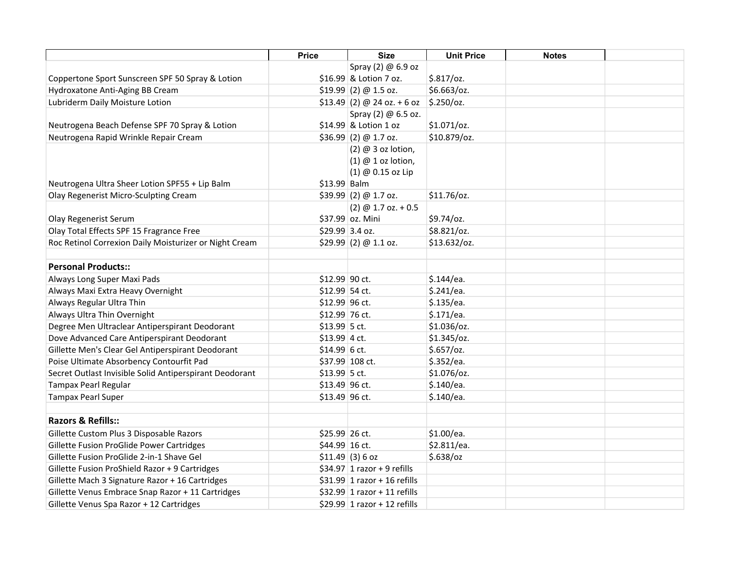|                                                         | <b>Price</b>   | <b>Size</b>                   | <b>Unit Price</b> | <b>Notes</b> |  |
|---------------------------------------------------------|----------------|-------------------------------|-------------------|--------------|--|
|                                                         |                | Spray (2) @ 6.9 oz            |                   |              |  |
| Coppertone Sport Sunscreen SPF 50 Spray & Lotion        |                | \$16.99 & Lotion 7 oz.        | $$.817$ /oz.      |              |  |
| Hydroxatone Anti-Aging BB Cream                         |                | \$19.99 (2) @ 1.5 oz.         | \$6.663/oz.       |              |  |
| Lubriderm Daily Moisture Lotion                         |                | $$13.49$ (2) @ 24 oz. + 6 oz  | $$.250$ /oz.      |              |  |
|                                                         |                | Spray (2) @ 6.5 oz.           |                   |              |  |
| Neutrogena Beach Defense SPF 70 Spray & Lotion          |                | \$14.99 & Lotion 1 oz         | $$1.071$ /oz.     |              |  |
| Neutrogena Rapid Wrinkle Repair Cream                   |                | $$36.99$ (2) @ 1.7 oz.        | \$10.879/oz.      |              |  |
|                                                         |                | $(2)$ @ 3 oz lotion,          |                   |              |  |
|                                                         |                | $(1)$ @ 1 oz lotion,          |                   |              |  |
|                                                         |                | (1) @ 0.15 oz Lip             |                   |              |  |
| Neutrogena Ultra Sheer Lotion SPF55 + Lip Balm          | \$13.99 Balm   |                               |                   |              |  |
| Olay Regenerist Micro-Sculpting Cream                   |                | \$39.99 (2) @ 1.7 oz.         | \$11.76/oz.       |              |  |
|                                                         |                | $(2)$ @ 1.7 oz. + 0.5         |                   |              |  |
| Olay Regenerist Serum                                   |                | \$37.99 oz. Mini              | \$9.74/oz.        |              |  |
| Olay Total Effects SPF 15 Fragrance Free                |                | \$29.99 3.4 oz.               | \$8.821/oz.       |              |  |
| Roc Retinol Correxion Daily Moisturizer or Night Cream  |                | \$29.99(2) @ 1.1 oz.          | \$13.632/oz.      |              |  |
|                                                         |                |                               |                   |              |  |
| <b>Personal Products::</b>                              |                |                               |                   |              |  |
| Always Long Super Maxi Pads                             | \$12.99 90 ct. |                               | \$.144/ea.        |              |  |
| Always Maxi Extra Heavy Overnight                       | \$12.99 54 ct. |                               | \$.241/ea.        |              |  |
| Always Regular Ultra Thin                               | \$12.99 96 ct. |                               | \$.135/ea.        |              |  |
| Always Ultra Thin Overnight                             | \$12.99 76 ct. |                               | \$.171/ea.        |              |  |
| Degree Men Ultraclear Antiperspirant Deodorant          | $$13.99$ 5 ct. |                               | \$1.036/oz.       |              |  |
| Dove Advanced Care Antiperspirant Deodorant             | $$13.99$ 4 ct. |                               | $$1.345$ /oz.     |              |  |
| Gillette Men's Clear Gel Antiperspirant Deodorant       | $$14.99$ 6 ct. |                               | $$.657$ /oz.      |              |  |
| Poise Ultimate Absorbency Contourfit Pad                |                | \$37.99 108 ct.               | \$.352/ea.        |              |  |
| Secret Outlast Invisible Solid Antiperspirant Deodorant | $$13.99$ 5 ct. |                               | \$1.076/oz.       |              |  |
| Tampax Pearl Regular                                    | \$13.49 96 ct. |                               | \$.140/ea.        |              |  |
| <b>Tampax Pearl Super</b>                               | \$13.49 96 ct. |                               | \$.140/ea.        |              |  |
|                                                         |                |                               |                   |              |  |
| Razors & Refills::                                      |                |                               |                   |              |  |
| Gillette Custom Plus 3 Disposable Razors                | \$25.99 26 ct. |                               | \$1.00/ea.        |              |  |
| Gillette Fusion ProGlide Power Cartridges               | \$44.99 16 ct. |                               | \$2.811/ea.       |              |  |
| Gillette Fusion ProGlide 2-in-1 Shave Gel               |                | $$11.49$ (3) 6 oz             | $$.638$ /oz       |              |  |
| Gillette Fusion ProShield Razor + 9 Cartridges          |                | $$34.97$ 1 razor + 9 refills  |                   |              |  |
| Gillette Mach 3 Signature Razor + 16 Cartridges         |                | $$31.99$ 1 razor + 16 refills |                   |              |  |
| Gillette Venus Embrace Snap Razor + 11 Cartridges       |                | $$32.99$ 1 razor + 11 refills |                   |              |  |
| Gillette Venus Spa Razor + 12 Cartridges                |                | \$29.99 1 razor + 12 refills  |                   |              |  |